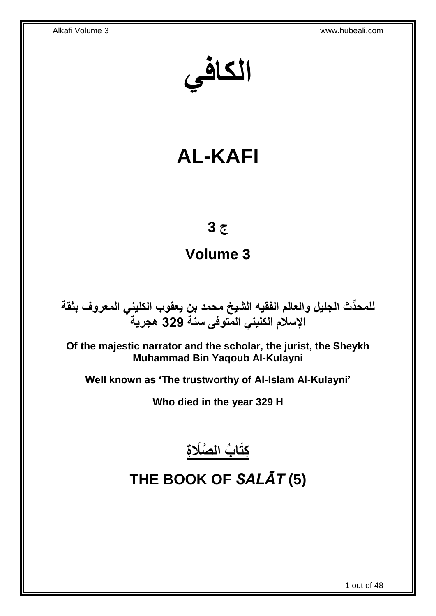**الكافي**

# **AL-KAFI**

## **ج 3**

## **Volume 3**

**دث الجليل والعالم الفقيه الشيخ محمد بن يعقوب الكليني المعروف بثقة للمح ِّ اإلسالم الكليني المتوفى سنة 329 هجرية**

**Of the majestic narrator and the scholar, the jurist, the Sheykh Muhammad Bin Yaqoub Al-Kulayni**

**Well known as 'The trustworthy of Al-Islam Al-Kulayni'**

**Who died in the year 329 H**



# <span id="page-0-0"></span>**THE BOOK OF** *SALĀT* **(5)**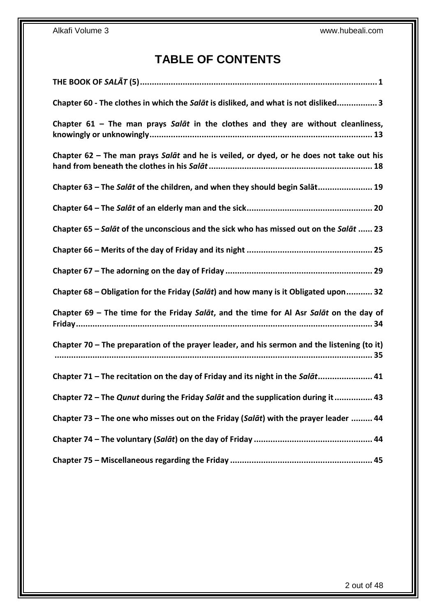## **TABLE OF CONTENTS**

| Chapter 60 - The clothes in which the Salat is disliked, and what is not disliked3          |
|---------------------------------------------------------------------------------------------|
| Chapter $61$ – The man prays Salat in the clothes and they are without cleanliness,         |
| Chapter 62 - The man prays Salat and he is veiled, or dyed, or he does not take out his     |
| Chapter 63 - The Salat of the children, and when they should begin Salat 19                 |
|                                                                                             |
| Chapter 65 - Salāt of the unconscious and the sick who has missed out on the Salāt  23      |
|                                                                                             |
|                                                                                             |
| Chapter 68 – Obligation for the Friday (Salat) and how many is it Obligated upon 32         |
| Chapter 69 - The time for the Friday Salat, and the time for Al Asr Salat on the day of     |
| Chapter 70 – The preparation of the prayer leader, and his sermon and the listening (to it) |
| Chapter 71 - The recitation on the day of Friday and its night in the Salat 41              |
| Chapter 72 - The Qunut during the Friday Salat and the supplication during it 43            |
| Chapter 73 - The one who misses out on the Friday (Salat) with the prayer leader  44        |
|                                                                                             |
|                                                                                             |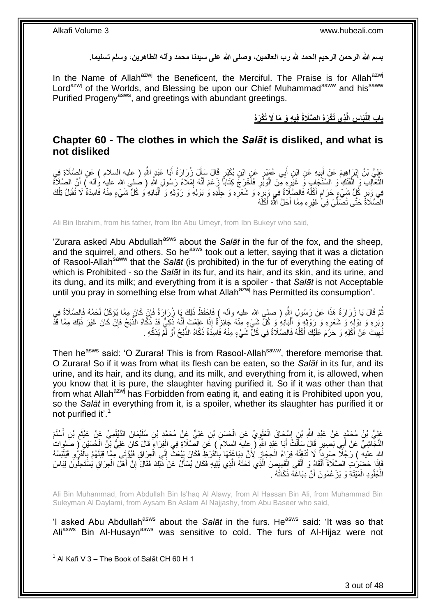**بسم هللا الرحمن الرحيم الحمد هلل رب العالمين، وصلى هللا على سيدنا محمد وآله الطاهرين، وسلم تسليما.**

In the Name of Allah<sup>azwj</sup> the Beneficent, the Merciful. The Praise is for Allah<sup>azwj</sup> Lord<sup>azwj</sup> of the Worlds, and Blessing be upon our Chief Muhammad<sup>saww</sup> and his<sup>saww</sup> Purified Progeny<sup>asws</sup>, and greetings with abundant greetings.

> **ِذي ُتْكَرهُ ال َّصَالةُ فِي ِه َو َما َل ِس الَّ َبا باب الل ُتْكَرهُ ِّ**

### <span id="page-2-0"></span>**Chapter 60 - The clothes in which the** *Salāt* **is disliked, and what is not disliked**

عَلِيُّ بْنُ إِبْرَاهِيمَ عَنْ أَبِيهِ عَنِ ابْنِ أَبِي عُمَيْرٍ عَنِ ابْنِ بُكَيْرٍ قَالَ سَأَلَ زُرِارَةُ أَبَا عَبْدٍ اللَّهِ ( عليه السلام ) عَنِ الصَّلَاةِ فِي َ َ َ ِ َ الثَّعَالِبِ وَ الْفَنَكِ وَ السِّنْجَابِ وَ غَيْرِهِ مِنَ الْوَبَّرِ فَأَخْرَجَ كِتَابَاً زِعَمَ أَنَّهُ إِمْلَاءُ رَسُولِ اللَّهِ ( صلى الله عليه وأله ) أَنَّ الصَّلَاةَ ِ َ َ ِ ْ ِ ْ  $\ddot{\phantom{a}}$ َ فِي وَبَرٍ كُلِّ شَيْءٍ حَرَامٍ أَكْلُهُ فَالصَّلِاةُ فِي وَبَرٍهِ وَ شَعْرِهِ وَ جِلْدِهِ وَ بَوْلِهِ وَ رَوْثِهِ وَ أَلْبَانِهِ وَ كُلِّ شَيْءٍ مِنْهُ فَاسِدَةٌ لَا تُقْبَلُ تِلْكَ ِ **ٍ** ِ ا<br>ا ٍ ْ َ ْ الصَّلَاةُ حَتَّى تُصَلِّّيَ فِيٍّ غَيْرِهِ مِمَّا أَحَلَّ اللَّهُ أَكْلَهُ َ **∶** ِّ

Ali Bin Ibrahim, from his father, from Ibn Abu Umeyr, from Ibn Bukeyr who said,

'Zurara asked Abu Abdullah<sup>asws</sup> about the Salat in the fur of the fox, and the sheep, and the squirrel, and others. So he<sup>asws</sup> took out a letter, saying that it was a dictation of Rasool-Allah<sup>saww</sup> that the *Salāt* (is prohibited) in the fur of everything the eating of which is Prohibited - so the *Salāt* in its fur, and its hair, and its skin, and its urine, and its dung, and its milk; and everything from it is a spoiler - that *Salāt* is not Acceptable until you pray in something else from what Allah<sup>azwj</sup> has Permitted its consumption'.

نُمَّ قَالَ يَا زُرَارَةُ هَذَا عَنْ رَسُولِ إِللَّهِ ( صلى الله عليه وآله ) فَاحْفَظْ ذَلِكَ يَا زُرَارَةُ فَإِنْ كَانَ مِمَّا يُؤْكَلُ لَحْمُهُ فَالصَّلَاةُ فِي ِ وَبُرِهِ وَ بَوْلِهٍ وَ شَعْرِهِ وَ رَوْثِهِ وَ أَلْبَانِهِ وَ كُلٌّ شَيْءٍ مِنْهُ جَائِزَةٌ إِذَا عَلِمْتَ أَنَّهُ ذَكِيٌّ قَدْ ذَكَّاهُ الذَّبْحُ فَإِنْ كَانَ غَيْرَ ذَلِكَ مِمَّا قَذْ ْ َ ِ **∶** ِ َ نُهِينَ عَنْ أَكْلِهِ وَ حَرُمَ عَلَيْكَ أَكْلُهُ فَالصَّلَاةُ فِي كُلِّ شَيْءٍ مِنْهُ فَاسِدَةٌ ذَكَّاهُ الذَّبْحُ أَوْ لَمْ يُذَكِّهِ . ٔ<br>ا َ ِ َ

Then he<sup>asws</sup> said: 'O Zurara! This is from Rasool-Allah<sup>saww</sup>, therefore memorise that. O Zurara! So if it was from what its flesh can be eaten, so the *Salāt* in its fur, and its urine, and its hair, and its dung, and its milk, and everything from it, is allowed, when you know that it is pure, the slaughter having purified it. So if it was other than that from what Allah<sup>azwj</sup> has Forbidden from eating it, and eating it is Prohibited upon you, so the *Salāt* in everything from it, is a spoiler, whether its slaughter has purified it or not purified it'.<sup>1</sup>

عَلِيُّ بْنُ مُحَمَّدٍ عَنْ عَبْدِ اللَّهِ بْنِ إِسْحَاقَ الْعَلَوِيِّ عَنِ الْحَسَنِ بْنِ عَلِيٍّ عِنْ مُحَمَّدٍ بْنِ سُلَيْمَانَ الدَّيْلَمِيِّ عَنْ عَيْثَم بْنِ أَسْلَمَ ْ **∶** ْ ِ َ ِ َ النَّجَاشِيِّ عَنْ أَبِي بَصِيرٍ قَالَ سَأَلْتُ أَبَا عَبْدِ اللَّهِ ( عِليهَ السِلامَ ) عَنِ الصِّلَاةِ فِي الْفِرَاءِ قَالَ كَانَ عَلِيُّ بِنَّ الْمُسَيْنِ ( صَلوات َ ْ ْ َ ْ َ اللهِ عليه ) رَجُلًا صَرِداً لَا تُدْفِئُهُ فِرَاءُ الْحِجَازِ لِأَنَّ دِبَاغَتَهَا بِالْقَرَظِ فَكَانَ يَبْعَثُ إِلَي الْعِرَاقِ فَيُؤْتَى مِمَّا فَنَلَهُمْ بِالْفَرُو فَيَلْبَسُهُ ْ ِ ْ ِ ِ ْ **∶** ْ ْ ِ فَإِذَا حَضَرَتِ الصَّلَاةُ أَلْقَاهُ وَ أَلْقَى الْقَمِيصَ الَّذِي تَحْتَهُ الَّذِي يَلِيهِ فَكَانَ يُسْأَلُ عَنْ ذَلِكَ فَقَالَ إِنَّ أَهْلَ الْعِرَاقِ يَسْتَحِلُّونَ لِبَاسَ<br>فَإِذَا حَضَرَتِ الصَّلَاةُ أَلْقَاهُ وَ أَل َ اُ اً ْ ْ َ ْ َ ْ َ ِ الْجُلُودِ الْمَيْتَةِ وَ يَزْعُمُونَ أَنَّ دِبَاغَهُ ذَكَاتُهُ . ْ ا<br>ا َ

Ali Bin Muhammad, from Abdullah Bin Is'haq Al Alawy, from Al Hassan Bin Ali, from Muhammad Bin Suleyman Al Daylami, from Aysam Bn Aslam Al Najjashy, from Abu Baseer who said,

'I asked Abu Abdullah<sup>asws</sup> about the *Salāt* in the furs. He<sup>asws</sup> said: 'It was so that Ali<sup>asws</sup> Bin Al-Husayn<sup>asws</sup> was sensitive to cold. The furs of Al-Hijaz were not

1 Al Kafi V 3 – The Book of Salāt CH 60 H 1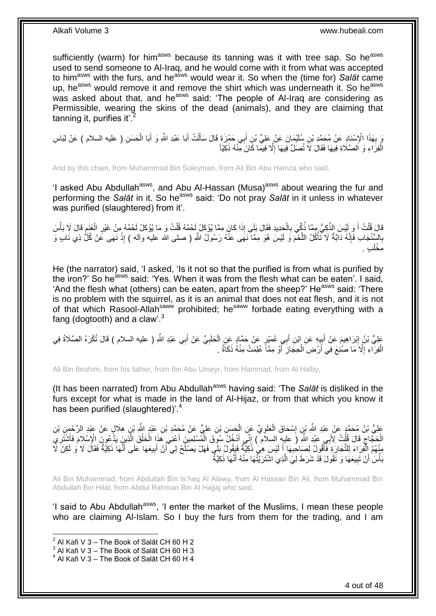sufficiently (warm) for him<sup>asws</sup> because its tanning was it with tree sap. So he<sup>asws</sup> used to send someone to Al-Iraq, and he would come with it from what was accepted to him<sup>asws</sup> with the furs, and he<sup>asws</sup> would wear it. So when the (time for) Salat came up, he<sup>asws</sup> would remove it and remove the shirt which was underneath it. So he<sup>asws</sup> was asked about that, and he<sup>asws</sup> said: 'The people of Al-Iraq are considering as Permissible, wearing the skins of the dead (animals), and they are claiming that tanning it, purifies it'. $<sup>2</sup>$ </sup>

مَ بِهَذَا الْإِسْنَادِ عَنْ مُحَمَّدِ بْنِ سُلَيْمَانَ عَنْ عَلِيٍّ بْنِ أَبِي حَمْزَةَ قَالَ سَأَلْتُ أَبَا عَبْدِ اللَّهِ وَ أَبَا الْحَسَنِ ( عليه السلام ) عَنْ لِبَاسِ َ ْ َ َ **∶** ْ َ الْفِرَاءِ وَ اَلصَّلَاةِ فِيهَا فَقَالَ لَا تُصَلِّ فِيهَا إِلَّا فِيمَا كَانَ مِنْهُ ذَكِيّاً ْ ِ

And by this chain, from Muhammad Bin Suleyman, from Ali Bin Abu Hamza who said,

'I asked Abu Abdullah<sup>asws</sup>, and Abu Al-Hassan (Musa)<sup>asws</sup> about wearing the fur and performing the *Salāt* in it. So he<sup>asws</sup> said: 'Do not pray *Salāt* in it unless in whatever was purified (slaughtered) from it'.

َالَ قُلْتُ أَ وَ لَئِسَ الذَّكِيُّ مِمَّا ذُكِّيَ بِالْحَدِيدِ فَقَالَ بَلَى إِذَا كَانَ مِمَّا يُؤكَلُ لَحْمُهُ قُلْتُ وَ مَا يُؤكَلُ لَحْمُهُ مِنْ غَيْرِ الْغَنَمِ قَالَ لَا بَأْسَ<br>قَالَ قُلْتُ أَ وَ يَسْبَ الذِّكِيُّ م ْ ْ **∶** َ ْ ِ ْ ِ ْ بِالسِّنْجَابِ فَإِنَّهُ دَابَةٌ لَا تَأْكُلُ اللَّحْمَ وَ لَيْسَ هُوَ مِمَّا نَهَى عَنْهُ رَسُولُ اللَّهِ ( صلى الله عليه وأله ) إِذْ نَهَى عَنْ كُلِّ ذِي نَابٍ وَ َ ْ ِ **∶ ٔ** ٍب . ِم ْخلَ

He (the narrator) said, 'I asked, 'Is it not so that the purified is from what is purified by the iron?' So he<sup>asws</sup> said: 'Yes. When it was from the flesh what can be eaten'. I said, 'And the flesh what (others) can be eaten, apart from the sheep?' He<sup>asws</sup> said: 'There is no problem with the squirrel, as it is an animal that does not eat flesh, and it is not of that which Rasool-Allah<sup>saww</sup> prohibited; he<sup>saww</sup> forbade eating everything with a fang (dogtooth) and a claw'. $3$ 

عَلِيُّ بْنُ إِبْرَاهِيمَ عَنْ أَبِيِهِ عَنِ إِبْنِ أَبِي عُمَيْرٍ عَنْ حَمَّادٍ عَنِ الْحَلَبِيِّ عَنْ أَبِي عَبْدِ اللَّهِ ( عليه السلام ) قَالَ تُكْرَهُ الصَّلَاةُ فِي َ ِ ْ ¦ َ ِ الْفِرَاءِ إِلَّا مَا صُنْغَ فِي أَرْضِ الْحِجَازِ ۚ أَوْ مِمَّاً عُلِمَتْ مِنْهُ ذَكَاةٌ ۚ . َ ِ ْ ِ ْ

Ali Bin Ibrahim, from his father, from Ibn Abu Umeyr, from Hammad, from Al Halby,

(It has been narrated) from Abu Abdullah<sup>asws</sup> having said: 'The *Salāt* is disliked in the furs except for what is made in the land of Al-Hijaz, or from that which you know it has been purified (slaughtered)<sup>'.4</sup>

عَلِيُّ بْنُ مُحَمَّدٍ عَنْ عَبْدِ اللَّهِ بْنِ إِسْحَاقَ الْعَلَوِيِّ عَنِ الْحَسَنِ بْنِ عَلِيٍّ عَنْ مُجَمَّدِ بْنِ عَبْدٍ اللَّهِ بْنِ هِلَالٍ عَنْ عَبْدِ الرَّحْمَنِ بْنِ ْ ِ ْ ֖֧֓֓<u>֓</u> الْحَجَّاجِ قَالَ قُلْتُ لِأَبِي عَبْدِ اللَّهِ أَ عليهِ السلاَّمُ ) إِنِّي أَدْخُلُ سُوِّقَ الْمُسْلِمِينَ أَعْنِي هَذَا الْخَلْقَ الَّذِينَ يَدَّعُونَ الْإِسْلَامَ فَأَشْتَرِيَّ ْ ِ ْ َ َ ْ ْ َ ْ َ ِ ِ َ مِنْهُمُ الْْفِرَاءَ لِلتِّجَارَةِ فَأَقُولُ لِصَاحِبِهَا أَ لَيْسَ هِيَٰ ذَكِيَّةٌ فَيَقُولُ بَلَي فَهَلْ يَصْلُحُ لِي أَنْ أَبِيعَهَا عَلَى أَنَّهَا ذَكِيَّةٌ فَقَالَ لَا وَ لَكِنْ لَا َ ا<br>ا اَ َ ِ َ .<br>ا ِ َ ُبأْسَ أَنْ تَبِيعَهَا وَ تَقُولَ قَدْ شَرَطَ لِيَ الَّذِي اشْتَرَيْتُهَا مِنْهُ أَنَّهَا ذَكِيَّةٌ َ َ **!** ،<br>ا

Ali Bin Muhammad, from Abdullah Bin Is'haq Al Alawy, from Al Hassan Bin Ali, from Muhammad Bin Abdullah Bin Hilal, from Abdul Rahman Bin Al Hajjaj who said,

'I said to Abu Abdullah<sup>asws</sup>, 'I enter the market of the Muslims, I mean these people who are claiming Al-Islam. So I buy the furs from them for the trading, and I am

 $^{2}$  Al Kafi V 3 – The Book of Salāt CH 60 H 2

 $^3$  Al Kafi V 3 – The Book of Salāt CH 60 H 3

 $^4$  Al Kafi V 3 – The Book of Salāt CH 60 H 4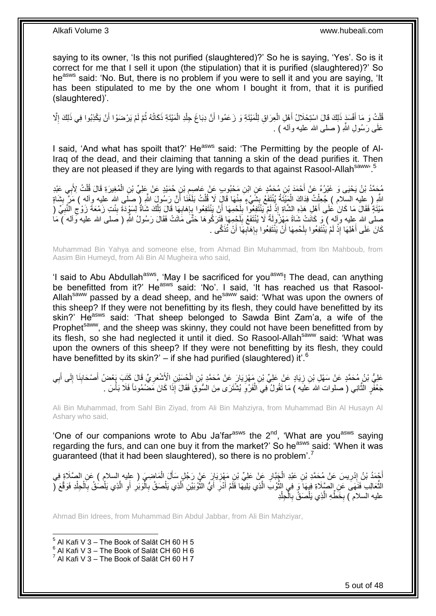saying to its owner, 'Is this not purified (slaughtered)?' So he is saying, 'Yes'. So is it correct for me that I sell it upon (the stipulation) that it is purified (slaughtered)?' So he<sup>asws</sup> said: 'No. But, there is no problem if you were to sell it and you are saying, 'It has been stipulated to me by the one whom I bought it from, that it is purified (slaughtered)'.

قُلْتُ وَ مَا أَفْسَدَ ذَلِكَ قَالَ اسْتِحْلَالُ أَهْلِ الْعِرَاقِ لِلْمَيْتَةِ وَ زَعَمُوا أَنَّ دِبَاعَ جِلْدِ الْمَيْتَةِ ذَكَاتُهُ ثُمَّ لَمْ يَرْضَوْا أَنْ يَكْذِبُوا فِي ذَلِكَ إِلَّا ْ ْ َ ْ ْ َ َ ْ َ ا پایا<br>سال ِ عَلَى رَسُولٍ اللهِ ( صلبِي الله عليه وأله ) .

I said, 'And what has spoilt that?' He<sup>asws</sup> said: 'The Permitting by the people of Al-Iraq of the dead, and their claiming that tanning a skin of the dead purifies it. Then they are not pleased if they are lying with regards to that against Rasool-Allahsaww 5

مُحَمَّدُ بْنُ يَحْيَى وَ غَيْرُهُ عَنْ أَحْمَدَ بْنِ مُحَمَّدٍ عَنِ ابْنِ مَحْبُوبٍ عَنْ عَاصِمٍ بْنِ حُمَيْدٍ عَنْ عَلِيٍّ بْنِ الْمُغِيرَةِ قَالَ قُلْتُ لِأَبِي عَبْدِ ِ ِ ْ ْ اللَّهِ ( عليه السّلام ) جُعِلْتُ فِدَاكَ الْمَئِنَةُ يُنْتَفَعُ بِشَيْءٍ مِنْهَا قَالَ لَا قُلْتُ بَلَغَٰنَا أَنَّ رَسُولَ اللَّهِ ( صَلَى الله عليه وأله ) مَرَّ بِشَاةٍ ِ ْ ِ َ ْ مَيْتَةٍ فَقَالَ مَا كَانَ عَلَى أَهْلِ هَذِهِ الشَّاةِ إِذْ لَمْ يَنْتَفِعُوا بِلَحْمِهَا أَنْ يَنْتَفِعُوا بِإِهَابِهَا قَالَ تِلْكَ شَاةٌ لِسَوْدَة بِنْتِ زَمْعَةَ زَوْجِ النَّبِيِّ ( َ لَ **ِ** اَ ْ َ ِ ِ ِ ْ ِ ا<br>ڊ ِ صلَّى الله عِليه وإله ) وَ كَانَتْ شَاةً مَهْزُولَةً لَا يُنْتَفَعُ بِلَحْمِهَا فَتَرَكُوهَا حَتَّى مَاتَتْ فَقَالَ رَسُولُ اللّهِ ( صلَّى الله عليه وَاله ) مَا لَ ِ َ كَانَ عَلَى أَهْلِهَا إِذْ لَمْ يَنْتَفِعُوا بِلَحْمِهَا أَنْ يَنْتَفِعُوا بِإِهَالِهَا أَنْ تُذَكَّى . َ **∶** ِ ِ لَ ِ اَ <u>ٔ</u>

Muhammad Bin Yahya and someone else, from Ahmad Bin Muhammad, from Ibn Mahboub, from Aasim Bin Humeyd, from Ali Bin Al Mugheira who said,

'I said to Abu Abdullah<sup>asws</sup>, 'May I be sacrificed for you<sup>asws</sup>! The dead, can anything be benefitted from it?' He<sup>asws</sup> said: 'No'. I said, 'It has reached us that Rasool-Allah<sup>saww</sup> passed by a dead sheep, and he<sup>saww</sup> said: 'What was upon the owners of this sheep? If they were not benefitting by its flesh, they could have benefitted by its skin?' He<sup>asws</sup> said: 'That sheep belonged to Sawda Bint Zam'a, a wife of the Prophet<sup>saww</sup>, and the sheep was skinny, they could not have been benefitted from by its flesh, so she had neglected it until it died. So Rasool-Allah<sup>saww</sup> said: 'What was upon the owners of this sheep? If they were not benefitting by its flesh, they could have benefitted by its skin?' – if she had purified (slaughtered) it'. $^6$ 

عَلِيُّ بْنُ مُحَمَّدٍ عَنْ سَهْلِ بْنِ زِيَادٍ عَنْ عَلِيِّ بْنِ مَهْزِيَارَ عَنْ مُحَمَّدٍ بْنِ الْحُسَيْنِ الْأَشْعَرِيِّ قَالَ كَتَبَ بِعْضُ أَصْحَابِنَا إِلَى أَبِي ِ ِ َ ِ ِ َ ِ ْ ِ جَعْفَرٍ الثَّانِي ( صلوات الله عَليَه ) مَا تَقُولُ فِي الْفَرْوِ يُشْتَرَى مِنَ السُّوَقِ فَقَالَ إِذَا كَانَ مَضْمُوناً فَلَا بَأْسَ . ِ ْ َ **ٔ** 

Ali Bin Muhammad, from Sahl Bin Ziyad, from Ali Bin Mahziyra, from Muhammad Bin Al Husayn Al Ashary who said,

'One of our companions wrote to Abu Ja'far<sup>asws</sup> the  $2<sup>nd</sup>$ , 'What are you<sup>asws</sup> saying regarding the furs, and can one buy it from the market?' So he<sup>asws</sup> said: 'When it was guaranteed (that it had been slaughtered), so there is no problem'.<sup>7</sup>

أَجْمَدُ بْنُ إِدْرِيسَ عَنْ مُحَمَّدِ بْنِ عَبْدِ الْجَِبَّارِ عَبْنِ عَلِيِّ بْنِ مَهْزِيَارَ عَنْ رَجُلٍ سَأَلَ الْمَاضِـيَ ( عِليه السلام ) عَنِ الصَّلَاةِ فِي ْ َ ِ **∶** ْ ِ ِ النَّعَالِبِ فَنَهَى عَنِ الصِّلَاةِ فِيهَا وَ فِي النُّوْبَ الَّذِي يَلِيهَا فَلَمْ أَذْرَ أَيُّ الثُّوْبَيْنِ أَلَّذِي يَلْصَقُ بِالّْذِي يَلْصُقُ بِاَلْحِلْدِ فَوَقَّعَ ( َ ِ َ َ َ ْ ْ ِ ْ َ ِ َ ِ ْ ِ ْ َ َ عليه السلام ) بِخَطِّهِ الَّذِي يَلْصَقُّ بِالْجِلْدِ ْ ٔ أ ِ ْ َ ِ

Ahmad Bin Idrees, from Muhammad Bin Abdul Jabbar, from Ali Bin Mahziyar,

1  $^5$  Al Kafi V 3 – The Book of Salāt CH 60 H 5

 $^6$  Al Kafi V 3 – The Book of Salāt CH 60 H 6

 $^7$  Al Kafi V 3 – The Book of Salāt CH 60 H 7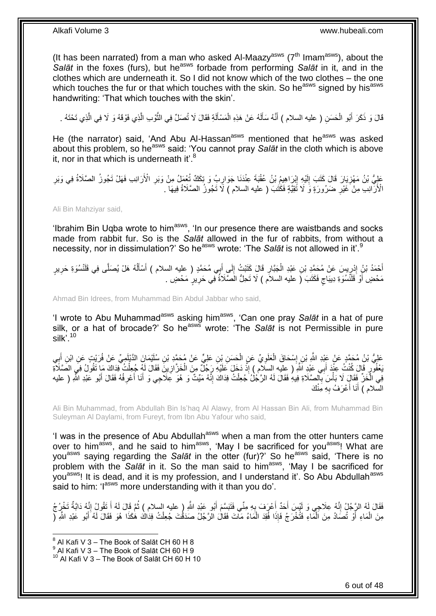(It has been narrated) from a man who asked Al-Maazy<sup>asws</sup> ( $7<sup>th</sup>$  Imam<sup>asws</sup>), about the Salāt in the foxes (furs), but he<sup>asws</sup> forbade from performing Salāt in it, and in the clothes which are underneath it. So I did not know which of the two clothes – the one which touches the fur or that which touches with the skin. So he<sup>asws</sup> signed by his<sup>asws</sup> handwriting: 'That which touches with the skin'.

قَالَ وَ ذَكَرَ أَبُو الْحَسَنِ ( عليه السلام ) أَنَّهُ سَأَلَهُ عَنْ هَذِهِ الْمَسْأَلَةِ فَقَالَ لَا تُصَلِّ فِي النَّوْبِ الَّذِي فَوْقَهُ وَ لَا فِي الَّذِي تَحْتَهُ . َ اَ َ ْ اَ َ َ ْ َ اً

He (the narrator) said, 'And Abu Al-Hassan<sup>asws</sup> mentioned that he<sup>asws</sup> was asked about this problem, so he<sup>asws</sup> said: 'You cannot pray *Salāt* in the cloth which is above it, nor in that which is underneath it' $8$ 

عَلِيُّ بْنُ مَهْزِيَارَ قَالَ كَتَبَ إِلَيْهِ إِبْرَاهِيمُ بْنُ عُقْبَةَ عِنْدَنَا جَوَارِبُ وَ تِكَكٌ تُعْمَلُ مِنْ وَبَرِ الْأَرَانِبِ فَهَلْ تَجُوزُ الصَّلَاةُ فِي وَبَرِ ِ **∶** ِ ِ اَ ِ ِ الْأَرَّانِبِ مِنْ َغَيْرِ ضَرُورَةٍ وَ لَا تُقِيَّةٍ فَكَتَبَ ( عليه السلام ) لَا تَجُوزُ الصَّلَاةُ فِيهَا ۖ ِ

Ali Bin Mahziyar said,

'Ibrahim Bin Uqba wrote to him<sup>asws</sup>, 'In our presence there are waistbands and socks made from rabbit fur. So is the *Salāt* allowed in the fur of rabbits, from without a necessity, nor in dissimulation?' So he<sup>asws</sup> wrote: 'The *Salāt* is not allowed in it'.<sup>9</sup>

أَحْمَدُ بْنُ إِدْرِيسَ عَنْ مُحَمَّدِ بْنِ عَيْدِ الْجَبَّارِ قَالَ كَتَبْتُ إِلَى إِبِي مُحَمَّدٍ ( عليه السلام ) أَسْأَلُهُ هَلْ يُصَلَّى فِي قَلَنْسُوَةِ حَرِيرٍ ا<br>ا أَ َ َ ِ **∶** ْ ِ ِ َ ِ مَحْضٍ أَوْ قَلَنْسُوَةِ دِيبَاجٍ فَكَتَبَ (َ عليه السلاَم ) لَا تَحِلُّ الْصَّلَاةُ فِي حَرِيرٍ مَحْضٍ . ٍ َ **∶** 

Ahmad Bin Idrees, from Muhammad Bin Abdul Jabbar who said,

'I wrote to Abu Muhammad<sup>asws</sup> asking him<sup>asws</sup>, 'Can one pray Salāt in a hat of pure silk, or a hat of brocade?' So he<sup>asws</sup> wrote: 'The *Salāt* is not Permissible in pure silk'. $^{10}$ 

عَلِيُّ بْنُ مُحَمَّدٍ عَنْ عَبْدِ اللَّهِ بْنِ إِسْحَاقَ الْعَلَوِيِّ عَنِ الْحَسَنِ بْنِ عَلِيٍّ عَنْ مُحَمَّدِ بْنِ سُلَيْمَانَ الدَّيْلَمِيِّ عَنْ فُرَيْتٍ عَنِ ابْنِ أَبِي<br>جَمِي بِنِّ مُحَمَّدٍ مَّن مَّن الْبَنِّ أَب ْ **∶** ْ יִין<br>∶ ِ َ **ٔ** بَعْفُو رِ قَالَ كُنْتُ عِنْدَ أَبِي عَيْدِ اَشْهِ ( عِليه السلام ) إِذْ دَخَلَ عَلَيْهِ رَجُلٌ مِنَ الْخَزَّازِينَ فَقَالَ لَهُ جُعِلْتُ فِدَاكَ مَا تَقُولُ فِيَ الصَّلَاةِ<br>. ْ ِ ْ فِي الْخَزِّ فَقَالٍَ لَا بَأْسَ بِٱلصَّلَاةِ فِيهِ فَقَالَ لَهُ الرَّجُلُ جُعِلْتُ فِدَاكَ إِنَّهُ مَيّتٌ وَ هُوَ عِلَاجِي وَ أَنَا أَعْرِفُهُ فَقَالَ أَبُو عَبْدِ اللّهِ ( عليه ِ ْ **∶** ֦֦֧֦֦֦֧֦֧֦֧֦֧֦֧֦֧֝֟֟֓֝֟֓֝֝֝<br>**֓**֧ׅ֓֘֩֡֘ ْ َ ِ َ السّلام ) أَنَا أَعْرَفُ بِهِ مِنْكَ ِ ا<br>ا َ

Ali Bin Muhammad, from Abdullah Bin Is'haq Al Alawy, from Al Hassan Bin Ali, from Muhammad Bin Suleyman Al Daylami, from Fureyt, from Ibn Abu Yafour who said,

'I was in the presence of Abu Abdullah<sup>asws</sup> when a man from the otter hunters came over to him<sup>asws</sup>, and he said to him<sup>asws</sup>, 'May I be sacrificed for you<sup>asws</sup>! What are you<sup>asws</sup> saying regarding the Salat in the otter (fur)?' So he<sup>asws</sup> said, 'There is no problem with the *Salāt* in it. So the man said to him<sup>asws</sup>, 'May I be sacrificed for you<sup>asws</sup>! It is dead, and it is my profession, and I understand it'. So Abu Abdullah<sup>asws</sup> said to him: 'l<sup>asws</sup> more understanding with it than you do'.

فَقَالَ لَمُه الرَّجُلُ إِنَّهُ عِلَاجِي وَ لَيْسَ أَحَدٌ أَعْرَفَ بِهِ مِنِّي فَتَبَسَّمَ أَبُو عَيْدِ اللَّهِ ( عليه السلام ) ثُمَّ قَالَ لَهُ أَ تَقُولُ إِنَّهُ دَابَةٌ تَخْرُجُ َ ِ ِ َ ا پایا<br>ا َ **∶** مِنَ الْمَاءِ أَوْ تُصَادُ مِنَ اَلْمَاءِ فَتُخْرَجُ فَإِذَا فُقِدَ الْمَاءُ مَاتَ فَقَالَ الرَّجُلُ صَدَقْتَ جُعِلْتُ فِدَاكَ هَكَذَا هُوَ فَقَالَ لَهُ أَبُو عَبْدِ اللَّهِ (ۖ ْ ْ ْ َ َ

 $^8$  Al Kafi V 3 – The Book of Salāt CH 60 H 8

 $^9$  Al Kafi V 3 – The Book of Salāt CH 60 H 9

 $10$  Al Kafi V 3 – The Book of Salāt CH 60 H 10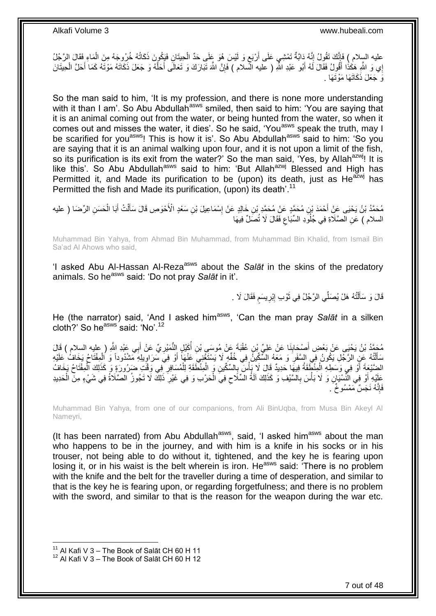عليه السِلام ) فَإِنَّكَ تَقُولُ إِنَّهُ دَابَةٌ تَمْشِي عَلَى أَرْبَعٍ وَ لَيْسَ هُوَ عَلَى حَدٍّ الْحِيتَانِ فَبَكُونَ ذَكَاتُهُ خُرُوجَهُ مِنَ الْمَاءِ فَقَالَ الرَّجُلُ ْ ٍ ֦֖֦֧֦֧֧֧֦֧ׅ֧֧ׅ֧֧֚֚֚֚֚֚֚֚֚֚֝֝֝֝֝֬֝֝֝֬֝֝֓֝֬֝֝֓֝֝֓֝֬֝֓֝֓֜֟֓֝֓֜֝֬ ْ إِي وَ اللَّهِ هَكُذُا أَقُولُ فَقَالَ لَهُ أَبُو عَبْدِ اللَّهِ ( عَليه الْمُملام ) فَإِنَّ اللَّهَ تَبَارَكَ وَ تَعَالَى أَحَلَّهُ وَ جَعَلَ ذَكَاتَهُ مَوْتَهُ كَمَا أَحَلَّ الْحِيتَانَ َ َ َ َ ∣ٍ إ ْ وَ جَعَلَ ذَكَاتَهَا مَوْتَهَا .

So the man said to him, 'It is my profession, and there is none more understanding with it than I am'. So Abu Abdullah<sup>asws</sup> smiled, then said to him: 'You are saying that it is an animal coming out from the water, or being hunted from the water, so when it comes out and misses the water, it dies'. So he said, 'You<sup>asws</sup> speak the truth, may I be scarified for you<sup>asws</sup>! This is how it is'. So Abu Abdullah<sup>asws</sup> said to him: 'So you are saying that it is an animal walking upon four, and it is not upon a limit of the fish, so its purification is its exit from the water?' So the man said, 'Yes, by Allah<sup>azwj</sup>! It is like this'. So Abu Abdullah<sup>asws</sup> said to him: 'But Allah<sup>azwj</sup> Blessed and High has Permitted it, and Made its purification to be (upon) its death, just as  $He^{a\bar{z}wj}$  has Permitted the fish and Made its purification, (upon) its death'.<sup>11</sup>

مُحَمَّدُ بْنُ يَحْيَى عَنِّ أَحْمَدَ بْنِ مُحَمَّدٍ عَنْ مُحَمَّدِ بْنِ خَالِدٍ عَنْ إِسْمَاعِيلَ بْنِ سَعْدٍ الْأَحْوَصِ قَالَ سَأَلْتُ أَبَا الْحَسَنِ الرِّضَا ( عليه ْ َ ِ ْ َ السلام ) عَنِ الصَّلَاةِ فِي جُلُوَدِ السِّبَاعِ فَقَالَ لَا تُصَلِّ فِيهَا ِ

Muhammad Bin Yahya, from Ahmad Bin Muhammad, from Muhammad Bin Khalid, from Ismail Bin Sa'ad Al Ahows who said,

'I asked Abu Al-Hassan Al-Reza<sup>asws</sup> about the Salat in the skins of the predatory animals. So he<sup>asws</sup> said: 'Do not pray Salat in it'.

> ِّ قَالَ وَ سَأَلْتُهُ هَلْ يُصَلِّي الرَّجُلُ فِي ثَوْبِ إِبْرِيسَم فَقَالَ لَا . ֺ֧֦֧֦֧֦֦֦֦֖֦֪֦֪֦֧֦֪֦֪֦֪֪֦֪֪֦֪֪֦֪֦֪֪֦֝֟֟֟֟֟֟֟֟֟֟֟֟֟֟֟֟֟֟֟֟֟֟֓֕֟֓֟֓֟֓֟֓֟֓֟֓֟֓֟֓֟֓֟֓֟֟֟֝֟֟֟֟֟֟֟֝֟ َ ֧֧֚֓֝֝֓֝֬ ِ ِ َ

He (the narrator) said, 'And I asked him<sup>asws</sup>, 'Can the man pray Salat in a silken cloth?' So he<sup>asws</sup> said: 'No'.<sup>12</sup>

مُحَمَّدُ بْنُ يَحْيَى عَنْ بَعْضِ أَصْحَابِنَا عَنْ عَلِيِّ بْنِ عُقْبَةَ عَنْ مُوسَى بْنِ أُكَيْلِ النُّمَيْرِيِّ عَنْ أَبِي عَبْدِ اللَّهِ ( عليه السلام ) قَالَ<br>مَثَنِّهُ َ َ **∶** المباد<sup>ر</sup><br>ا سَأَلْتُهُ عَنِ الرَّجُلِ يَكُونُ فِي السَّفَرِ وَ مَعَهُ السَّكِّينَ فِي خُفِّهٍ لَا يَسْتَغْنِيَ عَنْهَا أَوْ فِي سَرَاوِيلِهِ مَشْدُوداً وَ الْمِفْتَاحُ يَخَافُ عَلَيْهِ ِ َ ِ ֦֖֦֖֖֦֪֪֦֖֦֧֦֦֖֦֪֦֖֧֦֦֧֦֪֦֧֦֪֦֪֦֧֦֪֦֧֦֪֦֧֦֧֦֦֧֦֧֦֪֦֧֦֧֦֪֦֧֦֧֟֟֟֟֟֟֟֟֟֟֟֟֟֟֟֟֟֟֟֟֟֟֟֟֟֟֟֟֟֟֟֟֟֟֟֟֟֟֟֟֩֟֟֟֟֟֟֟֞֟֟ ْ الضَّيْعَةَ أَوْ فِي وَسَطِهِ الْمِنْضَفَةُ فِيهَا حَدِيدٌ قَالَ لَا بَأْسٌ بِالسِّكِّينِ وَ الْمِنْطَقَةِ لِلْمُسَافِرِ فِي وَقُتَ ضَرُورَةٍ وَ كَذَلِكَ الْمِفْتَاحُ يَخَافُ ِ ْ ْ ِ **ٔ** ْ ْ عَلَيْهِ أَوْ فِي النِّسْيَانِ وَ لَا بَأْسَ بِالسَّنْفِ وَ كَذَلِكَ آلَةُ السِّلَاحِ فِيَ الْحَرْبِ وَ فِي غَيْرِ ذَلِكَ لَا تَجُوزُ الصَّلَاةُ فِي شَيْءٍ مِنَ الْحَدِيدِ  $\zeta$ **∶ ٔ** ِ ْ فَإِنَّهُ نَجَسٌ مَمْسُوخٌ َ ِ ِ

Muhammad Bin Yahya, from one of our companions, from Ali BinUqba, from Musa Bin Akeyl Al Nameyri,

(It has been narrated) from Abu Abdullah<sup>asws</sup>, said, 'I asked him<sup>asws</sup> about the man who happens to be in the journey, and with him is a knife in his socks or in his trouser, not being able to do without it, tightened, and the key he is fearing upon losing it, or in his waist is the belt wherein is iron. He<sup>asws</sup> said: 'There is no problem with the knife and the belt for the traveller during a time of desperation, and similar to that is the key he is fearing upon, or regarding forgetfulness; and there is no problem with the sword, and similar to that is the reason for the weapon during the war etc.

 $11$  Al Kafi V 3 – The Book of Salāt CH 60 H 11

 $12$  Al Kafi V 3 – The Book of Salāt CH 60 H 12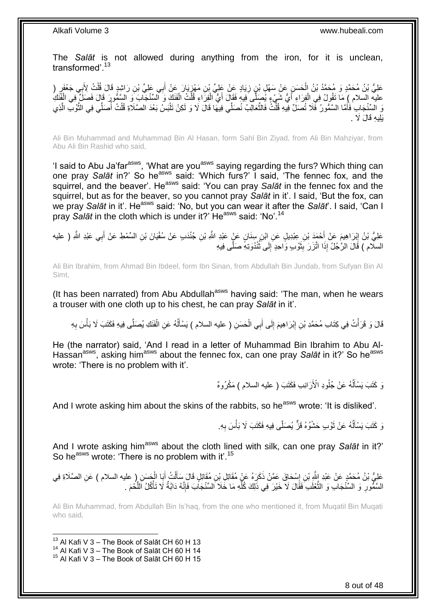The *Salāt* is not allowed during anything from the iron, for it is unclean, transformed'.<sup>13</sup>

عَلِيُّ بْنُ مُحَمَّدٍ وَ مُحَمَّدُ بْنُ الْحَسَنِ عَنْ سَهْلِ بْنِ زِيَادٍ عَنْ عَلِيٍّ بْنِ مَهْزِيَارَ عَنْ أَبِي عَلِيٍّ بْنِ رَاشِدٍ قَالَ قُلْتُ لِأَبِي جَعْفَرٍ ( َ ِ<br>ٱ **∶** ْ عليه السلام ) مَا تَقُولُ فِي الْفِرَاءِ أَيُّ شَيْءٍ يُصِلَّى فِيهِ فَقَالَ أَيُّ الْفِرَاءِ قُلْتُ الْفَنَكَ وَ السِّنْجَابَ وَ السِّئْوِرَ قَالَ فَصَلِّ فِي الْفَنَكِ َ ْ ْ ْ ْ َ نَ السِّنْجَابِ فَأَمَّا السَّمُّورُ ۖ فَلَا تُصَلِّ فِيهِ قُلْتُ فَالثَّعَالِبُ نُصَلِّي فِيهَا قَالَ لَا وَ لَكِنْ تَلْبَسُ بَعْدَ الصَّلَاةِ قُلْتُ أَصَلِّي فِي الثَّوْبِ الَّذِي َ ْ ِّ ر<br>ا ْ ْ َ ْ اً َ َيَلِيهِ قَالَ لَا

Ali Bin Muhammad and Muhammad Bin Al Hasan, form Sahl Bin Ziyad, from Ali Bin Mahziyar, from Abu Ali Bin Rashid who said,

'I said to Abu Ja'far<sup>asws</sup>, 'What are you<sup>asws</sup> saying regarding the furs? Which thing can one pray *Salāt* in?' So he<sup>asws</sup> said: 'Which furs?' I said, 'The fennec fox, and the squirrel, and the beaver'. He<sup>asws</sup> said: 'You can pray *Salāt* in the fennec fox and the squirrel, but as for the beaver, so you cannot pray *Salāt* in it'. I said, 'But the fox, can we pray *Salāt* in it'. Heasws said: 'No, but you can wear it after the *Salāt*'. I said, 'Can I pray *Salāt* in the cloth which is under it?' He<sup>asws</sup> said: 'No'.<sup>14</sup>

عَلِيُّ بْنُ إِبْرَاهِيمَ عَنْ أَحْمَدَ بْنِ عِبْدِيلٍ عَنِ ابْنِ سِنَانٍ عَنٍْ عَبْدِ اللَّهِ بْنِ جُنْدَبِ عَنْ سُفْيَانَ بْنِ السِّمْطِ عَنْ أَبِي عَبْدِ اللَّهِ ( عليه ِ َ اَ  $\frac{1}{2}$ السلّام ) قَالَ الرَّجُلُ إِذَا اتَّزَرَ بِثَوْبٍ وَاحِدٍ إِلَى تُنْدُوَتِهِ صَلَّى فِيهِ َ **∣** َ ُ

Ali Bin Ibrahim, from Ahmad Bin Ibdeel, form Ibn Sinan, from Abdullah Bin Jundab, from Sufyan Bin Al Simt,

(It has been narrated) from Abu Abdullah<sup>asws</sup> having said: 'The man, when he wears a trouser with one cloth up to his chest, he can pray *Salāt* in it'.

قَالَ وَ قَرَأْتُ فِي كِتَابِ مُحَمَّدِ بْنِ إِبْرَاهِيمَ إِلَى أَبِي الْحَسَنِ ( عليه السلام ) يَسْأَلُهُ عَنِ الْفَنَكِ يُصَلَّى فِيهِ فَكَتَبَ لَا بَأْسَ بِهِ ْ ا<br>ا َ ْ َ ِ ِ :<br>ا ِ ْ

He (the narrator) said, 'And I read in a letter of Muhammad Bin Ibrahim to Abu Al-Hassan<sup>asws</sup>, asking him<sup>asws</sup> about the fennec fox, can one pray *Salāt* in it?' So he<sup>asws</sup> wrote: 'There is no problem with it'.

> نَ كَتَبَ يَسْأَلُهُ عَنْ جُلُودِ الْأَرَانِبِ فَكَتَبَ ( عليه السلام ) مَكْرُوهٌ ا<br>ا َ

And I wrote asking him about the skins of the rabbits, so he<sup>asws</sup> wrote: 'It is disliked'.

نَ كَتَبَ يَسْأَلُهُ عَنْ ثَوْبٍ حَشْوُهُ قَرٌّ يُصَلَّى فِيهِ فَكَتَبَ لَا بَأْسَ بِهِ. ِ ْ َ ا<br>ا َ

And I wrote asking him<sup>asws</sup> about the cloth lined with silk, can one pray Salat in it?' So he<sup>asws</sup> wrote: 'There is no problem with it'.<sup>15</sup>

عَلِيُّ بْنُ مُحَمَّدٍ عَنْ عَبْدِ اللَّهِ بْنِ إِسْحَاقَ عَمَّنْ ذَكَرَهُ عَنْ مُقَاتِلٍ بْنِ مُقَاتِلٍ قَالَ سَأَلْتُ أَبَا الْحَسَنِ ( عليه السلام ) عَنِ الصَّلَاةِ فِي<br>حَلِيُّ بْنُ مُحَمَّدٍ عَنْ عَبْدِ اللَّهِ بْنِ إ َ ْ َ ِ ْ السَّمُّورِ ۚ وَ السَّنْجَابِ وَ النُّعْلَبِ فَقَالَ لَا خَيْرَ فِي ذَلِكَ كُلِّهِ مَا خَلَا اَلسِّنْجَاْبَ فَإِنَّهُ دَابَّةٌ لَا تَأْكُلُ اللَّحْمَ . َ **∶** َ ْ ׀ו<br>ِי ِّ

Ali Bin Muhammad, from Abdullah Bin Is'haq, from the one who mentioned it, from Muqatil Bin Muqati who said,

<sup>1</sup>  $13$  Al Kafi V 3 – The Book of Salāt CH 60 H 13

 $^{14}$  Al Kafi V 3 – The Book of Salāt CH 60 H 14

 $15$  Al Kafi V 3 – The Book of Salāt CH 60 H 15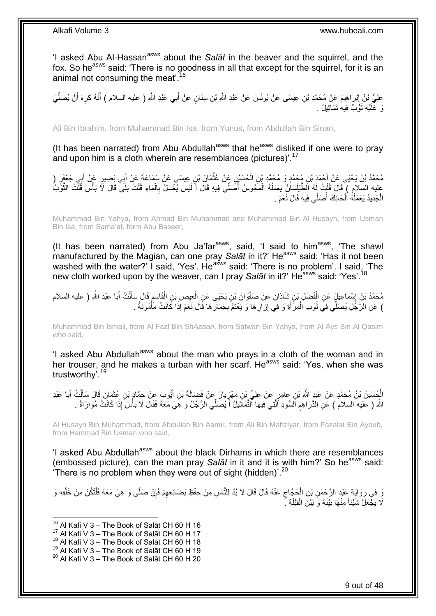'I asked Abu Al-Hassan<sup>asws</sup> about the Salat in the beaver and the squirrel, and the fox. So he<sup>asws</sup> said: 'There is no goodness in all that except for the squirrel, for it is an animal not consuming the meat'.<sup>16</sup>

عَلِيُّ بْنُ إِبْرَاهِيمَ عَنْ مُحَمَّدِ بْنِ عِيسَى عَنْ يُونُسَ عَنْ عَبْدِ اللَّهِ بْنِ سِنَانٍ عَنْ أَبِي عَبْدِ اللَّهِ ( عليه السلام ) أَنَّهُ كَرِهَ أَنْ يُصَلِّيَ <u>֖֓</u> ِّ َ ِ َ َ وَ عَلَيْهِ ثَوْبٌ فِيهِ تَمَاثِيلُ . رو<br>ا

Ali Bin Ibrahim, from Muhammad Bin Isa, from Yunus, from Abdullah Bin Sinan,

(It has been narrated) from Abu Abdullah<sup>asws</sup> that he<sup>asws</sup> disliked if one were to pray and upon him is a cloth wherein are resemblances (pictures)<sup>'.17</sup>

ِن ِعي َسل َع ْن َس َما َع َة َع َما َن ْب ِن َع ْن ُعث ُح َسْي ِن اا ِن ُم َح َمٍد َو ُم َح َمِد ْب ْح َمَد ْب ٍر ُم َح َمُد ْب ُن َي ْحَيل َع ْن أ ل ِي َج ْعَف ب ٍر َع ْن أ ِي َب َِلي ب ْن أ **ٔ** ْ َ َ عليه السلام ) فَالَ قُلْتُ لَهُ الطَّيْلَسَانُ يَعْمَلُهُ الْمَجُوسُ أُصَلِّي فِيهِ قَالَ أَ لَيْسَ يُغْسَلُ بِالْمَاءِ قُلْتُ بَلَى ۖ قَالَ لَأَ بَأْسَ قُلْتُ الثَّوَّبُ ْ ِ اَ ै।<br>। ْ ان<br>ا ْ َ ْ ْ الْجَدِيدُ يَعْمَلُهُ الْحَائِكُ أُصَلِّي فِيهِ قَالَ نَعَمْ . ُ ْ ا<br>ا ْ

Muhammad Bin Yahya, from Ahmad Bin Muhammad and Muhammad Bin Al Husayn, from Usman Bin Isa, from Sama'at, form Abu Baseer,

(It has been narrated) from Abu Ja'far $a<sup>asws</sup>$ , said, 'I said to him $a<sup>asws</sup>$ , 'The shawl manufactured by the Magian, can one pray Salat in it?' He<sup>asws</sup> said: 'Has it not been washed with the water?' I said, 'Yes'. He<sup>asws</sup> said: 'There is no problem'. I said, 'The new cloth worked upon by the weaver, can I pray Salāt in it?' He<sup>asws</sup> said: 'Yes'.<sup>18</sup>

مُحَمَّدُ بْنُ إِسْمَاعِيلٍ عَنِ الْفَضْلِ بْنِ شَاذَانَ عَنْ صَفْوَانَ بْنِ يَحْيَى عَنِ الْعِيصِ بْنِ الْقَاسِمِ قَالِ سَأَلْتُ أَبَا عَبْدِ اللَّهِ ( عليه السلام ْ ֦֧֦֧֦֧֦֧֦֧֦֧֦֧֦֦֦֧֦֦֦֚֚֬֜֡֜֡ َ ْ َ ِ ْ ْ ) عَنِ الرَّجُلِ يُصَلِّي فِيَ ثَوْبِ الْمَرْأَةِ وَ فِي إِزَارِ هَا وَ يَعْنَمُّ بِخِمَارِ هَا قَالَ نَعَمْ إِذَا كَانَتْ مَأْمُونَةً . ْ ِ ِ **∶** ِ َ ْ رو<br>ا

Muhammad Bin Ismail, from Al Fazl Bin Sh*Azaan*, from Safwan Bin Yahya, from Al Ays Bin Al Qasim who said,

'I asked Abu Abdullah<sup>asws</sup> about the man who prays in a cloth of the woman and in her trouser, and he makes a turban with her scarf. He<sup>asws</sup> said: 'Yes, when she was trustworthy'.<sup>19</sup>

الْجُسَيْنُ بْنُ مُحَمَّدٍ عَنْ عَبْدِ اللَّهِ بْنِ عَامِرٍ عَنْ عَلِيٍّ بْنِ مَهْزِ يَارَ عَنْ فَصَالَةَ بْنِ أَيُّوبَ عَنْ حَمَّادٍ بْنِ عُثْمَانَ قَالَ سَأَلْتُ أَبَا عَبْدِ ْ َ ِ َ ْ َ ْ ِّ اللَّهِ ( عليه السلام ) عَنِ الدَّرَاهِمِ اَلسُّودِ ٱلَّتِي فِيهَا ٱلنَّمَاتِيلُ أَ يُصَلِّي الرَّجُلُ وَ هَِيَ مَعَهُ فَقَالَ لَا بَأْسَ إِذَا كَانَتْ مُوَارَاةً . َ م<br>ا ِ ْ

Al Husayn Bin Muhammad, from Abdullah Bin Aamir, from Ali Bin Mahziyar, from Fazalat Bin Ayoub, from Hammad Bin Usman who said,

'I asked Abu Abdullah<sup>asws</sup> about the black Dirhams in which there are resemblances (embossed picture), can the man pray Salat in it and it is with him?' So he<sup>asws</sup> said: There is no problem when they were out of sight (hidden)'. $^{20}$ 

وَ فِي رِوَايَةٍ عَبْدٍ الرَّحْمَنِ بْنِ الْحَجَّاجِ عَنْهُ قَالَ قَالَ لَا بُدَّ لِلنَّاسِ مِنْ حِفْظِ بَضَائِعِهِمْ فَإِنْ صَلَّى وَ هِيَ مَعَهُ فَلْتَكُنْ مِنْ خَلْفِهِ وَ ِ ْ ِ ْ ْ ِ ِ لَا يَجْعَلُ شَيْئاً مِنْهَا بَيْنَهُ وَ بَيْنَ الْقِبْلَةِ جَ ْ

 $16$  Al Kafi V 3 – The Book of Salāt CH 60 H 16

- $17$  Al Kafi V 3 The Book of Salāt CH 60 H 17
- $18$  Al Kafi V 3 The Book of Salat CH 60 H 18
- $19$  Al Kafi V  $3 -$  The Book of Salāt CH 60 H 19  $20$  Al Kafi V 3 – The Book of Salāt CH 60 H 20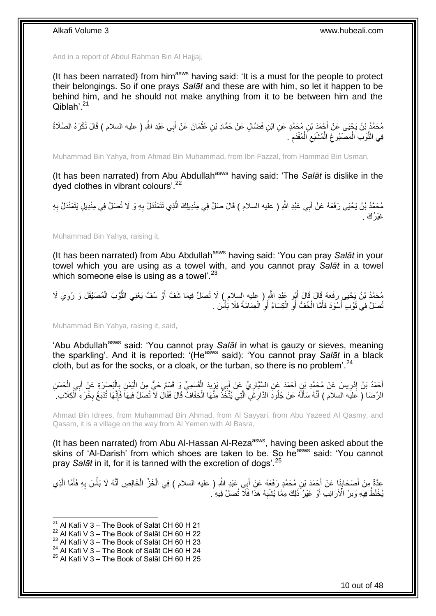And in a report of Abdul Rahman Bin Al Hajjaj,

(It has been narrated) from him<sup>asws</sup> having said: 'It is a must for the people to protect their belongings. So if one prays *Salāt* and these are with him, so let it happen to be behind him, and he should not make anything from it to be between him and the  $O$ iblah' $^{21}$ 

ِن ْح َمَد ْب ُم َح َمُد ْب ُن َي ْحَيل َع ْن أ ِي َعْبِد َّللاِ <sup>ل</sup> عليه ااس( م َ َقا َل تُ ْك َرهُ اا ََلَ( ةُ ب َما َن َع ْن أ ِن ُعث ِن َ َضا ٍل َع ْن َح َماِد ْب ُم َح َمٍد َع ِن اْب َ **ٔ** فِي النَّوْبِ الْمَصْنُوغِ الْمُشْبَعِ الْمُفْدَمِ . ِ ْ ِ ْ ِ ْ َ

Muhammad Bin Yahya, from Ahmad Bin Muhammad, from Ibn Fazzal, from Hammad Bin Usman,

(It has been narrated) from Abu Abdullah<sup>asws</sup> having said: 'The *Salāt* is dislike in the dyed clothes in vibrant colours'.<sup>22</sup>

مُحَمَّدُ بْنُ يَحْيَى رَفَعَهُ عَنْ أَبِي عَبْدِ اللَّهِ ( عليه السلام ) قَالَ صَلِّ فِي مِنْدِيلِكَ الَّذِي تَتَمَنْدَلُ بِهِ وَ لَا تُصَلِّ فِي مِنْدِيلٍ يَتَمَنْدَلُ بِهِ<br>يَذِيدُ بَنُ يَحْيَى رَفَعَهُ عَنْ أَبِي عَبْدِ َ َ ِ ِ غَيْرُ ۢكَ \_

Muhammad Bin Yahya, raising it,

(It has been narrated) from Abu Abdullah<sup>asws</sup> having said: 'You can pray Salat in your towel which you are using as a towel with, and you cannot pray *Salāt* in a towel which someone else is using as a towel'. $^{23}$ 

مُحَمَّدُ بْنُ يَحْيَى رَفَعَهُ قَالَ قَالَ أَبُو عَبْدِ اللَّهِ ( عليه السلام ) لَا تُصَلِّ فِيمَا شَفَّ أَوْ سُفَّ يَعْنِي الثَّوْبَ الْمُصَنْقَلَ وَ رُوِيَ لَا َ ِ ْ َ تُصَلِّ فِي ثَوْبِ أَسْوَدَ فَأَمَّا الْخُفُّ أَوِ الْكِسَاءُ أَوِ الْعِمَامَةُ فَلَا بَأْسَ . َ َ َ **ٔ** ْ ِ َ ْ ِ اً

Muhammad Bin Yahya, raising it, said,

'Abu Abdullah<sup>asws</sup> said: 'You cannot pray Salat in what is gauzy or sieves, meaning the sparkling'. And it is reported: '(He<sup>asws</sup> said): 'You cannot pray *Salāt* in a black cloth, but as for the socks, or a cloak, or the turban, so there is no problem'.  $24$ 

أَحْمَدُ بْنُ إِدْرِيسَ عَنْ مُجَمَّدِ بْنِ أَحْمَدَ عَنِ السَّيَّارِيِّ عَنْ أَبِي يَزِيدَ الْقَسْمِيِّ وَ قَسْمٌ حَيُّ مِنَ الْيَمَنِ بِالْمَسْرَةِ عَنْ أَبِي الْحَسَنِ ْ ِ َ **∶** َ **∶** ِ َ ْ َ ْ ِ ْ الرِّضَا ﴿ عَلَيْهُ الْسلامِ ﴾ أَنَّهُ سَأَلَّهُ عَنْ جُلُودِ الدَّارِشِّ الَّتِي يُتَّخَذُ مِنَّهَا الْخِفَافُ قَالَ لَا تُصَلِّ فِيهَاً فَإِنَّهَا تُدْبَعُ بِخُرْءِ ٱلْكِلَابِ ۚ ْ اُ اَ َ ْ ِ ∣ّٰ

Ahmad Bin Idrees, from Muhammad Bin Ahmad, from Al Sayyari, from Abu Yazeed Al Qasmy, and Qasam, it is a village on the way from Al Yemen with Al Basra,

(It has been narrated) from Abu Al-Hassan Al-Reza<sup>asws</sup>, having been asked about the skins of 'Al-Darish' from which shoes are taken to be. So heasws said: 'You cannot pray *Salāt* in it, for it is tanned with the excretion of dogs'.<sup>25</sup>

عِدَّةٌ مِنْ أَصْحَابِنَا عَنْ أَحْمَدَ بْنِ مُحَمَّدٍ رَفَعَهُ عَنِْ أَبِي عَبْدٍ اللَّهِ ( عليه السلام ) فِي الْخَزِّ الْخَالِصِ أَنَّهُ لَا بَأْسَ بِهِ فَأَمَّا الَّذِي<br>وَمَ ثُمَّةٌ مِنْ أَصْحَابِنَا عَنْ أَحْمَدَ بِنَ ْ ْ َ َ **∣** َ اً َ ِ ْ َ يُخْلَطُ فِيهِ وَبَرُ الْأَرَانِبِ أَوْ غَيْرُ ۖ ذَلِكَ مِمَّا يُشْبِهُ هَذَا فَلَاّ تُصَلِّ فِيهِ ُ **∶** َ

 $^{21}$  Al Kafi V 3 – The Book of Salāt CH 60 H 21

<sup>22</sup> Al Kafi V 3 – The Book of Salāt CH 60 H 22

 $^{23}$  Al Kafi V 3 – The Book of Salāt CH 60 H 23

<sup>&</sup>lt;sup>24</sup> Al Kafi V 3 – The Book of Salāt CH 60 H 24

 $25$  Al Kafi V 3 – The Book of Salāt CH 60 H 25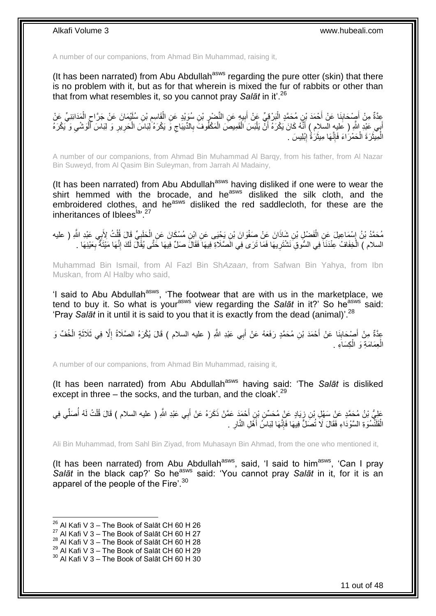A number of our companions, from Ahmad Bin Muhammad, raising it,

(It has been narrated) from Abu Abdullah<sup>asws</sup> regarding the pure otter (skin) that there is no problem with it, but as for that wherein is mixed the fur of rabbits or other than that from what resembles it, so you cannot pray *Salāt* in it'.<sup>26</sup>

ِ عِدَّةٌ مِنْ أَصْحَابِنَا عَنْ أَحْمَدَ بْنِ مُحَمَّدٍ الْبَرْقِيِّ عَنْ أَبِيهِ عَنِ النَّضْرِ بْنِ سُوَيْدٍ عَنِ الْقَاسِمِ بْنِ سُلَيْمَانَ عَنْ جَرَّاحٍ الْمَدَائِنِيِّ عَنْ ْ ِ ِ َ ْ **∣** َ ْ ٍ أَبِي عَنِدِ اللَّهِ ( عَليهِ السلام ) أَنَّهُ كَانَ يَكْرَهُ أَنَّ يَلْبَسَ الْقَمِيصَ الْمَكْفُوفَ بِالدِّيبَاجِ وَ يَكْرَهُ ٰلِيَاسَ الْحَرِيرِ وَ لِبَاسَ أَلْوَشْيِ وَ يَكْرَهُ ِ ِ ْ ْ ْ َ َ َ ِ ْ ِ ِ ْ ة<br>أ الْمِيثَرَةَ الْحَمْرَاءَ فَإِنَّهَا مِيثَرَةُ إِبْلِيسَ . ِ ْ ٔ, ْ ِ

A number of our companions, from Ahmad Bin Muhammad Al Barqy, from his father, from Al Nazar Bin Suweyd, from Al Qasim Bin Suleyman, from Jarrah Al Madainy,

(It has been narrated) from Abu Abdullah<sup>asws</sup> having disliked if one were to wear the shirt hemmed with the brocade, and he<sup>asws</sup> disliked the silk cloth, and the embroidered clothes, and he<sup>asws</sup> disliked the red saddlecloth, for these are the inheritances of Iblees<sup>la, 27</sup>

مُحَمَّدُ بْنُ إِسْمَاعِيلَ عَنِ الْفَضْلِ بْنِ شَاذَانَ عَنْ صَفْوَانَ بْنِ يَجْيَى عَنِ اِبْنِ مُسْكَانَ عَنِ الْحَلَبِيِّ قَالَ قُلْتُ لِأَبِي عَبْدِ اللَّهِ ( عليه ْ ֘<u>֓</u> ْ ِ ْ السلام ) الْخِفَافُ عِنْدَنَاَ فِي السُّوقِ َنَشْتَرِيهَا فَمَا تَرَى فِي الَصَّلَاةِ فِيهَا فَقَالَ صَلِّ فِيهَا خَتَّى يُقَالَ لَكَ إِنَّهَا مَيْنَةٌ بِعَيْنِهَا . ِ ْ ِ ِ

Muhammad Bin Ismail, from Al Fazl Bin Sh*Azaan*, from Safwan Bin Yahya, from Ibn Muskan, from Al Halby who said,

'I said to Abu Abdullah<sup>asws</sup>, 'The footwear that are with us in the marketplace, we tend to buy it. So what is yourasws view regarding the *Salāt* in it?' So heasws said: 'Pray *Salāt* in it until it is said to you that it is exactly from the dead (animal)'.<sup>28</sup>

عِدَّةٌ مِنْ أَصْحَابِنَا عَنْ أَحْمَدَ بْنِ مُحَمَّدٍ رَفَعَهُ عَنْ أَبِي عَبْدِ اللَّهِ ( عليه السلام ) قَالَ يُكْرَهُ الصَّلَاةُ إِلَّا فِي ثَلَاثَةٍ الْخُفِّ وَ َ **∣** َ ِ َ الْعِمَامَةِ وَ الْكِسَاءِ . ْ ْ

A number of our companions, from Ahmad Bin Muhammad, raising it,

(It has been narrated) from Abu Abdullah<sup>asws</sup> having said: 'The *Salāt* is disliked except in three – the socks, and the turban, and the cloak'. $^{29}$ 

عَلِيُّ بْنُ مُحَمَّدٍ عَنْ سَهْلِ بْنِ زِيَادٍ عَنْ مُحَسِّنِ بْنِ أَحْمَدَ عَمَّنْ ذَكَرَهُ عَنْ أَبِي عَبْدِ اللَّهِ ( عليه السلام ) قَالَ قُلْتُ لَهُ أُصَلِّي فِي<br>وَبِي َ َ ِ ِّ ُ ْ الْقَلَنْْسُوَةِ السَّوْدَاءِ فَقَالَ لَا تُصَلَّ فِيهَا فَإِنَّهَا لِبَاسُ أَهْلِ النَّارِ . اً<br>ا ِ .<br>ا **∶** 

Ali Bin Muhammad, from Sahl Bin Ziyad, from Muhasayn Bin Ahmad, from the one who mentioned it,

(It has been narrated) from Abu Abdullah<sup>asws</sup>, said, 'I said to him<sup>asws</sup>, 'Can I pray Salāt in the black cap?' So he<sup>asws</sup> said: 'You cannot pray Salāt in it, for it is an apparel of the people of the Fire'.<sup>30</sup>

 $^{26}$  Al Kafi V 3 – The Book of Salāt CH 60 H 26

 $^{27}$  Al Kafi V 3 – The Book of Salāt CH 60 H 27

 $^{28}$  Al Kafi V 3 – The Book of Salāt CH 60 H 28

 $^{29}$  Al Kafi V 3 – The Book of Salāt CH 60 H 29

 $30$  Al Kafi V 3 – The Book of Salāt CH 60 H 30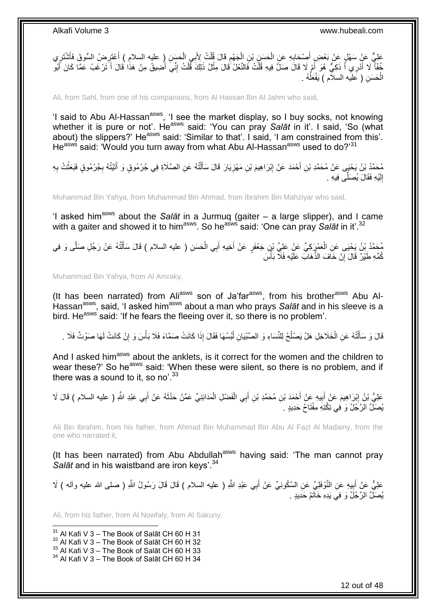عَلِيٌّ عَنْ سَهْلٍ عَنْ بَعْضٍ أَصِدَابِهِ عَنِ الْحَسَنِ بْنِ الْجَهْمِ قَالَ قُلْتُ لِأَبِي الْحَسَنِ إِ عليه السلامِ ) أَعْتَرِ ضُ السُّوقَ فَأَشْتَرِي َ ْ ْ **∶** ْ ْ ِ ِ َ ِ خُفَّاً لَا أُدْرِي أَ ذَكِيٌّ هُوَ أَمْ لَا قَالَ صَلِّ فِيهِ قُلْتُ فَالنَّعْلُ قَالَ مِثْلُ ذَلِكَ قُلْتُ إِنِّيَ أَضِيقُ مِنْ هَذَا قَالَ أَ تَرْغَبُ عَمَّا كَانَ أَبُو**ْ** َ َ َ َ َ َ ِ ْ **ٔ** ْ الْحَسَنِ ( عَلَيه السلاَم ) يَفْعَلُهُ . ا<br>ا ْ

Ali, from Sahl, from one of his companions, from Al Hassan Bin Al Jahm who said,

'I said to Abu Al-Hassan<sup>asws</sup>, 'I see the market display, so I buy socks, not knowing whether it is pure or not'. He<sup>asws</sup> said: 'You can pray Salat in it'. I said, 'So (what about) the slippers?' He<sup>asws</sup> said: 'Similar to that'. I said, 'I am constrained from this'. He<sup>asws</sup> said: 'Would you turn away from what Abu Al-Hassan<sup>asws</sup> used to do?'<sup>31</sup>

مُحَمَّدُ بْنُ يَحْيَى عَنْ مُحَمَّدِ بْنِ أَحْمَدَ عَنْ إِبْرَاهِيمَ بْنِ مَهْزِيَارَ قَالَ سَأَلْتُهُ عَنِ الصَّلَاةِ فِي جُرْمُوقٍ وَ أَتَيْتُهُ بِجُرْمُوقٍ فَبَعَثْتُ بِهِ ْ َ ِ ِ َ **∶** ْ ِ َ إِلَيْهِ فَقَالَ يُصَلِّي فِيهِ . اَ ِ َ

Muhammad Bin Yahya, from Muhammad Bin Ahmad, from Ibrahim Bin Mahziyar who said,

'I asked him<sup>asws</sup> about the *Salāt* in a Jurmuq (gaiter – a large slipper), and I came with a gaiter and showed it to him<sup>asws</sup>. So he<sup>asws</sup> said: 'One can pray *Salāt* in it'.<sup>32</sup>

ĺ مُحَمَّدُ بْنُ يَحْيَى عَنِ الْعَمْرَِكِيِّ عَنْ عَلِيِّ بْنٍ جَعْفَرٍ عَنْ أَخِيهِ أَبِي الْحَسَنِ ( عليه السلام ) قَالَ سَأَلْتُهُ عَنْ رَجُلٍ صَلَّى وَ فِي<br>، ْ َ َ ْ َ ْ كُمِّهِ طَيْرٌ ۚ قَالَ إِنْ خَافَ الذَّهَابَ عَلَيْهِ فَلَا بَأْسَ :<br>أ ِ

Muhammad Bin Yahya, from Al Amraky,

(It has been narrated) from Ali<sup>asws</sup> son of Ja'far<sup>asws</sup>, from his brother<sup>asws</sup> Abu Al-Hassan<sup>asws</sup>, said, 'I asked him<sup>asws</sup> about a man who prays *Salāt* and in his sleeve is a bird. He<sup>asws</sup> said: 'If he fears the fleeing over it, so there is no problem'.

قَالَ وَ سَأَلْتُهُ عَنِ الْخَلَاخِلِ هَلْ يَصْلُحُ لِلنِّسَاءِ وَ الصِّبْيَانِ لُبْسُهَا فَقَالَ إِذَا كَانَتْ صَمَّاءَ فَلَا بَأْسَ وَ إِنْ كَانَتْ لَهَا صَوْتٌ فَلَا . اُد<br>1 ا<br>ـا ْ ֺ֧֦֦֧֦֦֖֦֦֦֖֦֧֦֪֦֧֦֪֪֦֧֦֪֦֪֦֪֦֧֦֪֦֧֦֪֦֧֦֧֦֪֪֦֧֦֪֪֦֧֦֧֦֧֪֝֟֟֟֟֟֟֟֟֟֟֟֟֟֟֟֟֟֟֟֟֟֬֟֟֓֟֟֟֓֞֟֟֟֓֞֟֟֟֟֩֓֞֟֟֓֞֟֟֟֟֟֟֟֟֝ َ ِ ْ

And I asked him<sup>asws</sup> about the anklets, is it correct for the women and the children to wear these?' So he<sup>asws</sup> said: 'When these were silent, so there is no problem, and if there was a sound to it, so no'.  $33$ 

عَلِيُّ بْنُ إِبْرَاهِيمَ عَنْ إَبِيهِ عَنْ أَحْمَدَ بْنِ مُحَمَّدِ بْنِ أَبِي الْفَضْلِ الْمَدَائِنِيِّ عَمَّنْ حَذَّثَهُ عَنْ أَبِي عَبْدِ اللَّهِ ( عليه السلام ) قَالَ لَا ْ ْ َ َ ِ َ ِ َ َ ِّي ِّن َّ :ِ. َ .. ِ<br>بُصَلِّ الرَّ جُلُ وَ ۖ فِي تِكَّتِهِ مِفْتَاحُ حَدِيدٍ

Ali Bin Ibrahim, from his father, from Ahmad Bin Muhammad Bin Abu Al Fazl Al Madainy, from the one who narrated it,

(It has been narrated) from Abu Abdullah<sup>asws</sup> having said: 'The man cannot prav *Salāt* and in his waistband are iron keys'.<sup>34</sup>

عَلِيٌّ عَنْ أَبِيهِ عَنِ النَّوْفَلِيِّ عَنِ السَّكُونِيِّ عَنْ أَبِي عَبْدِ اللَّهِ ( عليه السلام ) قَالَ قَالَ رَسُولُ اللَّهِ ( صلى الله عليه وأله ) لَا َ ِ َ يُصَلِّ الرَّجُلُ وَ فِي يَدِهِ خَاتَمُ حَدِيدٍ .

Ali, from his father, from Al Nowfaly, from Al Sakuny,

 $31$  Al Kafi V 3 – The Book of Salāt CH 60 H 31

- $32$  Al Kafi V 3 The Book of Salāt CH 60 H 32
- $33$  Al Kafi V 3 The Book of Salāt CH 60 H 33

 $34$  Al Kafi V 3 – The Book of Salāt CH 60 H 34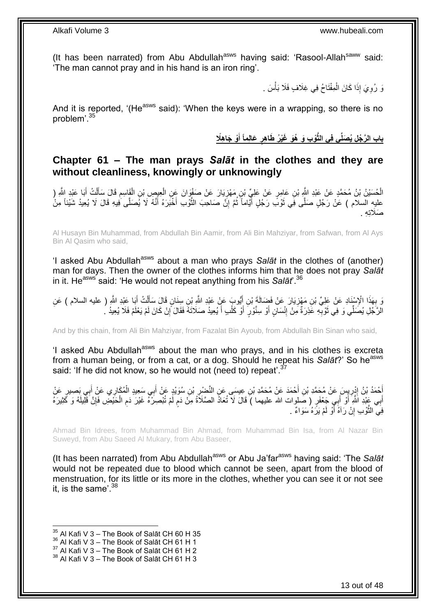(It has been narrated) from Abu Abdullah<sup>asws</sup> having said: 'Rasool-Allah<sup>saww</sup> said: 'The man cannot pray and in his hand is an iron ring'.

> ِ وَ رُوِيَ إِذَا كَانَ الْمِفْتَاحُ فِي غِلَافٍ فَلَا بَأْسَ . ِ ،<br>ا ْ

And it is reported. '(He<sup>asws</sup> said): 'When the keys were in a wrapping, so there is no problem'.<sup>35</sup>

> باب الرَّجُلِ يُصَلِّى فِى الثَّوْبِ وَ هُوَ غَيْرُ طَاهِرٍ عَالِماً أَوْ جَاهِلَا **َ ٍ**

### <span id="page-12-0"></span>**Chapter 61 – The man prays** *Salāt* **in the clothes and they are without cleanliness, knowingly or unknowingly**

الْحُسَيْنُ بْنُ مُحَمَّدٍ عَنْ عَبْدِ اللَّهِ بْنِ عَامِرٍ عَنْ عَلِيٍّ بْنِ مَهْزِيَارَ عَنْ صَفْوَانَ عَنِ الْعِيصِ بْنِ الْقَاسِمِ قَالَ سَأَلْتُ أَبَا عَبْدِ اللَّهِ ( ْ ِ َ ْ َ ِ ْ عليه السلام ) عَنْ رَجُلٍ صَلَّى فِي ثَوْبَ رَجُلٍ أَيَّاماً ثُمَّ إِنَّ صَاحِبَ الثَّوْبِ أُخْبَرَهُ أَنَّهُ لَا يُصَلَّى فِيهِ قَالَ لَا يُعِيدُ شَيْئاً مِنْ َ َ  $\ddot{\ddot{\cdot}}$ ِ ُ َ َ صَلَاته

Al Husayn Bin Muhammad, from Abdullah Bin Aamir, from Ali Bin Mahziyar, from Safwan, from Al Ays Bin Al Qasim who said,

'I asked Abu Abdullah<sup>asws</sup> about a man who prays Salat in the clothes of (another) man for days. Then the owner of the clothes informs him that he does not pray *Salāt* in it. He<sup>asws</sup> said: 'He would not repeat anything from his *Salāt*'.<sup>36</sup>

ĺ َن بِهَذَا الْإِسْنَادِ عَنْ عَلِيِّ بْنِ مَهْزِيَارَ عَنْ فَضَالَةً بْنِ أَيُّوبَ عَنْ عَبْدِ اللَّهِ بِن سِنَانِ قَالَ سَأَلْتُ أَبَا عَبْدِ اللَّهِ ( عليه السلام ) عَنِ<br>نَفْسُدُ بِيَّ أَيْضَاءُ الْمَسْئَلِمِينَ عَبِيدٍ َ ِ ِ َ ْ الرَّجُلِ يُصَلِّي وَ فِي ثَوْبِهِ عَذِرَةٌ مِنْ إِنْسَانٍ أَوْ سِنَّوْرٍ ۖ أَوْ كَلْبِ أَ يُعِيدُ صَلَاتَهُ فَقَالَ َإِنْ كَانَ لَمْ يَعْلَمْ فَلَا يُعِيدُ ۖ . َ ِ **∶** ة<br>ا ِ َ ْ اُ

And by this chain, from Ali Bin Mahziyar, from Fazalat Bin Ayoub, from Abdullah Bin Sinan who said,

'I asked Abu Abdullah<sup>asws</sup> about the man who prays, and in his clothes is excreta from a human being, or from a cat, or a dog. Should he repeat his *Salat*?' So he<sup>asws</sup> said: 'If he did not know, so he would not (need to) repeat'.<sup>37</sup>

ِ أَحْمَدُ بْنُ إِدْرِيسَ عَنْ مُحَمَّدِ بْنِ أَحْمَدَ عَنْ مُحَمَّدِ بْنِ عِيسَى عَنِ النَّصْبِرِ بْنِ سُوَيِدٍ<br>أَحْمَدُ بَنُ إِبْرِيِّسَ عَنْ مُحَمَّدِ بْنِ أَحْمَدَ عَنْ مُحَمَّدِ بْنِ عِيسَى عَنِ النَّصْبِرِ بِمَعْدِدِ ِ ِ َ ْ َ أَبِي عَِبْدِ اللَّهِ أَوْ أَبِي جَعْفَرٍ ( صَلوات الله عليهما ) قَالَ لَا تُعَادُ الصَّلَاةُ مِنْ دَمٍ لَمْ تُبْصِرْهُ غَيْرَ دَمِ الْحَيْضِ فَإِنَّ قَلِّلِلَهُ وَ كَثِيرَهُ اَ ֧֖֖֖֧֧֖֧֧֧֧֧ׅ֧֧֧֧֧֚֚֚֚֓֝֝֝֝֟֓֟֓֝֬֝֓֝֓֝֬֟֓֟֓֟֓֟֓֝֬֝֬֝֓֝֬֜֓֝֬֝֓֝֬֝֬֝ َ َ َ ∣ļ ْ ِ ِ فِيَ النَّوْبِ إِنْ رَآهُ أَوْ لَمْ يَرَهُ سَوَاءٌ . َ َ

Ahmad Bin Idrees, from Muhammad Bin Ahmad, from Muhammad Bin Isa, from Al Nazar Bin Suweyd, from Abu Saeed Al Mukary, from Abu Baseer,

(It has been narrated) from Abu Abdullah<sup>asws</sup> or Abu Ja'far<sup>asws</sup> having said: 'The Salat would not be repeated due to blood which cannot be seen, apart from the blood of menstruation, for its little or its more in the clothes, whether you can see it or not see it, is the same'. $38$ 

1

 $37$  Al Kafi V 3 – The Book of Salāt CH 61 H 2

 $35$  Al Kafi V 3 – The Book of Salāt CH 60 H 35

<sup>&</sup>lt;sup>36</sup> Al Kafi V 3 – The Book of Salāt CH 61 H 1

<sup>&</sup>lt;sup>38</sup> Al Kafi V 3 – The Book of Salāt CH 61 H 3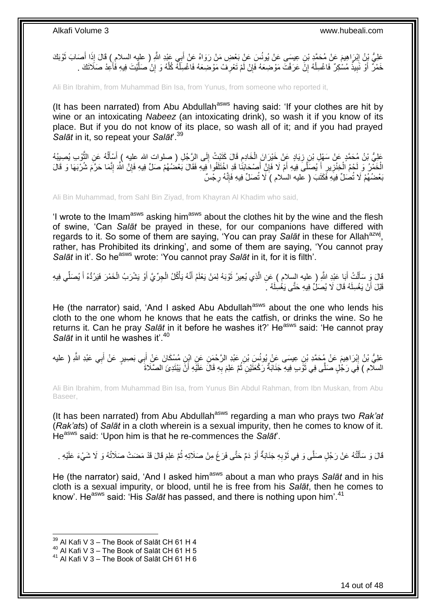عَلِيُّ بِنُ إِبْرَاهِيمَ عَنْ مُحَمَّدٍ بْنِ عِيسَى عَنْ يُونُسَ عَنْ بَعْضِ مَنْ رَوَاهُ عَنْ أَبِي عَيْدِ اللَّهِ ( عليه السلام ) قَالَ إِذَا أَصَابَ ثَوْبَكَ ِ اً<br>ا َ َ خَمْرٌ ۚ أَوْ نَبِيذٌ مُسْكِرٌ ۖ فَاغْسِلْهُ إِنَّ عَرَفْتَ مَوْصَعَهُ فَإِنْ لَّمْ تَعْرِفَ مَوْصَعَهُ فَاغْسِلُهُ كُلَّهُ وَ إِنْ صَلَّيْتَ فِيهِ فَأَعِدْ صَلَاتَكَ ۚ ِ َ ْ ِ ∣lٍ ِ ْ **!** َ

Ali Bin Ibrahim, from Muhammad Bin Isa, from Yunus, from someone who reported it,

(It has been narrated) from Abu Abdullah $a<sup>asws</sup>$  having said: 'If your clothes are hit by wine or an intoxicating *Nabeez* (an intoxicating drink), so wash it if you know of its place. But if you do not know of its place, so wash all of it; and if you had prayed *Salāt* in it, so repeat your *Salāt*'.<sup>39</sup>

عَلِيُّ بْنُ هُحَمَّدٍ عَنْ سَهْلٍ بْنِ زِيَادٍ عَنْ خَيْرَانَ الْخَادِمِ قَالَ كَتَبْتُ إِلَى الرَّجُلِ ( صلوات الله عليه ) أَسْأَلُهُ عَنِ الثَّوْبِ يُصِيبُهُ<br>أَحْيَٰ بَانٌ مُحَمَّدٍ ، ِ ِ ْ ِ َ ُ َ الْخَمْرُ وَ لَحْمُ الْخِنْزِيرِ أَيُصَلَّىَ فِيهِ أَمْ لَا فَإِنَّ أَصْحَابَنَا قَدِ اخْتَلَفُوا فِيهِ فَقَالَ بَعْضُهُمْ صَلِّ فِيهِ فَإِنَّ اللَّهَ إِنَّمَا حَرَّمَ شُرْبَهَا وَ قَالَ َ ِ َ َ ِ **∶** ْ ِ ِ بَعْضُهُمْ لَا تُصَلِّ فِيَهِ فَكَتَبَ ( عليه السلام ) لَا تُصَلِّ فِيهِ فَإِنَّهُ رِجْسٌ **∶** ِ

Ali Bin Muhammad, from Sahl Bin Ziyad, from Khayran Al Khadim who said,

'I wrote to the Imam<sup>asws</sup> asking him<sup>asws</sup> about the clothes hit by the wine and the flesh of swine, 'Can *Salāt* be prayed in these, for our companions have differed with regards to it. So some of them are saying, 'You can pray Salat in these for Allah<sup>azwj</sup>, rather, has Prohibited its drinking', and some of them are saying, 'You cannot pray *Salāt* in it'. So he<sup>asws</sup> wrote: 'You cannot pray *Salāt* in it, for it is filth'.

لَا وَ سَأَلْتُ أَبَا عَبْدِ اللَّهِ ( عليه السلام ) عَنِ الَّذِي يُعِيرُ تَوْبَهُ لِمَنْ يَعْلَمُ أَنَّهُ يَأْكُلُ الْجِرِّيَّ أَوْ يَشْرَبُ الْخَمْرَ فَيَرُدُّهُ أَ يُصَلِّي فِيهِ ْ ْ َ َ اً َ ْ َ َ ْ َ قَبْلَ أَنْ يَغْسِلَهُ قَالَ لَا يُصَلِّ فِيهِ حَتَّى يَغْسِلَهُ  $\,$ َ

He (the narrator) said, 'And I asked Abu Abdullah<sup>asws</sup> about the one who lends his cloth to the one whom he knows that he eats the catfish, or drinks the wine. So he returns it. Can he pray *Salāt* in it before he washes it?' He<sup>asws</sup> said: 'He cannot pray Salāt in it until he washes it<sup>'.40</sup>

عَلِيُّ بْنُ إِبْرَاهِيمَ عَنْ مُحَمَّدِ بْنِ عِيسَى عَنْ يُونُسَ بْنِ عَبْدِ الرَّحْمَنِ عَنِ ابْنِ مُسْكَانَ عَنْ أَبِي بَصِيرٍ عَنْ أَبِي عَبْدِ اللَّهِ ( عليه َ ِ َ َ السلّام ) فِي رَجُلٍ صَلَّى فِي ثَوَّبٍ فِيهِ جَنَابَةٌ رَكْعَتَيْنِ ثُمَّ عَلِمَ بِهِ قَالَ عَلَيْهِ أَنْ يَيْتَدِئَ الصَّلَاةَ َ ِ ان<br>المقام المقام المقام المقام المقام المقام المقام المقام المقام المقام المقام المقام المقام المقام المقام المقا

Ali Bin Ibrahim, from Muhammad Bin Isa, from Yunus Bin Abdul Rahman, from Ibn Muskan, from Abu Baseer,

(It has been narrated) from Abu Abdullah<sup>asws</sup> regarding a man who prays two *Rak'at* (*Rak'at*s) of *Salāt* in a cloth wherein is a sexual impurity, then he comes to know of it. Heasws said: 'Upon him is that he re-commences the *Salāt*'.

قَالَ وَ سَأَلْتُهُ عَنْ رَجُلٍ صَلَّى وَ فِي ثَوْبِهِ جَذَابَةٌ أَوْ دَمٌ حَتَّى فَرَغَ مِنْ صَلَاتِهِ ثُمَّ عَلِمَ قَالَ قَدْ مَضَتْ صَلَاتُهُ وَ لَا شَيْءَ عَلَيْهِ . اُ ِ َ ֦֧֦֧֦֦֧֦֦֦֦֦֦֦֦֦֦֦֦֦֦֦֦֦֦֦֧֦֧֦֧֦֦֧֦֪֪֦֦֧֦֦֦֧֦֪֪֪֦֟֟֟֟֟֟֟֟֟֟֟֟֟֟֓֕֟֟֓֕֟֓֟֓֞֟֝֟֓֟֓֟֓֞֟֓֞֟֟֓֞֟֓֞֟֓֞֟ ُ

He (the narrator) said, 'And I asked him<sup>asws</sup> about a man who prays Salat and in his cloth is a sexual impurity, or blood, until he is free from his *Salāt*, then he comes to know'. He<sup>asws</sup> said: 'His *Salāt* has passed, and there is nothing upon him'.<sup>41</sup>

 $39$  Al Kafi V 3 – The Book of Salāt CH 61 H 4

 $^{40}$  Al Kafi V 3 – The Book of Salāt CH 61 H 5

 $41$  Al Kafi V 3 – The Book of Salāt CH 61 H 6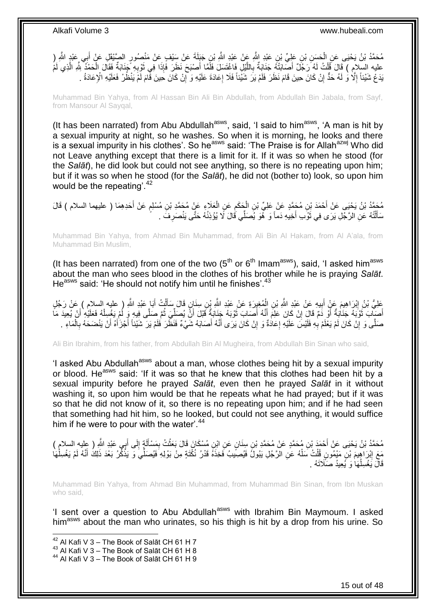مُحَمَّدُ بْنُ يَحْيَى عَنِ الْحَسَنِ بْنِ عَلِيِّ بْنِ عَبْدِ اللَّهِ عَنْ عَبْدِ اللَّهِ بْنِ جَبَلَةَ عَنْ سَيْفٍ عَنْ مَنْصُورٍ الصَّيْقِلِ عَنْ أَبِي عَبْدٍ اللَّهِ (<br>. ْ َ عليه السلامِ ) قَالَ قُلْتُ لَهُ رَجُلٌ أَصِّابَتْهُ جَذَابَةٌ بِاللَّيْلِ فَاغْتَسَلَ فَلَمَّا أَصْبْحَ نَظَرَ فَإِذَا فِي ثَوْبِهِ جَذَابَةٌ فَقَالَ الْحَمْدِ لِّلَّهِ الَّذِي لَمُّ َ ة<br>ما ْ ِ َ ∣اٍ َ ا<br>ا **∶** َ َندَعُ شَيْئاً إِلَّا ۚ وَ لَهُ حَدٌّ إِنْ كَانَ حِينَ قَامَ نَظَرَ فَلَمْ يَرَ شَيَّئِنَا فَلَا إِعَادَةَ عَلَيْهِ وَ إِنْ كَانَ حِينَ قَامَ لَمْ يَنْظُرْ فَعَلَيْهِ الْإِعَادَةُ . יֲ<br>י ِ ِ ِ

Muhammad Bin Yahya, from Al Hassan Bin Ali Bin Abdullah, from Abdullah Bin Jabala, from Sayf, from Mansour Al Sayqal,

(It has been narrated) from Abu Abdullah $a<sup>asws</sup>$ , said, 'I said to him $a<sup>asws</sup>$ , 'A man is hit by a sexual impurity at night, so he washes. So when it is morning, he looks and there is a sexual impurity in his clothes'. So he<sup>asws</sup> said: 'The Praise is for Allah<sup>azwj</sup> Who did not Leave anything except that there is a limit for it. If it was so when he stood (for the *Salāt*), he did look but could not see anything, so there is no repeating upon him; but if it was so when he stood (for the *Salāt*), he did not (bother to) look, so upon him would be the repeating'.<sup>42</sup>

مُحَمَّدُ بْنُ يَحْيَى عَنْ أَحْمَدَ بْنِ مُحَمَّدٍ عَنْ عَلِيِّ بْنِ الْجَكَمِ عَنِ الْعَلَاءِ عَنْ مُحَمَّدِ بْنِ مُسْلِمٍ عَنْ أَحَدِهِمَا ( عليهما السلام ) قَالَ<br>مُنْهُمْ بَنُ يَحْيَى عَنْ أَحْمَدَ بْنِ مُحَمَّدٍ عَنْ َ ֧֖֧֖֖֖֖֖֧֖֖֖֧֧֧֧֧֧֧֧֧֧֧֧֧֧֚֚֚֚֚֚֚֚֚֝֝֟֓֝֓֝֓֝֬֟֓֝֬֟֓֝֬֝֓֝֓֝֓֝֬֝֓֝֬֝֓֝֬֝֓֝֬֝֬֓֝֬֝֬ ْ ِ ْ سَأَلْتُهُ عَنِ الرَّجُلِ يَرَى فِي ثَوَّبِ أَخِيهِ دَماً وَ ۖ هُوَ يُصَلِّي قَالَ لَا يُؤْذِنُهُ حَتَّى يَنْصَرِ فَۖ ۔ ِ َ ة<br>أ ْ َ

Muhammad Bin Yahya, from Ahmad Bin Muhammad, from Ali Bin Al Hakam, from Al A'ala, from Muhammad Bin Muslim,

(It has been narrated) from one of the two  $5<sup>th</sup>$  or  $6<sup>th</sup>$  Imam<sup>asws</sup>), said, 'I asked him<sup>asws</sup> about the man who sees blood in the clothes of his brother while he is praying *Salāt*. He<sup>asws</sup> said: 'He should not notify him until he finishes'.<sup>43</sup>

عَلِيُّ بْنُ إِبْرَاهِيمَ عَنٍْ أَبِيهِ عَنْ عَبْدِ اللَّهِ بْنِ الْمُغِيرَةِ عَنْ عَبْدِ اللَّهِ بِنِ سِنَإِن قَالَ سَأَلْتُ أَبَا عَبْدِ اللَّهِ ( عليه السلام ) عَنْ رَجُلٍ ْ َ ْ **!** َ أَصَيِّابَ ثَوْبَهُ جَذَابَةٌ أَوْ دَمٌ قَالَِ إِنْ كَانَ عَلِمَ أَنَّهُ أَصَابِ ثَوْبَهُ جَنَابَةٌ قَبْلَ أَنَّ يُصِلِّيَ ثُمَّ صَلَّى فِيهِ وَ لُمْ يَغْسِلْهُ فَعَلَيْهِ أَنْ يُعِيدَ مَا ة<br>أ َ ْ ا پایا<br>ا ِّ َ َ ِ َ صَلَّى وَ إِنْ كَانَ لَمْ يَعْلَمْ بِهِ فَلَيْسَ عَلَيْهِ إِعَادَةٌ وَ إِنْ كَانَ يَرَى أَنَّهُ أَصَابَهُ شَيْءٌ فَنَظَرَ فَلَمْ يَرَ شَيْئاً أَجْزَأَهُ أَنْ يَنْضَحَهُ بِالْمَاءِ . َ ِ ِ **∶** יִי, ْ ِ َ َ َ

Ali Bin Ibrahim, from his father, from Abdullah Bin Al Mugheira, from Abdullah Bin Sinan who said,

'I asked Abu Abdullah<sup>asws</sup> about a man, whose clothes being hit by a sexual impurity or blood. He<sup>asws</sup> said: 'If it was so that he knew that this clothes had been hit by a sexual impurity before he prayed *Salāt*, even then he prayed *Salāt* in it without washing it, so upon him would be that he repeats what he had prayed; but if it was so that he did not know of it, so there is no repeating upon him; and if he had seen that something had hit him, so he looked, but could not see anything, it would suffice him if he were to pour with the water'.<sup>44</sup>

مُحَمَّدُ بْنُ يَحْيَى عَنْ أَحْمَدَ بْنِ مُحَمَّدٍ عَنْ مُحَمَّدِ بْنِ سِنَانٍ عَنِ ابْنِ مُسْكَانَ قَالَ بَعَثْتُ بِمَسْأَلَةٍ إِلَى أَبِي عَبْدِ اللَّهِ ( عليه السلام )<br>- يَمَّذُ بَنُ يَحْيَى عَنْ أَحْمَدَ بْنِ مُحَمَّد َ ِ اَ Í ِ ْ مَعَ إِبْرَ اهِيمَ بْنِ مَيْمُونِ قُلْتُ سَلْهُ عَنِ الرَّجُلِ يَبُولُ فَيُصِيَبُ فَخِذَهُ قَدْرُ نُكْتَةٍ مِنْ بَوْلِهِ فَيُصَلِّيَ وَ يَذْكُرُ بَعْدَ ذَلِكَ أَنَّهُ لَمْ يَغْسِلْهَا ْ ْ ِ ْ َ ْ قَالَ يَغْسِلُهَا وَ يُعِيدُ صَلَّاتَهُ . .<br>با

Muhammad Bin Yahya, from Ahmad Bin Muhammad, from Muhammad Bin Sinan, from Ibn Muskan who said,

'I sent over a question to Abu Abdullah<sup>asws</sup> with Ibrahim Bin Maymoum. I asked him<sup>asws</sup> about the man who urinates, so his thigh is hit by a drop from his urine. So

 $42$  Al Kafi V 3 – The Book of Salāt CH 61 H 7

<sup>43</sup> Al Kafi V  $3 -$  The Book of Salāt CH 61 H 8

<sup>44</sup> Al Kafi V 3 – The Book of Salāt CH 61 H 9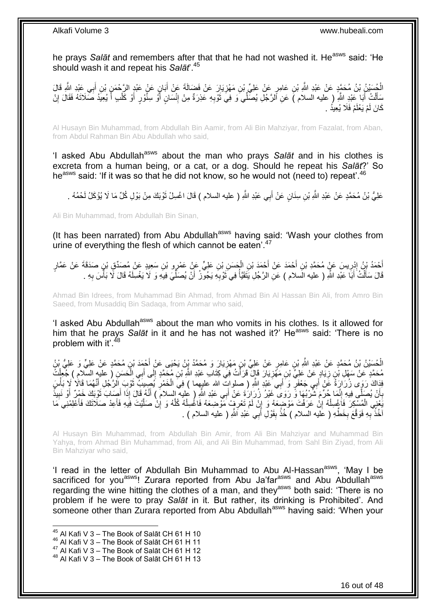he prays Salat and remembers after that that he had not washed it. He<sup>asws</sup> said: 'He should wash it and repeat his *Salāt*'.<sup>45</sup>

الْجُسَنْنُ بْنُ مُحَمَّدٍ عَنْ عَبْدِ اللَّهِ بْنِ عَامِرٍ عَنْ عَلِيٍّ بْنِ مَهْزِيَارَ عَنْ فَضَالَةَ عَنْ أَبَانٍ عَنْدٍ عَبْدِ الرَّحْمَنِ بْنِ أَبِي عَبْدِ اللَّهِ قَالَ **∶** َ َ ِ سَأَلْتُ أَبَا عَبْدِ اللَّهِ ( عليه السلام )َ عَنِ أَلرَّجُلِ يُصَلِّي َو فِيَ تُؤْدِهِ عَذِرَةٌ مِنْ إِنْسَانٍ أَوْ سِنَّوْرٍ أَوْ كَلْبِ أَ يُعِيدُ صَلَاتَهُ فَقَالَ إِنْ ِ ِ َ َ ْ ِ َ ْ َ َ كَانَ لَمْ يَعْلَمْ فَلَا يُعِيدُ .

Al Husayn Bin Muhammad, from Abdullah Bin Aamir, from Ali Bin Mahziyar, from Fazalat, from Aban, from Abdul Rahman Bin Abu Abdullah who said,

'I asked Abu Abdullah<sup>asws</sup> about the man who prays Salat and in his clothes is excreta from a human being, or a cat, or a dog. Should he repeat his *Salāt*?' So he<sup>asws</sup> said: 'If it was so that he did not know, so he would not (need to) repeat'.<sup>46</sup>

عَلِيُّ بْنُ مُحَمَّدٍ عَنْ عَبْدِ اللَّهِ بْنِ سِنَانٍ عَنْ أَبِي عَبْدِ اللَّهِ ( عليه السلام ) قَالَ اغْسِلْ ثَوْبَكَ مِنْ بَوْلِ كُلِّ مَا لَا يُؤْكَلُ لَحْمُهُ . َ َ

Ali Bin Muhammad, from Abdullah Bin Sinan,

(It has been narrated) from Abu Abdullah<sup>asws</sup> having said: 'Wash your clothes from urine of everything the flesh of which cannot be eaten<sup>'.47</sup>

أَحْمَدُ بْنُ إِدْرِيسَ عَنْ مُحَمَّدِ بْنِ أَحْمَدَ عَنْ أَحْمَدَ بْنِ الْحَسَنِ بْنِ عَلِيٍّ عَنْ عَمْرٍو بْنِ سَعِيدٍ عَنْ مُصَدِّقٍ بْنٍ صَدَقَةَ عَنْ عَمَّارٍ<br>يَبْدَتُ بِنُّ يُرْتَزِينَ مَنْ عَمَّارَ الْمَلَامَةِ بِن ْ َ َ **∶** ِ َ قَالَ سَأَلْتُ أَبَا عَبْدِ اللَّهِ ( عليه الْسلام ) عَنِّ الرَّجُلِ يَتَقَيَّأُ فِي َثْوْبِهِ يَجُوَّزُ أَنْ يُصَلِّيَ فِيهِ وَ لَا يَغْسِلَهُ قَالَ لَّا بَأْسَ بِهِ . َ ْ ِّ َ ِ َ المستقبل المستقبل المستقبل المستقبل المستقبل المستقبل المستقبل المستقبل المستقبل المستقبل المستقبل المستقبل ال<br>والمستقبل **∶** ا<br>أ

Ahmad Bin Idrees, from Muhammad Bin Ahmad, from Ahmad Bin Al Hassan Bin Ali, from Amro Bin Saeed, from Musaddiq Bin Sadaqa, from Ammar who said,

'I asked Abu Abdullah<sup>asws</sup> about the man who vomits in his clothes. Is it allowed for him that he prays Salat in it and he has not washed it?' He<sup>asws</sup> said: 'There is no problem with it'.<sup>48</sup>

الْحُسَنِنُ بْنُ مُحَمَّدٍ عَنْ عَبْدِ اللَّهِ بْنِ عَامِرٍ عَنْ عَلِيٍّ بْنِ مَهْزِيَارَ وَ مُحَمَّدُ بْنُ يَحْيَى عَنْ أَحْمَدَ بْنِ مُحَمَّدٍ عَنْ عَلِيٍّ وَ عَلِيُّ بْنُ ْ َ **∶** مُحَمَّدٍ عَنْ سَهْلِ بْنِ زِيَادٍ عَنْ عَلِيٍّ بْنِ مَهْزِيَارَ قَإِنَّ قَرَأْتُ فِي كِتَابِ عَبْدِ اللَّهِ بْنِ مُحَمَّدٍ إِلَى أَبِي اِلْحَسَنِ ( عليهِ السَّلامِ ) جُعِلْتُ<br>. ا<br>الماليا ِ ِ ْ ْ َ ِ َفَاكَ رَوَى زُرَارَةُ عَنْ أَبِي جَعْفَرٍ وَ أَبِي عَبْدِ اللّهِ ( صلواتٍ الله عليهما ) فِيَ الْخَمْرِ يُصِيبَ تَوْبَ الرَّجُلِ أَنَّهُمَا قَالَا لَا بَأْسَ َ ِ ْ َ َ ْ َ بِأَنْ يُصَلِّي فِيهِ إِنَّمَا جُرِّمَ شَرْبُهَا وَّ رَوَى ۖ غَيْرُ زُرَارَةَ عَنْ أَبِي عَبْدِ اللَّهِ ( عليه إلسلام ) أَنَّهُ قَالَ إِذَا أَصَابَ ثَوْبَكَ خَمْرٌ أَوْ نَبِيذٌ ֺ֧֖ׅ֧ׅ֧֧֚֚֚֚֚֚֚֚֚֚֚֚֚֚֝֝֬֓֡֡֓֡֟֡֡֡֡֡֡֬֓֡֟֓֡֟֓֡֟֓֡֡֡֬֩֓֓֩ ز<br>ا **∶ ∶** َ َ َ َ يَّخِنِي الْمُسْكِرَ فَاَغْسِلْهُ إِنْ عَرَفْتَ مَوْضِعَهُ وَ إِنْ لَمْ تَعْرِفٍ مَوْضِعَهُ فَاغْسِلْهُ كُلَّهُ وَ إِنْ صَلَّيْتَ فِيهِ فَأَعِدْ صَلَاتَكَ فَأَعْلِمْنِي َمَا َ ِ َ ْ ِ ِ ِ ْ ْ َ َ اْخُذُ ۖبِهِ فَوَقَعَ بِخَطُّهِ ( عَلَيه السلام ) خُذْ بِقَوْلِ أَبِي عُبْدِ اَشَّهِ ( عليه السلام ) . َ **ِ ٔ ∶ ∶** 

Al Husayn Bin Muhammad, from Abdullah Bin Amir, from Ali Bin Mahziyar and Muhammad Bin Yahya, from Ahmad Bin Muhammad, from Ali, and Ali Bin Muhammad, from Sahl Bin Ziyad, from Ali Bin Mahziyar who said,

'I read in the letter of Abdullah Bin Muhammad to Abu Al-Hassan<sup>asws</sup>, 'May I be sacrificed for you<sup>asws</sup>! Zurara reported from Abu Ja'far<sup>asws</sup> and Abu Abdullah<sup>asws</sup> regarding the wine hitting the clothes of a man, and they<sup>asws</sup> both said: 'There is no problem if he were to pray *Salāt* in it. But rather, its drinking is Prohibited'. And someone other than Zurara reported from Abu Abdullah<sup>asws</sup> having said: 'When your

 $45$  Al Kafi V 3 – The Book of Salāt CH 61 H 10

<sup>46</sup> Al Kafi V 3 – The Book of Salāt CH 61 H 11

<sup>47</sup> Al Kafi V 3 – The Book of Salāt CH 61 H 12

<sup>48</sup> Al Kafi V 3 – The Book of Salāt CH 61 H 13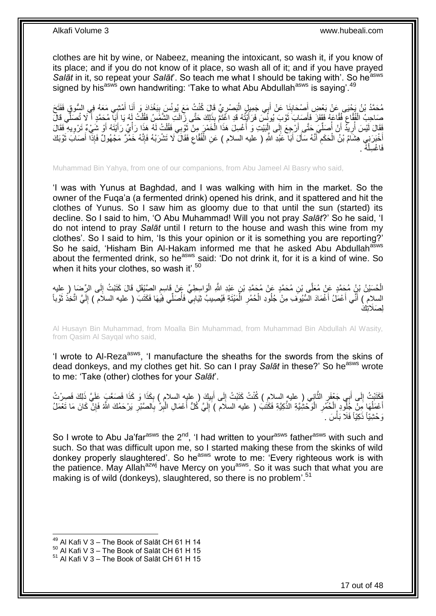clothes are hit by wine, or Nabeez, meaning the intoxicant, so wash it, if you know of its place; and if you do not know of it place, so wash all of it; and if you have prayed *Salāt* in it, so repeat your *Salāt*'. So teach me what I should be taking with'. So he<sup>asws</sup> signed by his<sup>asws</sup> own handwriting: 'Take to what Abu Abdullah<sup>asws</sup> is saying'.<sup>49</sup>

ِق ُم َح َمُد ْب ُن َي ْحَيل َع ْن َب ْم ِشي َمَعُه ِ ي اا ُّسو َنا أ َب ْغَداَد َو أ َ َ ب ِّي َقا َل ُكنْ ُت َمَع ُيونُ َب َْلر ِي َج ِمي ٍل اا ب َنا َع ْن أ َْل َحاب ْع َ َفَت َح ِض أ َ َ ِ ¦ ْ َ **!** َ صَاحِبُ الْفُقَاعِ فُقَاعَهُ فَقَفَزَ فَأَصَابِ َثَوْبَ يُونُسَ فَرَأَيْتُهُ قَدِ اغْتَمَّ بِذَلِكَ حَتَّى زِّالَتِ الشَّمَّسُ فَقُلْتُ لَهُ يَا أَبَا مُحَمَّدٍ أَ لَا تُصَلِّي قَالَ<br>سَيْبِ الْجَامِئِينَ الْفُقَاعِ فَقَفَز َ ة<br>أ َ ِ َ َ ْ فَقَالَ لَيْسَ أَرِيَّدُ أَنْ أَصَلِّيَ حَتَّى أَرْجِعَ إِلَى إِلْبَيْتِ وَ أَغْسِلَ هَذَا الْخَمْرَ مِنْ ثَوْبِي فَقُلْتُ لَهُ هَذَا رَأْيٌ رَأَيْتَهُ أَوْ شَيْءٌ تَرْوِيهِ فَقَالَ ْ َ ْ َ ْ  $\frac{1}{2}$ َ ِّ ا<br>ا اً ِ ُ َ َ ْ ِ أَخْبَرَنِي هِشَآمُ بْنُ الْحَكَمِ أَنَّهُ سَأَلَ أَبَا عَبْدِ اللَّهِ ( عليه السلام ) عَنِ الْفُقَاعِ فَقَالَ لَا تَشْرَبْهُ فَإِنَّهُ خَمْرٌ مَجْهُولٌ فَإِذَا أَصَابَ تَوْبَكَ ا∣<br>ِ∘ِ ِ ْ َ َ َ ِ ْ َ َ ُه . ْ فَاغْسِلْ

Muhammad Bin Yahya, from one of our companions, from Abu Jameel Al Basry who said,

'I was with Yunus at Baghdad, and I was walking with him in the market. So the owner of the Fuqa'a (a fermented drink) opened his drink, and it spattered and hit the clothes of Yunus. So I saw him as gloomy due to that until the sun (started) its decline. So I said to him, 'O Abu Muhammad! Will you not pray *Salāt*?' So he said, 'I do not intend to pray *Salāt* until I return to the house and wash this wine from my clothes'. So I said to him, 'Is this your opinion or it is something you are reporting?' So he said, 'Hisham Bin Al-Hakam informed me that he asked Abu Abdullah<sup>asws</sup> about the fermented drink, so he<sup>asws</sup> said: 'Do not drink it, for it is a kind of wine. So when it hits your clothes, so wash it'.<sup>50</sup>

الْحُسَيْنُ بْنُِ مُحَمَّدٍ عَنْ مُعَلَّى بْنِ مُحَمَّدٍ عَنْ مُحَمَّدِ بْنِ عَيْدِ اللَّهِ الْوَاسِطِيِّ عَنْ<br>الْحُسَيْنُ بِّنُ مَحَمَّدٍ عَنْ مُعَلَّى بْنِ مُحَمَّدٍ عَنْ مُحَمَّدِ بْنِ عَيْدِ اللَّهِ الْوَاسِطِيِّ عَنْ ْ اَ ِ ֧֖֖֖֖֧֧֧ׅ֧֧ׅ֧֚֚֚֚֚֚֚֚֚֓֝֝֬֝֟֓֝֓֝֓֝֓֜֟֓֟֓֟֓֝֬֜֝ السلام ) أَنِّي أَعْمَلُ أَغْمَادَ السُّيُوفَ مِنْ جُلُودِ الْحُمُرِ الْمَيْتَةِ فَيُصِيبُ ثِيَابِيّ فَأُصَلِّي فِيَّهَا فَكَتَبَ ( عليه السلام ) إِلَيَّ اتَّخِذْ ثَوْباً ا<br>المسلمان<br>المسلمان ْ ِ ْ اً<br>ا َ َ َ **ٔ** اَ ِ الصَلَاتِكَ

Al Husayn Bin Muhammad, from Moalla Bin Muhammad, from Muhammad Bin Abdullah Al Wasity, from Qasim Al Sayqal who said,

'I wrote to AI-Reza<sup>asws</sup>, 'I manufacture the sheaths for the swords from the skins of dead donkeys, and my clothes get hit. So can I pray Salat in these?' So he<sup>asws</sup> wrote to me: 'Take (other) clothes for your *Salāt*'.

فَكَتَبْتُ إِلَى أَبِي جَعْفَرٍ الثَّانِي ( عليه السلامِ ) كُنْتُ كَتَبْتُ إِلَى أَبِيكَ ( عليه السلامِ ) بِكَذَا وَ كَذَا فَصَعَّبَ عَلَيَّ ذَلِكَ فَصِرْتُ<br>أَحْدَثَتُ إِلَى أَبِي جَعْفَرٍ الثَّانِي ( عليه السلامِ ) كُنْت ِ ِ َ  $\frac{1}{2}$  $\ddot{\phantom{0}}$ َ ِ ْ أَعْمَلُهَا مِنْ خَلْودِ الْحُمُّرِ الْوَحْشِيَّةِ الذَّكِيَّةِ فَكَتُبَ ( عليه السلام ) إِلَيَّ كُلُّ أَعْمَالِ الْبِرِّ بِالصَّبْرِ يَرْحَمُكَ اللَّهُ فَإِنَّ كَانَ مَا تَعْمَلُ **∶** ْ ا<br>ا ∣ٍ إا ِ ِ ِ ْ َ اَ ∣∣<br>∶ رَحْشِيّاً ذَكِيّاً فَلَا بَأْسَ . **ٔ** 

So I wrote to Abu Ja'far<sup>asws</sup> the  $2^{nd}$ . 'I had written to your<sup>asws</sup> father<sup>asws</sup> with such and such. So that was difficult upon me, so I started making these from the skinks of wild donkey properly slaughtered'. So he<sup>asws</sup> wrote to me: 'Every righteous work is with the patience. May Allah<sup>azwj</sup> have Mercy on you<sup>asws</sup>. So it was such that what you are making is of wild (donkeys), slaughtered, so there is no problem<sup>'.51</sup>

 $49$  Al Kafi V 3 – The Book of Salāt CH 61 H 14

 $50$  Al Kafi V 3 – The Book of Salāt CH 61 H 15

 $51$  Al Kafi V 3 – The Book of Salāt CH 61 H 15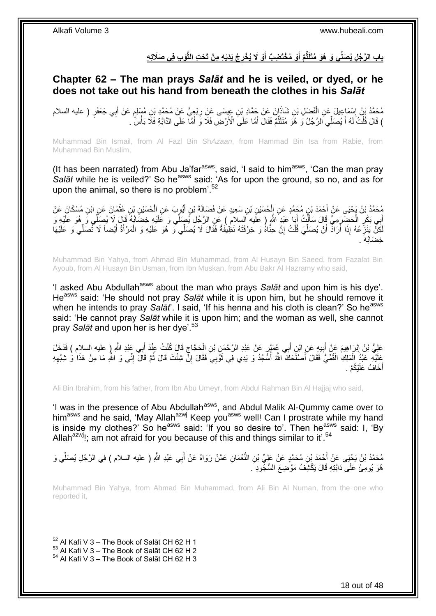### باب الرَّجُلِ يُصَلِّى وَ هُوَ مُتَلَثَّمٌ أَوْ مُخْتَضِبٌ أَوْ لَا يُخْرِجُ يَدَيْهِ مِنْ تَحْتِ الثَّوْبِ فِى صَلَاتِهِ **ِ َ َ**

### <span id="page-17-0"></span>**Chapter 62 – The man prays** *Salāt* **and he is veiled, or dyed, or he does not take out his hand from beneath the clothes in his** *Salāt*

مُحَمَّدُ بْنُ إِسْمَاعِيلَ عَنِ الْفَضْلِ بْنِ شَاذَانَ عَنْ جَمَّادِ بْنِ عِيسَى عَنْ رِبْعِيٍّ عَنْ مُحَمَّدِ بْنِ مُسْلِمٍ عَنْ أَبِي جَعْفَرٍ ( عليه السلام<br>مُحَمَّدُ أَنْ يَجْمَعَ بِيَّ الْمُسْلِمَةِ الْمَسْلَمَةِ مِ م ِ ْ ِ َ ) قَالَ قُلْتُ لَهُ أَ يُصَلِّي الرَّجُلُ وَ هُوَ مُتَلَثُّمٌ فَقَالَ أَمَّا عَلَى الْأَرْضِ فَلَا وَ أَمَّا عَلَى الدَّابَةِ فَلَّا بَأْسَ ٰ ـ َ ِّ َ ْ ْ َ

Muhammad Bin Ismail, from Al Fazl Bin Sh*Azaan*, from Hammad Bin Isa from Rabie, from Muhammad Bin Muslim,

(It has been narrated) from Abu Ja'far<sup>asws</sup>, said, 'I said to him<sup>asws</sup>, 'Can the man pray Salāt while he is veiled?' So he<sup>asws</sup> said: 'As for upon the ground, so no, and as for upon the animal, so there is no problem'.<sup>52</sup>

ِّ مُحَمَّدُ بْنُ يَحْيَى عَنْ أَحْمَدَ بْنِ مُحَمَّدٍ عَنِ الْحُسَيْنِ بْنِ سَعِيدٍ عَنْ فَضَالَةَ بْنِ أَيُّوبٍ عَنِ الْحُسَيْنِ بْنِ عُثْمَانَ عَنِ ابْنِ مُسْكَانَ عَنْ ْ َ ْ **ٔ** أَبِي بَكْرٍ الْحَضْرَمِيِّ قَالَ سَأَلْتُ أَبَا عَلْدِ اللَّهِ ( علَيه السلام ) عَنِ الرَّجُلِ يُصَلِّي وَ عَلَيْهِ خِضَابُهُ قَالَ لَا يُصِلِّي وَ هُوَ عَلَيْهِ وَ<br>أَبِي بَكْرٍ الْحَضْرَمِيِّ قَالَ سَأَلْتُ أَبِي الْمَج َ ْ َ ْ لَكِنْ يَنْزِعُهُ إِذَا أَرَادَ أَنْ يُصَلِّيَ قُلْتُ إِنَّ حِنَّاهُ وَ خِرْقَتَهُ نَظِيْفَةٌ فَقَالَ لَا يُصَلِّي وَ هُوَ عَلَيْهِ وَ الْمَرْأَةُ أَيْضاً لَا تُصَلِّي وَ عَلَيْهَا ِ ْ ِّ َ اً **∶** َ َ ْ خِضَابُهَ .

Muhammad Bin Yahya, from Ahmad Bin Muhammad, from Al Husayn Bin Saeed, from Fazalat Bin Ayoub, from Al Husayn Bin Usman, from Ibn Muskan, from Abu Bakr Al Hazramy who said,

'I asked Abu Abdullah<sup>asws</sup> about the man who prays Salat and upon him is his dye'. He<sup>asws</sup> said: 'He should not pray *Salāt* while it is upon him, but he should remove it when he intends to pray *Salāt*'. I said, 'If his henna and his cloth is clean?' So he<sup>asws</sup> said: 'He cannot pray *Salāt* while it is upon him; and the woman as well, she cannot pray *Salāt* and upon her is her dye'.<sup>53</sup>

ِن ْب ٍر َع ْن َعْبِد اا َر ْح َم ِي ُع َمْي ب ِن أ ي ِه َع ِن اْب ب َم َع ْن أ ْب َرا ِهي ِي َعْبِد َّللاِ <sup>ل</sup> عليه ااس( م َ َ َد َخ َعلِ ُّي ْب ُن <sup>إ</sup> َل ِ ب َد أ َقا َل ُكنْ ُت ِعنْ َح َجاج ِن اا ِ َ َ ِ ْ عَلَيْهِ عَبْدُ الْمَلِكِ الْقُمِّيُّ فَقَالَ أَصْلَحَكَ اللَّهُ أَسَّجُدُ وَ يَدِي فِي ثَوْبِيَ فَقَالَ إِنِّ شِئْتَ قَالَ ثُمَّ قَالَ إِنِّي وَ الثَّهِ مَا مِنْ هَذَا وَ شِبْهِهِ ُ ِ َ َ َ ْ ْ ِ ِ يُكُمْ . خَافُ عَلَّ َ أ

Ali Bin Ibrahim, from his father, from Ibn Abu Umeyr, from Abdul Rahman Bin Al Hajjaj who said,

'I was in the presence of Abu Abdullah<sup>asws</sup>, and Abdul Malik Al-Qummy came over to him<sup>asws</sup> and he said, 'May Allah<sup>azwj</sup> Keep you<sup>asws</sup> well! Can I prostrate while my hand is inside my clothes?' So he<sup>asws</sup> said: 'If you so desire to'. Then he<sup>asws</sup> said: I, 'By Allah<sup>azwj</sup>!; am not afraid for you because of this and things similar to it'.<sup>54</sup>

مُحَمَّدُ بْنُ يَحْنِى عَنْ أَحْمَدَ بْنِ مُحَمَّدٍ عَنْ عَلِيِّ بْنِ النُّعْمَانِ عَمَّنْ رَوَاهُ عَنْ أَبِي عَبْدِ اللَّهِ ( عليه السلام ) فِي الرَّجُلِ يُصَلِّي وَ ِّ َ هُوَ يُومِئُ عَلَى دَابَّتِهِ قَالَ يَكْشِفُ مَوْضِعَ السُّجُودِ َ.

Muhammad Bin Yahya, from Ahmad Bin Muhammad, from Ali Bin Al Numan, from the one who reported it,

 $52$  Al Kafi V 3 – The Book of Salāt CH 62 H 1

 $53$  Al Kafi V  $3 -$  The Book of Salāt CH 62 H 2

<sup>54</sup> Al Kafi V 3 – The Book of Salāt CH 62 H 3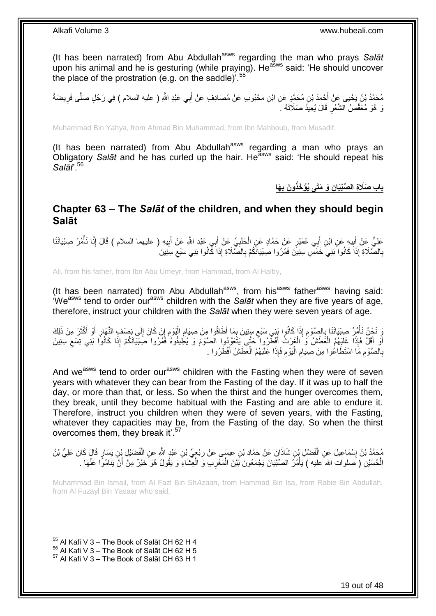(It has been narrated) from Abu Abdullah<sup>asws</sup> regarding the man who prays Salat upon his animal and he is gesturing (while praying). He<sup>asws</sup> said: 'He should uncover the place of the prostration (e.g. on the saddle)<sup>'.55</sup>

مُحَمَّدُ بْنُ يَحْيَى عَنْ أَحْمَدَ بْنِ مُحَمَّدٍ عَنِ ابْنِ مَحْبُوبٍ عَنْ مُصَادِفٍ عَنْ أَبِي عَبْدِ اللَّهِ ( عليه السلام ) فِي رَجُلٍ صَلَّى فَرِيضَةً َ َ ِ وَ هُوَ مُعَقَّصُ الشَّعْرِ قَالَ يُعِيدُ صَلَاتَهُ فَ ِ

Muhammad Bin Yahya, from Ahmad Bin Muhammad, from Ibn Mahboub, from Musadif,

(It has been narrated) from Abu Abdullah<sup>asws</sup> regarding a man who prays an Obligatory *Salāt* and he has curled up the hair. He<sup>asws</sup> said: 'He should repeat his *Salāt*'.<sup>56</sup>

> **َها ِن َو َمَتى ُيْؤ َخذُو َن ب باب َصَال ِة ال ِّصْبَيا ِ**

### <span id="page-18-0"></span>**Chapter 63 – The** *Salāt* **of the children, and when they should begin Salāt**

عَلِيٌّ عَنْ أَبِيهٍ عَنِ ابْنِ أَبِي عُمَيْرٍ عَنْ حَمَّادٍ عَنِ الْحَلَبِيِّ عَنْ أَبِي عَبْدِ اللَّهِ عَنْ أَبِيهِ ( عليهما السلام ) قَالَ إِنَّا نَأْمُرُ صِبْيَانَنَا ِ َ َ ِ ْ َ ِ َ ْ ِ بِالْصَّلَاةِ إِذَا كَانُوا َبَنِيَ خَمَّسٍ سِنِينَ فَمُرُوا صِبْيَانَكُمْ بِالْصَّلَاةِ إِذَا كَانُوا بَنِي سَبْعِ سِنِينَ **∶** ِ ِ

Ali, from his father, from Ibn Abu Umeyr, from Hammad, from Al Halby,

(It has been narrated) from Abu Abdullah<sup>asws</sup>, from his<sup>asws</sup> father<sup>asws</sup> having said: 'Weasws tend to order ourasws children with the *Salāt* when they are five years of age, therefore, instruct your children with the *Salāt* when they were seven years of age.

وَ نَحْنُ نَأْمُرُ صِبْيَانَنَا بِالصَّوْمِ إِذَا كَانُوا بَنِي سَبْعِ سِنِينَ بِمَا أَطَاقُوا مِنْ صِبَامِ الْيَوْمِ إِنْ كَانَ إِلَى نِصْفِ النَّهَارِ أَوْ أَكْثَرَ مِنْ ذَلِكَ ِ ِ ِ **∶** ْ َ َ َ ِ ِ ِ ِ ْ ِ أَوْلَ ۚ فَإِذَا ۚ غَلَبَهُمُ الْعَطَشُ ۖ وَ الْغَرَبُ ۚ أَفْطِّرُوا حَتَّى يَتَعَوَّدُوا الْصَّوْمَ وَ يُطِيقُوهُ ۚ فَمُرُوا صَبْيَانَكُمْ إِذَا كَانُوا بَنِي تِسْعِ سِنِينَ َ ْ ْ َ ِ بِالصَّوْمِ مَا اسْتَطَاعُوا مِنْ صِنِيَامِ الْيَوْمِ فَإِذَا غَلَبَهُمُ الْعَطَشُ أَفْطَرُوا . **∶** َ ْ ِ :<br>ا ِ ِ

And we<sup>asws</sup> tend to order our<sup>asws</sup> children with the Fasting when they were of seven years with whatever they can bear from the Fasting of the day. If it was up to half the day, or more than that, or less. So when the thirst and the hunger overcomes them, they break, until they become habitual with the Fasting and are able to endure it. Therefore, instruct you children when they were of seven years, with the Fasting, whatever they capacities may be, from the Fasting of the day. So when the thirst overcomes them, they break it'.<sup>57</sup>

ْ مُحَمَّدُ بْنُ إِسْمَاعِيلَ عَنِ الْفَضْلِ بْنِ شَاذَانَ عَنْ حَمَّادِ بْنِ عِيسَى عَنْ رِبْعِيِّ بْنِ عَبْدٍ لللَّهِ عَنِ الْفُضَيْلِ بِْنِ يَسَارٍ قَالَ كَانَ عَلِيُّ بْنُ<br>فَيَسْتَحَدُّ بْنُ إِسْمَاعِيلَ عَنِ الْفَضْلِ **∶** ْ الْحُسَيْنِ ( َصلوات الله عليه ) يَأْمُرُ الصِّنْيَانَ يَجْمَعُونَ بَيْنَ الْمَغْرِبِ وَ الْعِشَاءِ وَ يَقُولُ هُوَ خَيْرٌ مِنْ أَنْ يَنَامُوًا عَنْهَا . **∶** ْ :<br>ا ْ َ ْ

Muhammad Bin Ismail, from Al Fazl Bin Sh*Azaan*, from Hammad Bin Isa, from Rabie Bin Abdullah, from Al Fuzayl Bin Yasaar who said,

 $55$  Al Kafi V 3 – The Book of Salāt CH 62 H 4

 $56$  Al Kafi V 3 – The Book of Salāt CH 62 H 5

 $57$  Al Kafi V 3 – The Book of Salāt CH 63 H 1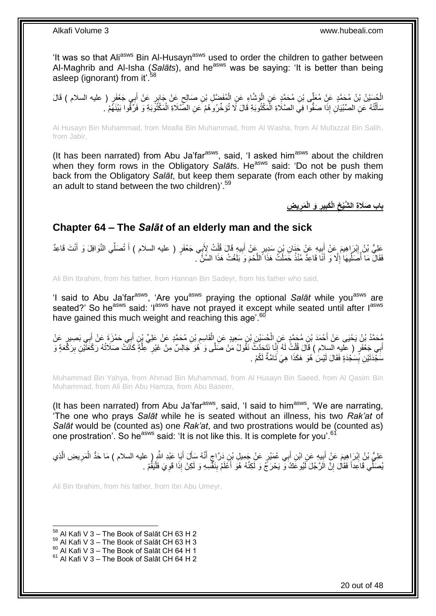'It was so that Ali<sup>asws</sup> Bin Al-Husayn<sup>asws</sup> used to order the children to gather between Al-Maghrib and Al-Isha (*Salāts*), and heasws was be saying: 'It is better than being asleep (ignorant) from it'.<sup>58</sup>

ِ الْحُسَيْنُ بْنُ مُحَمَّدٍ عَنِّ مُعَلِّى بْنِ مُحَمَّدٍ عَنٍ الْوَشَّاءِ عَنِ الْمُفَضَّلِ بْنِ صَالِحٍ عَنْ جَابِرٍ عَنْ أَبِي جَغْفَرٍ ( عليه السلام ) قَالَ<br>الْمُمْسُنُ بْنُ مُحَمَّدٍ عَنِّ مُعَلِّى بْنِ مُحَمَّدٍ مِنْ ٍ ْ ا<br>ا َ سَأَلْتُهُ عَنِ الصِّبْيَانِ إِذَا صَفُّوا فِي الصَّلَاةِ الْمَكْتُوبَةِ قَالَ لَا تُؤَخِّرُوهُمْ عَنِ الصَّلَاةِ الْمَكْتُوَبَةِ وَ فَرَّقُوا بَيْنَهُمْ ـ ْ ْ ֺ֦֖֦֧֦֦֦֦֪֦֪֦֪֦֪֦֪֦֧֦֪֦֧֦֧֦֪֪֦֧֦֧֦֧֦֧֦֧֦֧֦֧֝֟֟֓֕֟֓֕֝֓֟֓֡֟֓֡֟֓֡֟֓֡֟֓֓֞֟֓֞֟֓֡֟֓֓֞֓֞֟֓֡֓֞֟֓֡֟֟֟֟֟֟֟֓֟֓֞֟<br>֧֪֪֧֪֧֪֪֪֪֪֦֧֝֝֝֬ َ

Al Husayn Bin Muhammad, from Moalla Bin Muhammad, from Al Washa, from Al Mufazzal Bin Salih, from Jabir,

(It has been narrated) from Abu Ja'far<sup>asws</sup>, said, 'I asked him<sup>asws</sup> about the children when they form rows in the Obligatory Salats. He<sup>asws</sup> said: 'Do not be push them back from the Obligatory *Salāt*, but keep them separate (from each other by making an adult to stand between the two children)'.<sup>59</sup>

> **ي ِض َمر َو الْ ير الْ َكب باب َصَال ِة ال َّشْيخ ِ ِ ِ ِ**

## <span id="page-19-0"></span>**Chapter 64 – The** *Salāt* **of an elderly man and the sick**

عَلِيُّ بْنُ إِبْرَاهِيمَ عَنْ أَبِيهِ عَنْ خَذَانِ بْنِ سَدِيرٍ عَنْ أَبِيهِ قَالَ قُلْتُ لِأَبِي جَعْفَرٍ ( عليه السلام ) أَ تُصَلِّي النَّوَافِلَ وَ أَنْتَ قَاعِدٌ **!** َ <u>֖֚֚֚</u> َ َ ْ ِ َ فَقَالَ مَا أُصَلِّيهَا إِلَّا وَ أَنَا قَاعِدٌ مُنْذُ حَمَلْتُ هَذَا اللَّحْمَ وَ بَلَغْتُ هَذَا السِّنَّ ۖ . َ ْ َ ِ ِّ ا<br>ا

Ali Bin Ibrahim, from his father, from Hannan Bin Sadeyr, from his father who said,

'I said to Abu Ja'far<sup>asws</sup>, 'Are you<sup>asws</sup> praying the optional Salat while you<sup>asws</sup> are seated?' So he<sup>asws</sup> said: 'I<sup>asws</sup> have not prayed it except while seated until after l<sup>asws</sup> have gained this much weight and reaching this age'.<sup>60</sup>

مُحَمَّدُ بْنُ يَحْيَى عَنْ أَحْمَدَ بْنِ مُحَمَّدٍ عَنِ الْحُسَيْنِ بْنِ سَعِيدٍ عَنِ الْقَاسِمِ بْنِ مُحَمَّدٍ عَن<br>يُحْمَّدُ بْنُ يَحْيَى عَنْ أَحْمَدَ بْنِ مُحَمَّدٍ عَنِ الْحُسَيْنِ بْنِ سَعِيدٍ عَنِ الْقَاسِمِ بْنِ م ِ ْ ْ َ َ أَبِي جَعْفَرٍ ( عَليهِ السلام ) قَالَ قُلْتُ لَهُ إِنَّا نَتَحَدَّثُ نَقُولُ مَنْ صَلَّى وَ هُوَ جَالِسٌ مِنْ غَيْرِ كَيْلَةٍ كَانَتْ صَلَاتُهُ رَكْعَتَيْنِ بِرَكْعَةٍ وَ ِ ْ ِ َ ِ سَجَّدَتَيْنِ بِّسَجْدَةٍ فَقَالَ لَيْسَ ٰ هُوَ ۖ هَكَذَا ۚ هِيَ تَامَّةٌ لَكُمْ ۚ ـ **∣** 

Muhammad Bin Yahya, from Ahmad Bin Muhammad, from Al Husayn Bin Saeed, from Al Qasim Bin Muhammad, from Ali Bin Abu Hamza, from Abu Baseer,

(It has been narrated) from Abu Ja'far<sup>asws</sup>, said, 'I said to him<sup>asws</sup>, 'We are narrating, 'The one who prays *Salāt* while he is seated without an illness, his two *Rak'at* of *Salāt* would be (counted as) one *Rak'at*, and two prostrations would be (counted as) one prostration'. So he<sup>asws</sup> said: 'It is not like this. It is complete for you'.<sup>61</sup>

عَلِيُّ بْنُ إِبْرَاهِيمَ عَنْ أَبِيهِ عَنِ ابْنِ أَبِي عُمَيْرٍ عَنْ جَمِيلِ بْنِ دَرَّاجٍ أَنَّهُ سَأَلَ أَبَا عَبْدِ اللَّهِ ( عليه السلام ) مَا حَدُّ الْمَرِيضِ الَّذِي َ َ َ ٍ َ ِ َ ِ َ ِ ْ يُصَلِّي قَاعِداً فَقَالَ إِنَّ الَرَّجُلَ لَيُوعَكُ ۖ وَ يَحْرَجُ وَ لَكِنَّهُ هُوَ أَعْلَمُ بِنَفَّسِهِ وَ لَكِنْ إِذَا قَوِيَ فَلْيَقُمْ . ِ **!** َ ِ ْ

Ali Bin Ibrahim, from his father, from Ibn Abu Umeyr,

 $58$  Al Kafi V 3 – The Book of Salāt CH 63 H 2

 $^{59}$  Al Kafi V 3 – The Book of Salāt CH 63 H 3

<sup>60</sup> Al Kafi V 3 – The Book of Salāt CH 64 H 1

 $61$  Al Kafi V 3 – The Book of Salāt CH 64 H 2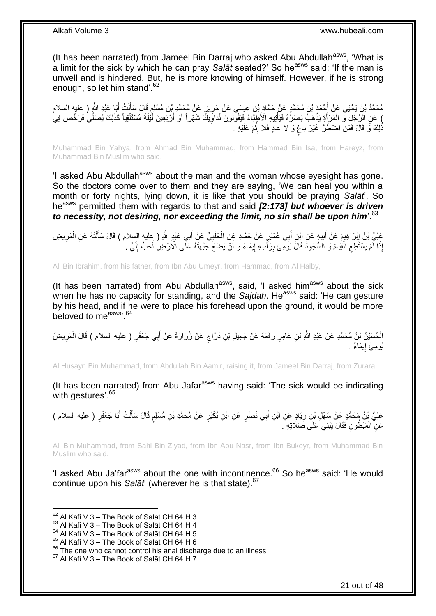(It has been narrated) from Jameel Bin Darraj who asked Abu Abdullah<sup>asws</sup>, 'What is a limit for the sick by which he can pray *Salat* seated?' So he<sup>asws</sup> said: 'If the man is unwell and is hindered. But, he is more knowing of himself. However, if he is strong enough, so let him stand<sup>'62</sup>

مُحَمَّدُ بْنُ يَحْيَى عَنْ أَحْمَدَ بْنِ مُحَمَّدٍ عَنْ حَمَّادٍ بْنِ عِيسَى عَنْ حَرِينٍ عَنْ مُحَمَّدٍ بْنِ مُسْلِمٍ قَالَ سَأَلْتُ أَبَا عَبْدِ اللَّهِ ( عليه السلام<br>- يَمَدُّدُ بَيْنَ يَحْيَلُ عَنْ أَحْمَدَ بِأَسْرَةٍ ֧֖֚֚֓֝֝֝֝ ِ َ ْ َ ) عَنِ الرَّجُلِ وَ الْمَرْ أَةِ يَذْهَبُ بَصَرُهُ فَيَأْتِيهِ الْأَطِبَّاءُ فَيَقُولُونَ نُدَاوِيلَّةَ شَهْراً أَوْ أَرْبَعِينَ أَيْلَةً مُسْتَلْقِياً كَذَلِكَ يُصَلِّي فَرَخَّصَ فِي **ٔ ٔ :** َ ْ ِّ ْ َ َ ِ ُذَلِكَ وَ قَالَ فَمَنِ اضْطُرَّ غَيْرَ باغٍ وَ لا عادٍ فَلا إِثْمَ عَلَيْهِ . ْ ِ ٍ

Muhammad Bin Yahya, from Ahmad Bin Muhammad, from Hammad Bin Isa, from Hareyz, from Muhammad Bin Muslim who said,

'I asked Abu Abdullah<sup>asws</sup> about the man and the woman whose evesight has gone. So the doctors come over to them and they are saying, 'We can heal you within a month or forty nights, lying down, it is like that you should be praying *Salāt*'. So heasws permitted them with regards to that and said *[2:173] but whoever is driven to necessity, not desiring, nor exceeding the limit, no sin shall be upon him*'.<sup>63</sup>

عَلِيُّ بْنُ إِبْرَاهِيمَ عَنْ أَبِيهٍ عَنِ ابْنِ أَبِي عُمَيْرٍ عَنْ حَمَّادٍ عَنِ الْحَلَبِيِّ عَنْ أَبِي عَبْدٍ اللَّهِ ( عِليه السلام ) قَالَ سَأَلْتُهُ عَنِ الْمَرِيضِ َ **!** َ ِ ْ ْ َ َ ِ ْ َ إِذَا لَّمْ يَسْتُطِعِ الْقِيَامَ وَ الْسُّجُودََ قَالَ يُوَمِّئُ بِرَأُّسِهِ إِيمَاءً وَ أَنّْ يَضَعَ جَبْهَتَهُ عَلَّى الْأَرْضِ أَحَبُّ إِلَيَّ . َ ِ ة<br>أ ِ ْ ِ اَ  $\frac{1}{2}$ 

Ali Bin Ibrahim, from his father, from Ibn Abu Umeyr, from Hammad, from Al Halby,

(It has been narrated) from Abu Abdullah $a$ <sup>asws</sup>, said, 'I asked him<sup>asws</sup> about the sick when he has no capacity for standing, and the *Sajdah*. He<sup>asws</sup> said: 'He can gesture by his head, and if he were to place his forehead upon the ground, it would be more beloved to measws<sup>, 64</sup>

الْحُسَيْنُ بْنُ مُحَمَّدٍ عَنْ عَبْدِ اللَّهِ بْنِ عَامِرٍ رَفَعَهُ عَنْ جَمِيلِ بْنِ دَرَّاجٍ عَنْ زُرَارَةَ عَنْ أَبِي جَعْفَرٍ ( عليه السلام ) قَالَ الْمَرِيضُ َ ٍ ِ ْ يُومِئُ إِيمَاءً . ֖֧֓<u>֚֚֚֚֓</u>

Al Husayn Bin Muhammad, from Abdullah Bin Aamir, raising it, from Jameel Bin Darraj, from Zurara,

(It has been narrated) from Abu Jafar $a<sup>asws</sup>$  having said: 'The sick would be indicating with gestures'.<sup>65</sup>

عَلِيُّ بْنُ مُحَمَّدٍ عَنْ سَهْلِ بْنِ زِيَادٍ عَنِ ابْنِ أَبِي نَصْرٍ عَنِ ابْنِ بُكَيْرٍ عَنْ مُحَمَّدِ بْنِ مُسْلِمٍ قَالَ سَأَلْتُ أَبَا جَعْفَرٍ ( عليه السلام ) ֧֧֚֓֝֝֓֝ َ ِ َ ْ ĺ عَنِ الْمَبْطُونِ فَقَالَ يَبْنِي َعَلَى صَلَاتِهِ ۖ. ْ

Ali Bin Muhammad, from Sahl Bin Ziyad, from Ibn Abu Nasr, from Ibn Bukeyr, from Muhammad Bin Muslim who said,

'I asked Abu Ja'far<sup>asws</sup> about the one with incontinence.<sup>66</sup> So he<sup>asws</sup> said: 'He would continue upon his *Salāt*' (wherever he is that state). 67

 $62$  Al Kafi V 3 – The Book of Salāt CH 64 H 3

 $63$  Al Kafi V 3 – The Book of Salat CH 64 H 4

 $64$  Al Kafi V  $3 -$  The Book of Salāt CH 64 H 5

 $65$  Al Kafi V 3 – The Book of Salāt CH 64 H 6

<sup>&</sup>lt;sup>66</sup> The one who cannot control his anal discharge due to an illness

 $67$  Al Kafi V 3 – The Book of Salāt CH 64 H 7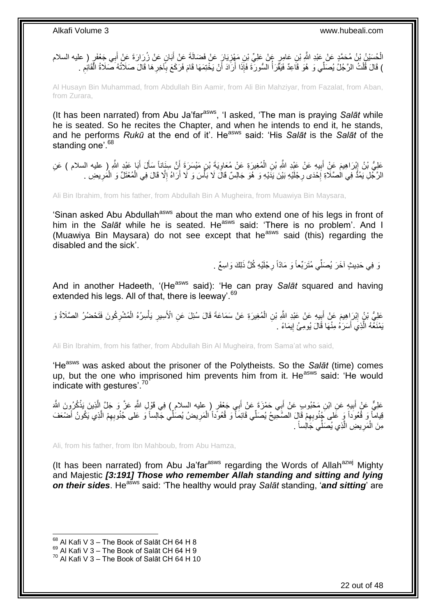الْحُسَيْنُ بْنُ مُحَمَّدٍ عَنْ عَبْدِ اللَّهِ بْنِ عَامِرٍ ۚ عَنْ عَلِيٍّ بْنِ مَهْزِيَارٍ عَنْ فَضَالَةَ عَنْ أَبَانٍ عَنْ زُرَارَةَ عَنْ أَبِي جَعْفَرٍ ( عليه السلام<br>الْحُسَيْنُ بْنُ مُحَمَّدٍ عَنْ عَبْدِ اللَّهِ بْنِ ع َ ِ َ ) قَالَ قُلْتُ الرَّجُلُ يُصَلِّي وَ هُوَ قَاعِدٌ فَيَقْرَأُ السُّورَةَ فَإِذَا أَرَادَ أَنْ يَخْتِمَهَا قَامَ فَرَكَعَ بِٱخِرِهَا قَالَ صَلَاتُهُ صَلَاةُ الْقَائِمِ ِ ِ َ ا<br>ا ْ ِ ْ

Al Husayn Bin Muhammad, from Abdullah Bin Aamir, from Ali Bin Mahziyar, from Fazalat, from Aban, from Zurara,

(It has been narrated) from Abu Ja'far<sup>asws</sup>, 'I asked, 'The man is praying Salat while he is seated. So he recites the Chapter, and when he intends to end it, he stands, and he performs *Rukū* at the end of it'. Heasws said: 'His *Salāt* is the *Salāt* of the standing one'.<sup>68</sup>

عَلِيُّ بْنُ إِبْرَاهِيمَ عَنِْ أَبِيهِ عَنْ عَبْدِ اللَّهِ بْنِ الْمُغِيرَةِ عَنْ مُعَاوِيَةَ بْنِ مَيْسَرَةَ إَنَّ سِنَاناً سَأَلَ أَبَا عَدِ اللَّهِ ( عليه السلام ) عَنِ َ ِ ْ **!** َ ِ َ َ الرَّجُلِ يَمُدُّ فِي الْصَّلَاةِ إِحْدَى رِجْلَيْهِ بَيْنَ يَدَيْهِ وَ هُوَ جَالِسٌ قَالَ لَا بَأْسَ وَ لَا أَرَاهُ إِلَّا قَالَ فِي الْمُعْتَلِّ وَ الْمَرِيضِ . **∶** ·<br>∶ ِ ْ ْ ِ اً **ٔ** 

Ali Bin Ibrahim, from his father, from Abdullah Bin A Mugheira, from Muawiya Bin Maysara,

'Sinan asked Abu Abdullah<sup>asws</sup> about the man who extend one of his legs in front of him in the *Salāt* while he is seated. He<sup>asws</sup> said: 'There is no problem'. And I (Muawiya Bin Maysara) do not see except that he<sup>asws</sup> said (this) regarding the disabled and the sick'.

> وَ فِي حَدِيثٍ آخَرَ يُصَلِّّي مُتَرَبِّعاً وَ مَادّاً رِجْلَيْهِ كُلُّ ذَلِكَ وَاسِعٌ . ِ

And in another Hadeeth, '(He<sup>asws</sup> said): 'He can pray Salat squared and having extended his legs. All of that, there is leeway'.<sup>69</sup>

عَلِيُّ بْنُ إِبْرَاهِيمَ عَنْ أَبِيهِ عَنْ عَبْدِ اللَّهِ بْنِ الْمُغِيرَةِ عَنْ سَمَاعَةَ قَالَ سُئِلَ عَنِ الْأَسِيرِ يَأْسِرُهُ الْمُشْرِكُونَ فَتَحْضُرُ الصَّلَاةُ وَ ْ **∣ ֽוּ** ِ ْ ْ **∶** يَمْنَعُهُ الَّذِي أَسَرَهُ مِنْهَا قَالَ يُومِئُ إِيمَاءً . ِ اُ، اً

Ali Bin Ibrahim, from his father, from Abdullah Bin Al Mugheira, from Sama'at who said,

'He<sup>asws</sup> was asked about the prisoner of the Polytheists. So the Salat (time) comes up, but the one who imprisoned him prevents him from it. He<sup>asws</sup> said: 'He would indicate with gestures'.<sup>70</sup>

عَلِيٌّ عَنْ أَبِيهٍ عَنِ ابْنِ مَحْبُوبٍ عَنْ أَبِي حَمْزَةَ عَنْ أَبِي جَعْفَرٍ ( عليه السلام ) فِي قَوْلِ اللَّهِ عَنَّ وَ جَلَّ الَّذِينَ يَذْكُرُونَ اللَّهَ َ **ِ** َ **ٔ** َ قِياماً وَ قُعُوداً وَ عَلى َجْنُوبِهِمْ قَالَ الصَّحِيحُ يُصَلِّي قَائِماً وَ قُعُوداً الْمَرِيضُ يُصَلِّي جَالِساً وَ عَلى جُنُوبِهِمْ الَّذِي يَكُونُ أَصْعَفَ ِ ْ ِ َ اُ ِ مِنَ الْمَرِيضِ الَّذِي يُصَلِّي جَالِساً . ِ ْ اً

Ali, from his father, from Ibn Mahboub, from Abu Hamza,

(It has been narrated) from Abu Ja'far<sup>asws</sup> regarding the Words of Allah<sup>azwj</sup> Mighty and Majestic *[3:191] Those who remember Allah standing and sitting and lying*  **on their sides.** He<sup>asws</sup> said: 'The healthy would pray *Salāt* standing, '**and sitting**' are

 $68$  Al Kafi V 3 – The Book of Salāt CH 64 H 8

 $^{69}$  Al Kafi V 3 – The Book of Salāt CH 64 H 9

 $70$  Al Kafi V 3 – The Book of Salāt CH 64 H 10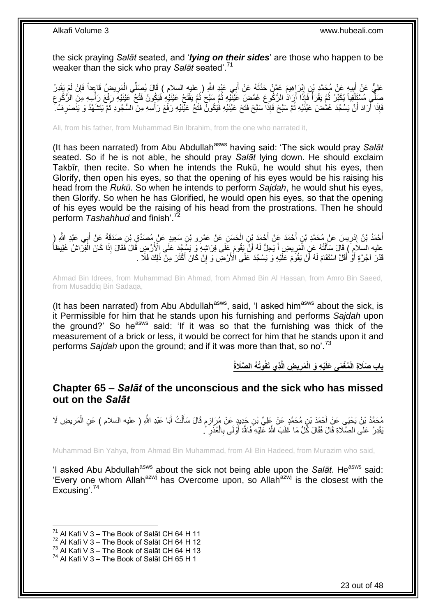the sick praying *Salāt* seated, and '*lying on their sides*' are those who happen to be weaker than the sick who pray *Salāt* seated'.<sup>71</sup>

عَلِيٌّ عَنْ أَبِيهٍ عَنْ مُحَمَّدٍ بْنِ إِبْرَاهِيمَ عَمَّنْ حَدَّثَهُ عَنْ أَبِي عَبْدِ اللَّهِ ( عليه السلام ) قَالَ يُصَلِّي الْمَرِيضُ قَاعِداً فَإِنْ لَمْ يَقْدِرْ ِ **!** ∣ٍ ِ ْ َ َ صَلَّى مُسْتَلِّقِياً يُكَبِّرُ ثُمَّ يَقْرَأُ فَإِذَا أَرَادَ الرُّكُوعَ غَمَّضِ عَيْنَيْهِ ثُمَّ يَفْتَحُ عَيْنَيْهِ فَيَكُونُ فَتْحُ عَيْنَيْهِ رَفْعَ رَأْسِهِ مِنَ الرُّكُوعِ ُ ُ ا<br>ا ُ ْ ِ ْ فَإِذَا أَرَادَ أَنْ يَسْجُدَ غَمَّضَ عَيْنَيْهِ ثُمَّ سَبَّحَ فَإِذَا سَبَّحَ فَتَحَ عَيْنَيْهِ فَيَكُونَّ فَتْحُ عَيْنَيْهِ رَفْعَ رَأْسِهِ مِنَ السُّجُودِ ثُمَّ يَنَشَهَّدُ وَ يَنْصَرِفُ خ ُ اً َ **ٔ** ِ ُ

Ali, from his father, from Muhammad Bin Ibrahim, from the one who narrated it,

(It has been narrated) from Abu Abdullah<sup>asws</sup> having said: 'The sick would pray Salat seated. So if he is not able, he should pray *Salāt* lying down. He should exclaim Takbīr, then recite. So when he intends the Rukū, he would shut his eyes, then Glorify, then open his eyes, so that the opening of his eyes would be his raising his head from the *Rukū*. So when he intends to perform *Sajdah*, he would shut his eyes, then Glorify. So when he has Glorified, he would open his eyes, so that the opening of his eyes would be the raising of his head from the prostrations. Then he should perform *Tashahhud* and finish'.

أَحْمَدُ بْنُ إِدْرِيسَ عَنْ مُحَمَّدِ بْنٍ أَحْمَدَ عَنْ أَحْمَدَ بْنِ الْحَسَنِ عَنْ عَمْرِو بْنِ سَعِيدٍ عَنْ مُصَدِّقٍ بْنِ صَدَقَةً عَنْ أَبِي عَبْدِ اللَّهِ ( ْ َ **∶** יִי (ו َ َ عليه السِّلاَمِ ۖ) قَالَ سَأَلْتُهُ عَنِ الْمَرِيضِ أَ يَحِلُّ لَهُ أَنَّ يَقُومَ عَلَى فَرَاشِهِ ۖ وَ يَسَّمُ كَا عَلَى الْأَرْضِ قَالَ فَقَالَ إِذَا كَانَ الْفِرَاشُ غَلِيظاً َ َ ِ ْ ْ ْ َ ِ قَدْرَ آجُرَّةٍ أَوْ أَقَلَّ اسْتَقَامَ لَهُ أَنْ يَقُوَّمَ عَلَيْهِ وَ يَسْجُدَ عَلَى الْأَرْضِ وَ إِنْ كَانَ أَكْثَرَ مِنْ ذَلِكَ فَلَا ۖ . َ َ ِ اً َ

Ahmad Bin Idrees, from Muhammad Bin Ahmad, from Ahmad Bin Al Hassan, from Amro Bin Saeed, from Musaddiq Bin Sadaqa,

(It has been narrated) from Abu Abdullah<sup>asws</sup>, said, 'I asked him<sup>asws</sup> about the sick, is it Permissible for him that he stands upon his furnishing and performs *Sajdah* upon the ground?' So he<sup>asws</sup> said: 'If it was so that the furnishing was thick of the measurement of a brick or less, it would be correct for him that he stands upon it and performs *Sajdah* upon the ground; and if it was more than that, so no'.<sup>73</sup>

> **ِذي َتفُوُت ُه ال َّصَالةُ ي ِض الَّ َمر ْي ِه َو الْ ُم ْغَمى َعلَ باب َصَال ِة الْ ِ**

<span id="page-22-0"></span>**Chapter 65 –** *Salāt* **of the unconscious and the sick who has missed out on the** *Salāt*

مُحَمَّدُ بْنُ يَحْيَىِ عَنِْ أَحْمَدَ بْنِ مُحَمَّدٍ عَنْ عَلِيٍّ بْنِ جَدِيدٍ عَنْ مُرَازِمٍ قَالَ سَأَلْتُ أَبَا عَبْدِ اللَّهِ ( عليه السلام ) عَنِ الْمَرِيضِ لَا ٍ ِ َ ِ ْ َ ْ اً<br>أ بَقْدِرُ ۚ عَلَى الصَّلَاةِ قَالَ فَقَالَ كُلُّ مَا غَلَبَ اللَّهُ عَلَيْهِ فَاللَّهُ أَوْلَى بِالْعُذْرِ ۚ ۗ. ِ **ٔ** ْ ِ َ

Muhammad Bin Yahya, from Ahmad Bin Muhammad, from Ali Bin Hadeed, from Murazim who said,

'I asked Abu Abdullah<sup>asws</sup> about the sick not being able upon the *Salāt*. He<sup>asws</sup> said: 'Every one whom Allah<sup>azwj</sup> has Overcome upon, so Allah<sup>azwj</sup> is the closest with the Excusing<sup>'74</sup>

<sup>1</sup>  $71$  Al Kafi V 3 – The Book of Salāt CH 64 H 11

 $72$  Al Kafi V 3 – The Book of Salāt CH 64 H 12

 $^{73}$  Al Kafi V 3 – The Book of Salāt CH 64 H 13

 $^{74}$  Al Kafi V 3 – The Book of Salāt CH 65 H 1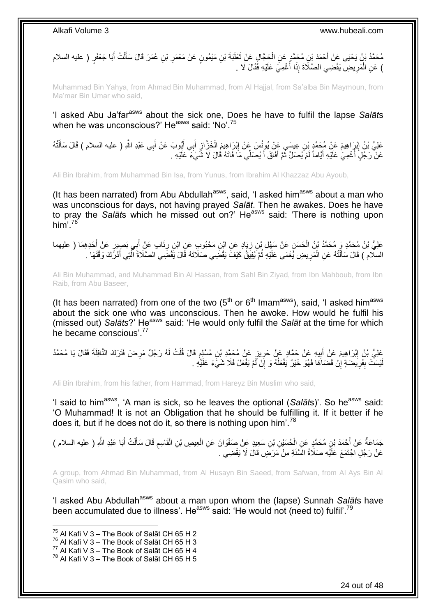مُحَمَّدُ بْنُ يَحْيَى عَنْ أَحْمَدَ بْنِ مُحَمَّدٍ عَنِ الْحَجَّالِ عَنْ ثَعْلَبَةَ بْنِ مَيْمُونٍ عَنْ مَعْمَرِ بْنِ عُمَرَ قَالَ سَأَلْتُ أَبَا جَعْفَرٍ ( عليه السلام ْ َ ْ َ **ٍ** َ ) عَنِ الْمَرِيضِ يَقْضِي الصَّلَاةَ إِذَا أَغْمِيَ عَلَيْهِ فَقَالَ لَا . المناسب المستقبل المستقبل المستقبل المستقبل المستقبل المستقبل المستقبل المستقبل المستقبل المستقبل المستقبل الم<br>المستقبل المستقبل المستقبل المستقبل المستقبل المستقبل المستقبل المستقبل المستقبل المستقبل المستقبل المستقبل ال ِ ْ

Muhammad Bin Yahya, from Ahmad Bin Muhammad, from Al Hajjal, from Sa'alba Bin Maymoun, from Ma'mar Bin Umar who said,

'I asked Abu Ja'far<sup>asws</sup> about the sick one, Does he have to fulfil the lapse Salats when he was unconscious?' He<sup>asws</sup> said: 'No'.<sup>75</sup>

ْ عَلِيُّ بْنُ إِبْرَاهِيمَ عَنْ مُحَمَّدٍ بْنِ عِيسَى عَنْ يُونُسَ عَنْ إِبْرَاهِيمَ الْخَزَّازِ أَبِي أَيُّوبَ عَنْ أَبِي عَبْدِ اللَّهِ ( عليه السلام ) قَالَ سَأَلْتُهُ ِ ِ ْ َ َ َ َ ِ عَنْ رَجُلٍ أُغْمِيَ عَلَيْهِ أَيَّاماً لَمْ يُصَلِّ ثُمَّ أَفَاقَ أَ يُصَلِّي مَا فَاتَهُ قُالَ لَا شَيْءَ عَلَيْهِ . َ َ ُ اَ َ ِ المُسَابِعِينِ<br>ا

Ali Bin Ibrahim, from Muhammad Bin Isa, from Yunus, from Ibrahim Al Khazzaz Abu Ayoub,

(It has been narrated) from Abu Abdullah<sup>asws</sup>, said, 'I asked him<sup>asws</sup> about a man who was unconscious for days, not having prayed *Salāt*. Then he awakes. Does he have to pray the *Salāts* which he missed out on?' He<sup>asws</sup> said: 'There is nothing upon him<sup>'</sup> $76$ 

ِ عَلِيُّ بْنُ مُحَمَّدٍ وَ مُحَمَّدُ بْنُ الْحَسَنِ عَنْ سَهْلِ بْنِ زِيَادٍ عَنِ ابْنِ مَحْبُوبٍ عَنِ إِنْ رِئَابٍ عَنْ أِبِي بَصِبِيرٍ عَنْ أَحَدِهِمَا ( عليهما َ ِ **∶** ْ َ السلام ) قَالَ سَأَلْتُهُ عَنِ الْمَرِيضِ يُغْمَى عَلَيْهِ ثُمَّ يُفِيقُ كَيْفَ يَقْضَِي صَلَاتَهُ قَالَ يَقْضَِي الصَّلَاةَ ٱلَّتِي أَدْرًكَ وَقْتَهَا . ان<br>المقام ِ ْ ֺ֦֧֦֦֧֦֧֦֦֧֦֧֦֪֦֧֦֪֦֪֦֪֦֪֦֪֦֧֦֪֦֪֪֦֪֪֦֝֟֟֟֟֟֟֟֟֟֟֟֟֟֟֟֟֟֟֟֟֟֓֟֟֟֓֟֓֟֓֕֟֓֟֓֟֓֟֓֟֓֟֟֓֟֟֓֟֟֟֟֟֟֟֟ َ َ َ

Ali Bin Muhammad, and Muhammad Bin Al Hassan, from Sahl Bin Ziyad, from Ibn Mahboub, from Ibn Raib, from Abu Baseer,

(It has been narrated) from one of the two  $(5<sup>th</sup>$  or  $6<sup>th</sup>$  Imam<sup>asws</sup>), said, 'I asked him<sup>asws</sup> about the sick one who was unconscious. Then he awoke. How would he fulfil his (missed out) *Salāts*?' He<sup>asws</sup> said: 'He would only fulfil the *Salāt* at the time for which he became conscious' <sup>77</sup>

عَلِيُّ بْنُ إِبْرَاهِيمَ عَنْ أَبِيهِ عَنْ حَمَّادٍ عَنْ حَرِيزٍ عَنْ مُحَمَّدِ بْنِ مُسْلِمٍ قَالَ قُلْتُ لَهُ رَجُلٌ مَرِضَ فَتَرَكَ النَّافِلَةَ فَقَالَ يَا مُحَمَّدُ<br>يَجِي <u>֖֓</u> ِ ْ ֧֖֧֚֚֓֝֝֝ **∶ !** لْيْسَتْ بِفَرِيضَةٍ إِنْ قَضَاَهَا فَهُوَ خَيْرٌ يَفْعَلُهُ وَ إِنْ آَمْ يَفْعَلْ فَلَا شَيْءَ عَلَيْهِ . ِ ا<br>ا ِ ِ 

Ali Bin Ibrahim, from his father, from Hammad, from Hareyz Bin Muslim who said,

'I said to him<sup>asws</sup>, 'A man is sick, so he leaves the optional (Salats)'. So he<sup>asws</sup> said: 'O Muhammad! It is not an Obligation that he should be fulfilling it. If it better if he does it, but if he does not do it, so there is nothing upon him'.<sup>78</sup>

ْ جَمَاعَةٌ عَنْ أَحْمَدَ بْنِ مُحَمَّدٍ عَنِ الْحُسَيْنِ بْنِ سَعِيدٍ عَنْ صَفْوَانَ عَنِ الْعِيصِ بْنِ الْقَاسِمِ قَالَ سَأَلْتُ أَبَا عَبْدِ اللَّهِ ( عليه السلام ) َ ِ ْ ْ ْ َ عَنْ رَجُلٍ اجْتَمَعَ عَلَيْهِ صَلَاةُ السَّنَةِ مِنْ مَرَضٍ قَالَ لَا يَقْضِي .

A group, from Ahmad Bin Muhammad, from Al Husayn Bin Saeed, from Safwan, from Al Ays Bin Al Qasim who said,

'I asked Abu Abdullah<sup>asws</sup> about a man upon whom the (lapse) Sunnah *Salāts* have been accumulated due to illness'. He<sup>asws</sup> said: 'He would not (need to) fulfil'.<sup>79</sup>

- $76$  Al Kafi V 3 The Book of Salāt CH 65 H 3
- $^{77}$  Al Kafi V 3 The Book of Salāt CH 65 H 4

 $^{75}$  Al Kafi V 3 – The Book of Salāt CH 65 H 2

 $^{78}$  Al Kafi V 3 – The Book of Salāt CH 65 H 5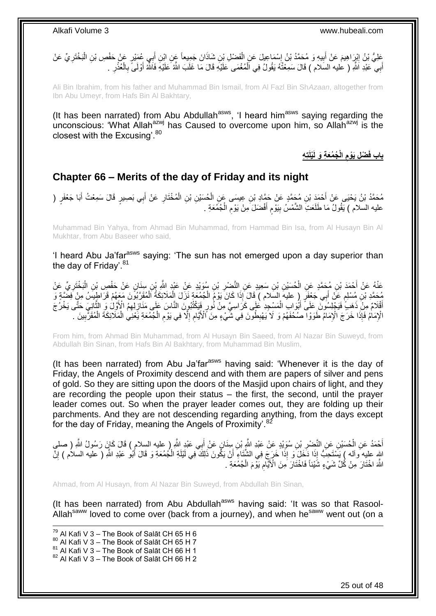عَلِيُّ بْنُ إِنْرِاهِيمَ عَنْ أَبِيهِ وَ مُحَمَّدُ بْنُ إِسْمَاعِيلَ عَنِ الْفَضْلِ بْنِ شَاذَانَ جَمِيعاً عَن<br>عَلِيُّ بْنُ إِنْرِاهِيمَ عَنْ أَبِيهِ وَ مُحَمَّدُ بْنُ إِسْمَاعِيلَ عَنِ الْفَضْلِ بْنِ شَاذَانَ جَمِيعاً ع َ ْ ِ **!**  ِ ِ ْ أَبِي ۖ عَبْدِ اَشُّو ( عليه السَلام ) قَالَ سَمِعْتُهُ يَقُولُ فِي اَلْمُغْمَى عَلَيْهِ قَالَ مَا غَلَبَ اللَّهُ عَلَيْهِ فَاَللَّهُ أَوْلَى ۖ بِالْعُذْرِ . َ ْ ِ **ٔ** ْ ِ

Ali Bin Ibrahim, from his father and Muhammad Bin Ismail, from Al Fazl Bin Sh*Azaan*, altogether from Ibn Abu Umeyr, from Hafs Bin Al Bakhtary,

(It has been narrated) from Abu Abdullah<sup>asws</sup>, 'I heard him<sup>asws</sup> saying regarding the unconscious: 'What Allah<sup>azwj</sup> has Caused to overcome upon him, so Allah<sup>azwj</sup> is the closest with the Excusing'.  $80$ 

> **ُج ُمَع ِة َو لَ الْ ْض ِل َيْوم باب ف تِ ِه َ ْيلَ ِ**

## <span id="page-24-0"></span>**Chapter 66 – Merits of the day of Friday and its night**

مُحَمَّدُ بْنُ يَحْيَى عَنْ أَحْمَدَ بْنِ مُحَمَّدٍ عَنْ حَمَّادِ بْنِ عِيسَى عَنِ الْحُسَيْنِ بْنِ الْمُخْتَارِ عَنْ أَبِي بَصِيرٍ قَالَ سَمِعْتُ أَبَا جَعْفَرٍ ( َ **ٍ** ْ ْ َ َ عليه السلام ) يَقُولُ مَا طَلَعَتِ الشَّمْسُ بِيَوْمٍ أَفْضَلَ مِنْ يَوْمِ الْجُمُعَةِ . ْ َ م **!** لَ

Muhammad Bin Yahya, from Ahmad Bin Muhammad, from Hammad Bin Isa, from Al Husayn Bin Al Mukhtar, from Abu Baseer who said,

'I heard Abu Ja'far<sup>asws</sup> saying: 'The sun has not emerged upon a day superior than the day of Friday'. $81$ 

ِّفْهُ عَنْ أَحْمَدَ بْنِ مُحَمَّدٍ عَنِ الْحُسَيْنِ بْنِ سَعِيدٍ عَنِ النَّصْرِ بْنِ سُوَيْدٍ عَنْ عَنْدٍ الثَّوِ بْنِ سِنَانٍ عَنْ حَفْصِ بْنِ الْبَخْتَرِيِّ عَنْ ِ ْ َ ِ ْ مُحَمَّدِ بْنِ مُسْلِمٍ عَنْ أَبِي جَعْفَرٍ ۚ إِ عليهَ السَلام ) قَالَ إِذَا كَانَ يَوْمُ الْجُمُعَةِ نَزَلَ الْمَلَائِكَةُ اَلْمُقَرَّبُونَ مَعَهُمْ قَرَاطِيسُ مِنْ فِضَّةٍ وَ ٍ ْ ْ ْ أَقْلَامٌ مِنْ ذَهَبٍ ۚ فَيَجْلِسُونَ عَلَى ۗ أَبُوَابِ الْمَسْجِدِ عَلَى كَرَاسِيَّ مِنْ نُورٍ فَيَكْتُبُونَ النَّاسَ عَلَى مَذَارِلِّهِمُ الْأَوَّلُ وَ الثَّانِيَ حَتَّى يَخْرُجَ ْ َ ِ  $\ddot{\ddot{\phantom{}}}$ الْإِمَامُ فَإِذَا خَرَجَ الْإِمَامُ طَوَوْا ۖ صُحُفَهُمْ وَ لَا يَهْبِطُونَ فِي شَّيْءٍ مِنَ ٱلْأَيَّامِ إِلَّا فِي يَوْمِ الْجُمُعَةِ يَعْنِي الْمَلَائِكَةَ الْمُقَرَّبِينَ ۖ ِ ِ ْ ْ ْ ِ ِ ِ

From him, from Ahmad Bin Muhammad, from Al Husayn Bin Saeed, from Al Nazar Bin Suweyd, from Abdullah Bin Sinan, from Hafs Bin Al Bakhtary, from Muhammad Bin Muslim,

(It has been narrated) from Abu Ja'far<sup>asws</sup> having said: 'Whenever it is the day of Friday, the Angels of Proximity descend and with them are papers of silver and pens of gold. So they are sitting upon the doors of the Masjid upon chairs of light, and they are recording the people upon their status – the first, the second, until the prayer leader comes out. So when the prayer leader comes out, they are folding up their parchments. And they are not descending regarding anything, from the days except for the day of Friday, meaning the Angels of Proximity'.<sup>82</sup>

أَحْمَدُ عَنِ الْمُسَيْنِ عَنِ النَّضِرِ بْنِ سُوَيْدٍ عَنْ عَبْدِ اللَّهِ بْنِ سِنَانٍ عَنْ أَبِي عَبْدٍ اللَّهِ ( عليه السلام ) قَالَ كَإِنَ رَسُولُ اللَّهِ ( صلي **∶** ْ َ اللهِ عِليه َواله ) يَسْتَحِبُّ إِذَا دَخَلَ وَ إِذَا خَرَجَ فِي الشَّنَاءِ أَنْ يَكُونَ ذَلِكَ فِي لَيْلَةِ الْجُمُعَةِ وَ قَالَ أَبُو عَبْدِ اللَّهِ ( عليه السلام ) إِنَّ ْ َ ِ َ اللَّهَ اخْتَارَ مِنْ كُُلِّ شَيْءٍ شُّيْئاً فَاخْتَارَ مِنَ الْأَيَّامِ يَوْمَ الْجُمُعَةِ ۖ . ْ ِ

Ahmad, from Al Husayn, from Al Nazar Bin Suweyd, from Abdullah Bin Sinan,

(It has been narrated) from Abu Abdullah<sup>asws</sup> having said: 'It was so that Rasool-Allah<sup>saww</sup> loved to come over (back from a journey), and when he<sup>saww</sup> went out (on a

1  $^{79}$  Al Kafi V 3 – The Book of Salāt CH 65 H 6  $80$  Al Kafi V 3 – The Book of Salāt CH 65 H 7  $81$  Al Kafi V 3 – The Book of Salāt CH 66 H 1  $82$  Al Kafi V 3 – The Book of Salāt CH 66 H 2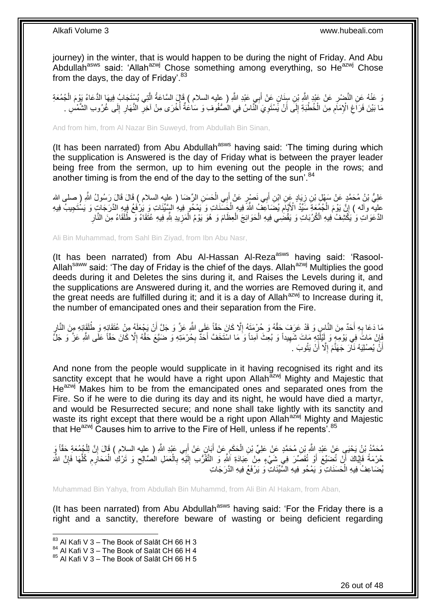journey) in the winter, that is would happen to be during the night of Friday. And Abu Abdullah<sup>asws</sup> said: 'Allah<sup>azwj</sup> Chose something among everything, so He<sup>azwj</sup> Chose from the days, the day of Friday'. $83$ 

وَ عَنْهُ عَنِ النَّضْرِ عَنْ عَبْدٍ اللَّهِ بْنِ سِنَانٍ عَنْ أَبِي عَبْدِ اللَّهِ ( عليه السلام ) قَإِلَ السَّاعَةُ الَّتِي يُسْتَجَابُ فِيهَا الدُّعَاءُ يَوْمَ الْجُمُعَةِ م<br>ا َ ِ ْ مَا بَيْنَ فَرَاغِ الْإِمَامِ مِنَ الْخُطْبَةِ إِلَى أَنْ يََسْتَوِيَ الْنَّاسُ فِي الْصُنْفُوفِ وَ سَاعْةٌ أُخْرَى مِنْ آخِرِ النَّهَارِ إِلَى غُرُوبِ الشَّمْسِ . ِ َ ِ ِ ِ ِ ِ ِ :<br>ا

And from him, from Al Nazar Bin Suweyd, from Abdullah Bin Sinan,

(It has been narrated) from Abu Abdullah<sup>asws</sup> having said: 'The timing during which the supplication is Answered is the day of Friday what is between the prayer leader being free from the sermon, up to him evening out the people in the rows; and another timing is from the end of the day to the setting of the sun'.  $84$ 

عَلِيُّ بْنُ مُحَمَّدٍ عَنْ سَهْلٍ بْنِ زِيَادٍ عِنِ ابْنِ أَبِي نَصْبٍ عَنْ أَبِي الْحَسَنِ الرِّصْمَا ( عليه السلام ) قَالَ قَالَ رَسُولُ اللَّهِ ( صلى الله ِ ْ َ َ عِلِيَّه وآله ) إِنَّ يَوْمَ الْجُمُعَةِ سَيِّدُ الْأَيَّامِ يُضَاعِفُ اللَّهَ فِيهِ الْخَِسَّنَاتِ وَ يَمْحُو فِيهِ السَّيِّئَاتِ وَ يَرْفَعُ فِيهِ الدَّرَجَاتِ وَ يَسْتَجِيبُ فِيهِ ْ ِ ْ ِ الدَّعَوَاتِ وَ يَكْشِفُّ فِيهِ الْكُرُبَاتِ وَ يَقْضِي فِيهِ الْحَوَائِجَ الْعِظَامَ وَ هُوَ يَوْمُ الْمَزِيدِ لِلَّهِ فِيهِ عُثَقَاءُ وَ طُلَقَاءُ مِنَ النَّارِ ِ ْ ْ ْ ِ

Ali Bin Muhammad, from Sahl Bin Ziyad, from Ibn Abu Nasr,

(It has been narrated) from Abu Al-Hassan Al-Reza<sup>asws</sup> having said: 'Rasool-Allah<sup>saww</sup> said: 'The day of Friday is the chief of the days. Allah<sup>azwj</sup> Multiplies the good deeds during it and Deletes the sins during it, and Raises the Levels during it, and the supplications are Answered during it, and the worries are Removed during it, and the great needs are fulfilled during it; and it is a day of Allah<sup>azwj</sup> to Increase during it, the number of emancipated ones and their separation from the Fire.

مَا دَعَا بِهِ أَحَدٌ مِنَ النَّاسِ وَ قَدْ عَرَفَ حَقَّهُ وَ حُرْمَتَهُ إِلَّا كَانَ حَقَّاً عَلَى اللَّهِ عَزَّ وَ جَلَّ أَنْ يَجْعَلَهُ مِنْ عُتَقَائِهِ وَ طُلَقَائِهِ مِنَ النَّارِ اُ ِ َ **∶** ِ فَإِنْ مَاتََ فِي يَوْمِهِ وَ لِّيْلَٰذِهِ مَاتَ شَهِيداً وَ بُعِثَ آمِناً وَ مَا اسْتَخَفَّ أَحَدٌّ بِحُرْمَذِهِ وَ ضَيَّعَ حَقَّهُ إِلَّا كَانَ حَقَّاً عَلَى اللَّهِ عَزَّ وَ جَلَّ ِ ֚׀֛<br>ׇ֧֢֚ ِ ِ َ أَنَّ يُصْلِيَهُ نَاْرَ جَهَنَّمَ إِلَّا أَنْ يَتُوبَ ِ اً

And none from the people would supplicate in it having recognised its right and its sanctity except that he would have a right upon Allah<sup>azwj</sup> Mighty and Majestic that He<sup>azwj</sup> Makes him to be from the emancipated ones and separated ones from the Fire. So if he were to die during its day and its night, he would have died a martyr, and would be Resurrected secure; and none shall take lightly with its sanctity and waste its right except that there would be a right upon Allah<sup>azwj</sup> Mighty and Majestic that He $^{a}$ zwj Causes him to arrive to the Fire of Hell, unless if he repents<sup>'.85</sup>

مُحَمَّدُ بْنُ يَحْيَى عَنْ عَبْدِ اللَّهِ بْنِ مُحَمَّدٍ عَنْ عَلِيِّ بْنِ الْحَكَمِ عَنْ أَبَانٍ عَنْ أَبِي عَبْدِ اللَّهِ ( عليه السلام ) قَالَ إِنَّ لِلْجُمُعَةِ حَقَّاً وَ<br>مُحَمَّدُ بْنُ يَحْيَى عَنْ عَبْدِ اللَّهِ ب َ َ ِ ْ ْ ِ حُرْمَةً فَإِيَّاكَ أَنْ تُضِيِّعَ أَوْ تُقَصِّرَ فِي شَيْءٍ مِّنْ عِبَادَةِ اللَّهِ وَ التَّقَرُّبِ إِلَيْهِ بِالْعَمَلِ المُصَّالِحِ وَ تَرْكِ الْمَحَارِمِ كُلِّهَا فَإِنَّ اللَّهَ اُ َ ׀֧֧֦֧֦֦֧ ً ∣ļ ِّ ِ ِ ْ ِ ْ **∶** اَ ِ يُضَاعِفُ فِيهِ الْحَسَنَاتِ وَ يَمْحُو فِيهِ السَّيِّئَاتِ وَ يَرْفَعُ فِيهِ الذَّرَجَاتِ ْ

Muhammad Bin Yahya, from Abdullah Bin Muhammd, from Ali Bin Al Hakam, from Aban,

(It has been narrated) from Abu Abdullah<sup>asws</sup> having said: 'For the Friday there is a right and a sanctity, therefore beware of wasting or being deficient regarding

 $83$  Al Kafi V 3 – The Book of Salāt CH 66 H 3

 $84$  Al Kafi V 3 – The Book of Salāt CH 66 H 4

 $85$  Al Kafi V 3 – The Book of Salāt CH 66 H 5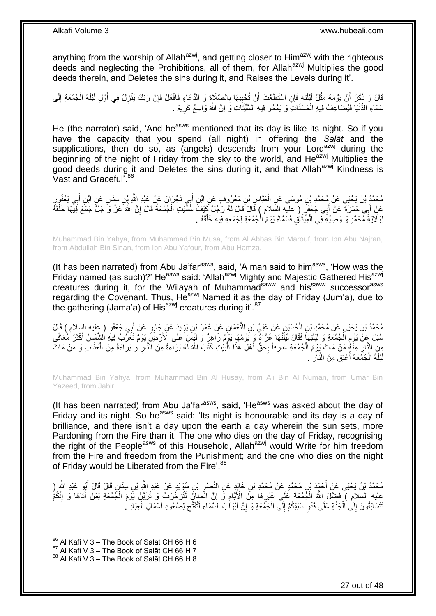anything from the worship of Allah<sup>azwj</sup>, and getting closer to Him<sup>azwj</sup> with the righteous deeds and neglecting the Prohibitions, all of them, for Allah<sup>azwj</sup> Multiplies the good deeds therein, and Deletes the sins during it, and Raises the Levels during it'.

ِ قَالَ وَ ذَكَرَ أَنَّ يَوْمَهُ مِثْلُ لَيْلَتِهِ فَإِنِ اسْتَطَعْتَ أَنْ تُحْيِيَهَا بِالصَّلَاةِ وَ الدُّعَاءِ فَافْعَلْ فَإِنَّ رَبَّكَ يَنْزِلُ فِي أَوَّلِ لَيْلَةِ الْجُمُعَةِ إِلَى ِ ِ اُ **ٔ** ِ ْ َ ِ سَمَاءِ الدُّنْيَا فَيُضَاعِفُ فِيهِ الْحَسَنَاتِ وَ يَمْحُو فِيهِ السَّيِّئَاتِ وَ إِنَّ اللَّهَ وَاسِعٌ كَرِيمٌ . ْ ِ ِ

He (the narrator) said, 'And he<sup>asws</sup> mentioned that its day is like its night. So if you have the capacity that you spend (all night) in offering the *Salāt* and the supplications, then do so, as (angels) descends from your Lord<sup>azwj</sup> during the beginning of the night of Friday from the sky to the world, and He<sup>azwj</sup> Multiplies the good deeds during it and Deletes the sins during it, and that Allah<sup>azwj</sup> Kindness is Vast and Graceful<sup>'.86</sup>

مُحَمَّدُ بْنُ يَحْيَى عَنْ مُحَمَّدِ بْنِ مُوسَى عَنِ الْعَبَّاسِ بْنِ مَعْرُوفٍ عَنِ ابْنِ أَبِي نَجْرَانَ عَنْ عَبْدِ اللَّهِ بِّنِ سِنَانٍ عَنِ ابْنِ أَبِي يَعْفُورِ **∶** َ َ ْ عَنْ أَبِي حَمْزَةً عَنْ أَبِي جَعْفَرٍ ( عِلْيهِ السَّلام ) قَالَ قَالَ لَهُ رَجُلٌ كَيْفَ سُمِّيَتِ الْجُمْعَةُ قَالَ إِنَّ اللَّهَ عَزَّ وَ جَلَّ جَمَعَ فِيهَا خَلْقَهُ ِ ْ َ ْ لِّوَلَايَةِ مُحَمَّدٍ وَ وَصِيَّهِ فِي الْمِيَّثَاقِ فَسَمَّاهُ يَوْمَ الْجُمُعَةِ لِجَمْعِهِ فِيهِ خَلْقَهُ . ْ ا<br>ا  $\ddot{\phantom{0}}$ ْ

Muhammad Bin Yahya, from Muhammad Bin Musa, from Al Abbas Bin Marouf, from Ibn Abu Najran, from Abdullah Bin Sinan, from Ibn Abu Yafour, from Abu Hamza,

(It has been narrated) from Abu Ja'far<sup>asws</sup>, said, 'A man said to him<sup>asws</sup>, 'How was the Friday named (as such)?' He<sup>asws</sup> said: 'Allah<sup>azwj</sup> Mighty and Majestic Gathered His<sup>azwj</sup> creatures during it, for the Wilayah of Muhammad<sup>saww</sup> and his<sup>saww</sup> successor<sup>asws</sup> regarding the Covenant. Thus, He<sup>azwj</sup> Named it as the day of Friday (Jum'a), due to the gathering (Jama'a) of His<sup>azwj</sup> creatures during it'.<sup>87</sup>

مُحَمَّدُ بْنُ يَحْيَى عَنْ مُحَمَّدٍ بْنِ الْحُسَيْنِ عَنْ عَلِيٍّ بْنِ النَّعْمَانِ عَنْ عُمَرَ بْنِ يَزِيدَ عَنْ جَابِرٍ عَنْ أَبِي جَعْفَرٍ ( عليه السلام ) قَالَ<br>مُمْسَمَّدُ بَنْ يَحْيَى عَنْ مُحَمَّدٍ بْنِ الْجُسَيْن ِ ْ َ سُئِلَ عِنْ يَوْمِ الْجُمُعَةِ وَ لَيْلَتِهَا فَقَالَ لَيْلَتُهَا غَرَّاءٌ وَ يَوْمُهَا يَوْمٌ زَاهِرٌ وَ لَيْسَ عَلَى الْأَرْضَ يَوْمٌ تَغَرُّبُ فِيَهِ الشَّمْسُ أَكْثَرَ مُعَافًى ْ ِ َ َ مِنَ النَّارِ مِنْهُم َنْ مَاتَ يَوْمَ الْجُمُعَةِ عَارِفاً بِحَقٍّ أَهْلِ هَذَا الْبَيْتِ كَتَبَ اللَّهُ لَهُ بَرَاءَةً مِنَ النَّائِرِ وَ بَرَاءَةً مِنَ الْعَذَابِ وَ مَنْ مَاتَ :<br>ا َ **∶** ِ ْ ِ ْ ِ يْلَةَ الْجُمُعَةِ أَعْتِقَ مِنَ النَّارِ . **∶** :<br>ا ْ اَ

Muhammad Bin Yahya, from Muhammad Bin Al Husay, from Ali Bin Al Numan, from Umar Bin Yazeed, from Jabir,

(It has been narrated) from Abu Ja'far<sup>asws</sup>, said, 'He<sup>asws</sup> was asked about the day of Friday and its night. So he<sup>asws</sup> said: 'Its night is honourable and its day is a day of brilliance, and there isn't a day upon the earth a day wherein the sun sets, more Pardoning from the Fire than it. The one who dies on the day of Friday, recognising the right of the People<sup>asws</sup> of this Household, Allah<sup>azwj</sup> would Write for him freedom from the Fire and freedom from the Punishment; and the one who dies on the night of Friday would be Liberated from the Fire'.<sup>88</sup>

مُحَمَّدُ بْنُ يَحْيَى عَنْ أَحْمَدَ بْنِ مُحَمَّدٍ عَنْ مُحَمَّدِ بْنِ خَالِدٍ عَنِ النَّضْرِ بْنِ سُوَيْدٍ عَنْ عَبْدِ الثَّهِ بْنِ سِنَانٍ قَالَ قَالَ أَبُو عَبْدِ الثَّهِ ( ِ َ َ ِ عليه السلام ﴾ فَضِّلَ اللَّهُ الْجُمُعَةَ عَلَى غَيْرِهَا مِنَّ الْإِيَّامِ وَّ إِنَّ الْجِزَانَ لَتُزَخْرَفُ وَ تُزَيَّنُ يَوْمَ الْجُمُعَةِ لِمَنْ أَثَاهَا وَ إِنَّكُمُ ֧֧֚֚֝֟֓֝֬ **∶** ْ َ ِ َ ْ ْ نَتَسَابَقُونَ إِلَى الْجَنَّةِ عَلَى قَدْرِ سَبْقِكُمْ إِلَى الْجُمُعَةِ وَ إِنَّ أَبْوَابَ الْسَّمَاءِ لَتُفَتَّحُ لِصُعُودِ أَعْمَالِ الْعِبَادِ لَ َ ِ ْ ِ **∶** ْ  $\frac{1}{2}$ ْ َ

 $86$  Al Kafi V 3 – The Book of Salāt CH 66 H 6

 $87$  Al Kafi V 3 – The Book of Salāt CH 66 H 7

 $88$  Al Kafi V 3 – The Book of Salāt CH 66 H 8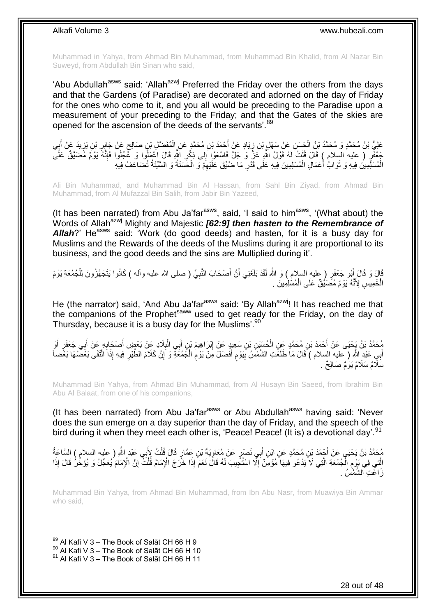Muhammad in Yahya, from Ahmad Bin Muhammad, from Muhammad Bin Khalid, from Al Nazar Bin Suweyd, from Abdullah Bin Sinan who said,

'Abu Abdullah<sup>asws</sup> said: 'Allah<sup>azwj</sup> Preferred the Friday over the others from the days and that the Gardens (of Paradise) are decorated and adorned on the day of Friday for the ones who come to it, and you all would be preceding to the Paradise upon a measurement of your preceding to the Friday; and that the Gates of the skies are opened for the ascension of the deeds of the servants'.<sup>89</sup>

عَلِيُّ بْنُ مُحَمَّدٍ وَ مُحَمَّدُ بْنُ الْجَسَنِ عَنْ سَهْلِ بْنِ زِيَادٍ عَنْ أَحْمَدَ بْنِ مُحَمَّدٍ عَنْ إِسْفَضَّلِ بْنِ صَالِحٍ عَنْ جَابِرِ بْنِ يَزِيدَ عَنْ أَبِي ْ َ ِ **∶** َ ِ ِ ֺ֞ جَعْفَرٍ ( عليه السِلام ) قَالَ قُلْتُ لَهُ قَوْلُ اللَّهِ عَزَّ وَ جَلَّ فَاسْعَوْا إِلَى ذِكْرِ اللَّهِ قَالَ اعْمَلُوا وَ عَجِّلُوا فَإِنَّهُ يَوْمٌ مُضنَيَّقٌ عَلَى ِ ْ ׀ו<br>ְ ِ الْمُسْلِّمِينَ فِيهِ وَ ثَوَابُ أَعْمَالِ الْمُسْلِمِينَ فِيهِ عَلَى قَدْرِ مَا ضُبِّقَ عَلَيْهِمْ وَ الْحَسَنَةُ وَ السَّيِّئَةُ تُضَاعَفُ فِيهِ ْ ِ ِ ْ ا<br>ا ة<br>أ

Ali Bin Muhammad, and Muhammad Bin Al Hassan, from Sahl Bin Ziyad, from Ahmad Bin Muhammad, from Al Mufazzal Bin Salih, from Jabir Bin Yazeed,

(It has been narrated) from Abu Ja'far $a$ <sup>asws</sup>, said, 'I said to him $a$ <sup>asws</sup>, '(What about) the Words of Allah<sup>azwj</sup> Mighty and Majestic [62:9] then hasten to the Remembrance of Allah?' He<sup>asws</sup> said: 'Work (do good deeds) and hasten, for it is a busy day for Muslims and the Rewards of the deeds of the Muslims during it are proportional to its business, and the good deeds and the sins are Multiplied during it'.

قَالَ وَ قَالَ أَبُو جَعْفَرٍ ( مِللهِ السلام ) وَ اللَّهِ لَقَدْ بَلَغَنِي أَنَّ أَصْحَابَ النَّبِيِّ ( صلى الله عليه وأله ) كَانُوا بَنَجَهَّزُونَ لِلْجُمُعَةِ يَوْمَ **∶** َ َ َ ْ الْخَمِيْسِ لِأَنَّهُ يَوْمٌ مُصَّنَّيْنٌ عَلَى الْمُسْلِمِينَ . ْ ْ

He (the narrator) said, 'And Abu Ja'far<sup>asws</sup> said: 'By Allah<sup>azwj</sup>! It has reached me that the companions of the Prophet<sup>saww</sup> used to get ready for the Friday, on the day of Thursday, because it is a busy day for the Muslims'.<sup>90</sup>

مُحَمَّدُ بْنُ يَجْيَى عَنْ أَحْمَدَ بْنِ مُحَمَّدٍ عِنِ الْحُسَيْنِ بْنِ سَعِيدٍ عَنْ إِبْرَاهِيمَ بْنِ أَبِي الْبِلَادِ عِنْ بَعْضٍ أَصْحَابِهِ عَنْ أَفِي جَعْفَرٍ أَوْ َ َ ِ َ **∶** ْ َ ِ ْ أَبِي عَبْدِ اللَّهِ ( عليه السلام ) قَالَ مَا طَلَعَتِ الشَّمْسُ بِيَوْمٍ أَفْضلَ مِنْ يَوْمِ الْجُمُعَةِ وَ إِنَّ كَلاَمَ الطَّيْرِ فِيهِ إِذَا الْنَقَى بَعْضُهَا بَعْضاً ِ ْ ِ َ ٍ ِ َ ِ ِ ْ سَلَامٌ سَلَامٌ يَوْمٌ صَىَالِحٌ .

Muhammad Bin Yahya, from Ahmad Bin Muhammad, from Al Husayn Bin Saeed, from Ibrahim Bin Abu Al Balaat, from one of his companions,

(It has been narrated) from Abu Ja'far $a<sup>asws</sup>$  or Abu Abdullah $a<sup>asws</sup>$  having said: 'Never does the sun emerge on a day superior than the day of Friday, and the speech of the bird during it when they meet each other is, 'Peace! Peace! (It is) a devotional day'.<sup>91</sup>

جُمَّدُ بْنُ يَحْيَي عَنْ أَجْمَدَ بْنِ مُحَمَّدٍ عَنِ ابْنِ أَبِي نَصْرٍ عَنْ مُعَاوِيَةَ بْنِ عَمَّارٍ قَالَ قُلْتُ لِأَبِي عَبْدٍ اللَّهِ ( عليه السلام ) السَّاعَةُ َ ْ ِ الَّتِي فِي بَوْمٍ الْجُمُعَةِ الَّتِي لَا يَدْعُو فِيهَا مُؤْمِنٌ إِلَّا اسْتُجِيبَ لَهُ قَالَ نَعَمْ إِذَا خَرَجَ الْإِمَامُ قُلْتُ إِنَّ الْإِمَامَ يُعَجِّلُ وَ يُؤَخِّرُ قَالَ إِذَا ِ ا<br>إ :<br>. ِ ِ ْ زَاغَتِ الشَّمْسُ .

Muhammad Bin Yahya, from Ahmad Bin Muhammad, from Ibn Abu Nasr, from Muawiya Bin Ammar who said,

 $89$  Al Kafi V 3 – The Book of Salāt CH 66 H 9

<sup>90</sup> Al Kafi V 3 – The Book of Salāt CH 66 H 10

 $91$  Al Kafi V 3 – The Book of Salāt CH 66 H 11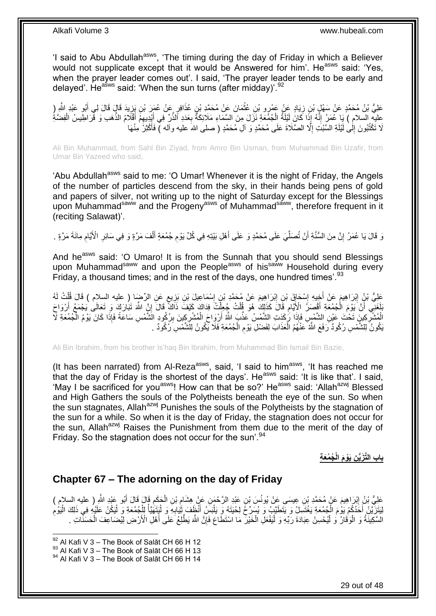'I said to Abu Abdullah<sup>asws</sup>, 'The timing during the day of Friday in which a Believer would not supplicate except that it would be Answered for him'. He<sup>asws</sup> said: 'Yes, when the prayer leader comes out'. I said, 'The prayer leader tends to be early and delayed'. He<sup>asws</sup> said: 'When the sun turns (after midday)'.  $92$ 

عَلِيُّ بْنُ مُحَمَّدٍ عَنْ سَهْلٍ بْنِ زِيَادٍ عَنْ عَمْرٍو بْنِ عُثْمَانَ عَنْ مُحَمَّدِ بْنِ عُذَاقِرٍ عَنْ<br>عَلَيُّ بْنُ مُحَمَّدٍ عَنْ سَهْلٍ بْنِ زِيَادٍ عَنْ عَمْرٍو بِّنِ عُثْمًا مِنْ مُحَمَّدٍ بْنِ عُذَاقِرٍ مِنْ َ ِ **ٔ** ِ َ عِليهِ السلامِ ) يَا عُمَرُ إِنَّهُ إِذَا كَانَ لَيْلَةُ الْجُمُعَةِ نَزَلَ مِنَ السَّمَاءِ مَلَائِكَةٌ بِعَدَدِ ٱلذَّنِّ فِي أَيْدِيعِمْ أَقْلَامُ الذَّهَبِ وَ قَرَاطِيسُ الْفِضَّةُ ِ ْ ֺ֧֖ׅ֧ׅ֧֧֚֚֚֚֚֚֚֚֚֚֚֚֚֚֝֝֬֓֡֡֓֡֟֡֡֡֡֡֡֬֓֡֟֓֡֟֓֡֟֓֡֡֡֬֩֓֓֩ ْ  $\ddot{\cdot}$ **ٔ** َ لَا تَكْتُبُونَ إِلَىٰ لَيْلَةِ السَّبْتِ إِلَّا الصَّلَاةَ عَلَى مُحَمَّدٍ وَ آلِ مُحَمَّدٍ ( صلى الله عليه وآله ) فَأَكْثِرُ مِنْهَا َ ِ  $\frac{1}{2}$ 

Ali Bin Muhammad, from Sahl Bin Ziyad, from Amro Bin Usman, from Muhammad Bin Uzafir, from Umar Bin Yazeed who said,

'Abu Abdullah<sup>asws</sup> said to me: 'O Umar! Whenever it is the night of Friday, the Angels of the number of particles descend from the sky, in their hands being pens of gold and papers of silver, not writing up to the night of Saturday except for the Blessings upon Muhammadsaww and the Progenyasws of Muhammadsaww, therefore frequent in it (reciting Salawat)'.

رَ قَالَ يَا عُمَرُ إِنَّ مِنَ السُّنَّةِ أَنْ تُصَلِّّيَ عَلَى مُحَمَّدٍ وَ عَلَى أَهْلِ بَيْتِهِ فِي كُلِّ يَوْمِ جُمُعَةٍ أَلْفَ مَرَّةٍ وَ فِي سَائِرِ الْأَيَّامِ مِائَةَ مَرَّةٍ . َ ِّ َ اٍ ِ ِ ْ َ ِ

And he<sup>asws</sup> said: 'O Umaro! It is from the Sunnah that you should send Blessings upon Muhammad<sup>saww</sup> and upon the People<sup>asws</sup> of his<sup>saww</sup> Household during every Friday, a thousand times; and in the rest of the days, one hundred times'.<sup>93</sup>

عَلِيُّ بْنُ إِبْرَاهِيمَ عَنْ أَخِيهِ إِسْحَاقَ بْنِ إِبْرَاهِيمَ عَنْ مُحَمَّدِ بْنِ إِسْمَاعِيلَ بْنِ بَزِيعٍ عَنِ الرِّضَا ( عليه السِلام ) قَالَ قُلْتُ لَهُ ٍ ِ ِ ِ ֦֦֦֧֦֦֦֦֧֦ׅ֦֦֦֦֦֦֧֦֧֦֧֦֧֦֧֦֧֦֧֦֧֦֧֦֧֦֧֦֧֦֚֚֚֚֚֚֝֝֝֝֝֓֡֝֟֜֡֜֓֡֟֓֡֟֓֡֟֓֡֟֓֡֟֓֡֟֟֓ **ֽוּ** ْ َ بَلَغَنِي أَنَّ يَوْمَ الْجُمُعَةِ أَقْصَدُ الْأَيَّامِ قَالَ كَذَلِكَ هُوَ قُلْتُ جُعِلَّتُ فِدَاكَ كَيْفَ ذَاكَ قَالَ إِنَّ اللَّهَ تَبُارَكَ وَ تَعَالَىٰ يَجْمَعُ أَرْوَاحَ ْ اً ِ ْ ْ ِ َ الْمُشْرِكِينَ تَحْتَ عَيْنِ الشَّمْسِ فَإِذَا رَكَدَتِ الشَّمْسُ عَذَّبَ اللَّهُ أَرْوَاحَ الْمُشْرِكِينَ بِرُكُودٍ الشَّمْسِ سَاعَةً فَإِذَا كَانَ يَوْمُ الْجُمُعَةِ لَأَ ِ ِ ْ َ ِ ْ ْ َبْكُونُ لِلشَّمْسِ رُكُودٌ رَفَعَ اللَّهُ عَنْهُمُ الْعَذَابَ لِفَضْلِ يَوْمِ الْجُمُعَةِ فَلَا يَكُونُ لِلَشَّمْسِ رُكُودٌ . ْ ِ ْ

Ali Bin Ibrahim, from his brother Is'haq Bin Ibrahim, from Muhammad Bin Ismail Bin Bazie,

(It has been narrated) from Al-Reza<sup>asws</sup>, said, 'I said to him<sup>asws</sup>, 'It has reached me that the day of Friday is the shortest of the days'. Heasws said: 'It is like that'. I said, 'May I be sacrificed for you<sup>asws</sup>! How can that be so?' He<sup>asws</sup> said: 'Allah<sup>azwj</sup> Blessed and High Gathers the souls of the Polytheists beneath the eye of the sun. So when the sun stagnates, Allah<sup>azwj</sup> Punishes the souls of the Polytheists by the stagnation of the sun for a while. So when it is the day of Friday, the stagnation does not occur for the sun, Allah<sup>azwj</sup> Raises the Punishment from them due to the merit of the day of Friday. So the stagnation does not occur for the sun<sup>'.94</sup>

**ُج ُمَع ِة ِن َيْو َم الْ باب الَّت َزُّي**

### <span id="page-28-0"></span>**Chapter 67 – The adorning on the day of Friday**

عَلِيُّ بْنُ إِبْرَاهِيمَ عَنْ مُحَمَّدِ بْنِ عِيسَى عَنْ يُونُسَ بْنِ عَبْدِ الرَّحْمَنِ عَنْ هِشَامِ بْنِ الْحَكَمِ قَالَ قَالَ أَبُو عَبْدِ النَّوِ ( عليه السلام )<br>عَلِيُّ بْنُ إِبْرَاهِيمَ عَنْ مُحَمَّدِ بْنِ عِيسَى عَ َ ِ ْ ِ ِ لِيَتَزَيَّنْ أَحَدُكُمْ بَوْمَ الْجُمُعَةِ يَغْتَسِلُ وَ يَتَطَيَّبُ وَ يُسَرِّخُ لِحْيَتَهُ وَ يَلْبَسُ أَنْظَفَ ثِيَابِهِ وَ لْيَتَهَيَّأُ لِلْجُمُعَةِ وَ لْيَكُنْ عَلَيْهِ فِي ذَلِكَ الْيَوْمِ ْ ِ ْ ْ ْ **Contracts** ْ ِ َ ْ السَّكِيْنَةُ وَ الْوَقَالَ وَ لْيُحْسِنْ عِبَادَةَ رَبِّهِ وَ لْيَفْعَلِّ الْخَيْرَ مَا اسْتَطَاعَ فَإِنَّ اللَّهَ يَطَّلِعُ عَلَى أَهْلِ الْأَرْضِ لِيُضَاعِفَ الْحَسَنِّاتِ . ِ ْ ْ :<br>ا ْ َ ْ

 $92$  Al Kafi V 3 – The Book of Salāt CH 66 H 12

 $^{93}$  Al Kafi V 3 – The Book of Salāt CH 66 H 13

<sup>94</sup> Al Kafi V 3 - The Book of Salāt CH 66 H 14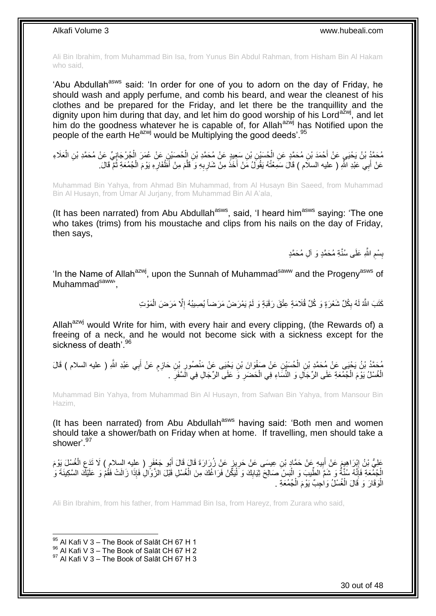Ali Bin Ibrahim, from Muhammad Bin Isa, from Yunus Bin Abdul Rahman, from Hisham Bin Al Hakam who said,

'Abu Abdullah<sup>asws</sup> said: 'In order for one of you to adorn on the day of Friday, he should wash and apply perfume, and comb his beard, and wear the cleanest of his clothes and be prepared for the Friday, and let there be the tranquillity and the dignity upon him during that day, and let him do good worship of his Lord<sup>azwj</sup>, and let him do the goodness whatever he is capable of, for Allah<sup>azwj</sup> has Notified upon the people of the earth  $He^{azwj}$  would be Multiplying the good deeds'.  $95$ 

مُحَمَّدُ بْنُ يَحْيَيِ عَنْ أَحْمَدَ بْنِ مُحَمَّدٍ عَنِ الْحُسَيْنِ بْنِ سَعِيدٍ عَنْ مُحَمَّدِ بْنِ إِلْحُصَيْنِ عَنْ عُمَرَ الْجُرْجَانِيِّ عَنْ مُحَمَّدِ بْنِ الْعَلَاءِ ْ ْ َ ْ عَنْ أَبِي عَبْدِ اللَّهِ ( عليه السلَّام ) قَالَ سَمِعْتُهُ يَقُولَ مَنْ أَخَذَ مِنْ شَارِبِهِ وَ قَلَّمَ مِنْ أَظْفَارِهِ يَوْمَ الْجُمُعَةِ ثُمَّ قَالَ. ِ َ ِ ِ َ َ ر<br>: ْ

Muhammad Bin Yahya, from Ahmad Bin Muhammad, from Al Husayn Bin Saeed, from Muhammad Bin Al Husayn, from Umar Al Jurjany, from Muhammad Bin Al A'ala,

(It has been narrated) from Abu Abdullah<sup>asws</sup>, said, 'I heard him<sup>asws</sup> saying: 'The one who takes (trims) from his moustache and clips from his nails on the day of Friday, then says,

> بِسْمِ اللَّهِ عَلَى سُنَّةِ مُحَمَّدٍ وَ أَلِ مُحَمَّدٍ ِ **ِ**

'In the Name of Allah<sup>azwj</sup>, upon the Sunnah of Muhammad<sup>saww</sup> and the Progeny<sup>asws</sup> of Muhammad<sup>saww</sup>',

> كَتَبَ اللَّهُ لَهُ بِكُلِّ شَعْرَةٍ وَ كُلِّ قُلَامَةٍ عِتْقَ رَقَبَةٍ وَ لَمْ يَمْرَضْ مَرَضاً يُصِيبُهُ إِلَّا مَرَضَ الْمَوْتِ ا<br>ا ِ ْ

Allah<sup>azwj</sup> would Write for him, with every hair and every clipping, (the Rewards of) a freeing of a neck, and he would not become sick with a sickness except for the sickness of death<sup>'96</sup>

مُحَمَّدُ بْنُ يَحْيَى عَنْ مُحَمَّدٍ بْنِ الْحُسَيْنِ عَنْ صَفْوَانَ بْنِ يَحْيَى عَنْ مَنْصُورِ بْنِ حَازِمٍ عَنْ أَبِي عَبْدِ اللَّهِ ( عليه السلام ) قَالَ<br>\*\* يَنْ يَحْيَى عَنْ مُحَمَّدٍ بْنِ الْحُسَيْنِ عَنْ صَفْوَانَ ْ َ م ِ ِ الْغُسْلُ يَوْمَ الْجُمُعَةِ عَلَى الرِّجَالِ وَ النِّسَاءِ فِي الْحَضَرِ وَ عَلَى الرِّجَالِ فِي الَسَّفَرِ . ِ ِ ْ ْ ْ

Muhammad Bin Yahya, from Muhammad Bin Al Husayn, from Safwan Bin Yahya, from Mansour Bin Hazim,

(It has been narrated) from Abu Abdullah $a<sup>asws</sup>$  having said: 'Both men and women should take a shower/bath on Friday when at home. If travelling, men should take a shower'.<sup>97</sup>

عَلِيُّ بْنُ إِبْرَاهِيمَ عَنْ أَبِيهِ عَنْ حَمَّادٍ بْنِ عِيسَى عَنْ حَرِيزٍ عَنْ زُرَارَةَ قَالَ قَالَ أَبُو جَعْفَرٍ ( عِليه السلام ) لَا تَدَعِ الْغُسْلَ يَوْمَ **∣** ْ ِ َ ِ **!** َ الْجُمُعَةِ فَإِنَّهُ سُنَّةٌ وَ شَمَّ الطِّيبَ وَ الْبَسْ صَالِحَ ثِيَابِكَ وَ لَيْكُنْ فَرَاغُكَ مِنَ الْغُسْلِ قَبْلَ الزَّوَالِ فَإِذَا زَالَتْ فَقُمْ وَ عَلَيْكَ السَّكِينَةَ وَ ْ ْ **!** ْ ِ الْوَقَارَ وَ قَالَ الْغُسْلُ وَاحِبٌ يَوْمَ الْجُمُعَةِ . ْ ْ ا.<br>ا

Ali Bin Ibrahim, from his father, from Hammad Bin Isa, from Hareyz, from Zurara who said,

 $95$  Al Kafi V 3 – The Book of Salāt CH 67 H 1

1

97 Al Kafi V 3 – The Book of Salāt CH 67 H 3

 $^{96}$  Al Kafi V 3 – The Book of Salāt CH 67 H 2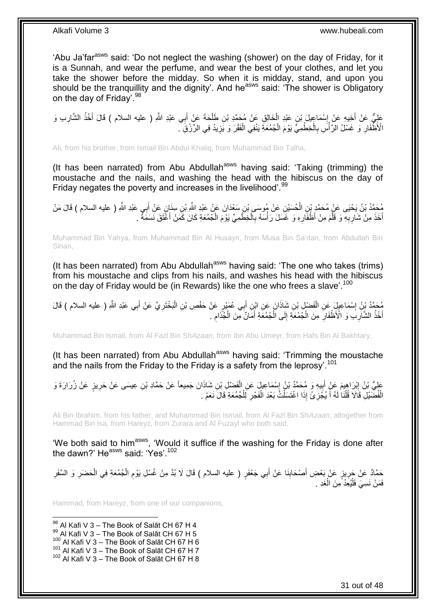'Abu Ja'far<sup>asws</sup> said: 'Do not neglect the washing (shower) on the day of Friday, for it is a Sunnah, and wear the perfume, and wear the best of your clothes, and let you take the shower before the midday. So when it is midday, stand, and upon you should be the tranquillity and the dignity'. And he<sup>asws</sup> said: 'The shower is Obligatory on the day of Friday'. 98

عَلِيٍّ عَنْ أَخِيهِ عَنْ إِسْمَاعِيلَ بْنِ عَبْدِ الْخَالِقِ عَنْ مُحَمَّدِ بْنِ طَلْحَةَ عَنْ أَبِي عَبْدِ اللَّهِ ( عليه السلام ) قَالَ أَخْذُ الشَّارِبِ وَ َ ْ ْ ِ ِ َ الْأَظَّفَارِ ۖ وَ غَسْلُ الرَّأْسَ بِالْخِطْمِيِّ يَوْمَ الْجُمُعَةِّ يَنْفِي الْفَقْرَ وَ يََزِيدُ فِي الرِّزْقِ ۖ ْ **∶** :<br>أ ِ ِ ْ ْ

Ali, from his brother, from Ismail Bin Abdul Khaliq, from Muhammad Bin Talha,

(It has been narrated) from Abu Abdullah<sup>asws</sup> having said: 'Taking (trimming) the moustache and the nails, and washing the head with the hibiscus on the day of Friday negates the poverty and increases in the livelihood'.<sup>99</sup>

مُحَمَّدُ بْنُ يَحْيَى عَنٍْ مُحَمَّدٍ بْنِ الْحُسَيْنِ عَنْ مُوسَى بْنِ سَعْدَانَ عَنْ عَبْدِ اللَّهِ بْنِ سِنَإِنٍ عَنْ أَبِي عَبْدِ اللَّهِ ( عليه السلام ) قَالَ مَنْ َ ْ أَخَذَ مِنْ شَارِبِهِ ۖ وَ قَلَّمَ مِنْ أَظْفَارِهِ وَ غَسَلَ رَأْسَهُ بِالْخِطَّمِيِّ يَوْمَ الْجُمُعَةِ كَانَ كَمَنْ أَغَّثَقَ نَسَمَةٌ ۚ . َ ْ ْ ِ **∶** َ ِ ِ َ

Muhammad Bin Yahya, from Muhammad Bin Al Husayn, from Musa Bin Sa'dan, from Abdullah Bin Sinan,

(It has been narrated) from Abu Abdullah<sup>asws</sup> having said: 'The one who takes (trims) from his moustache and clips from his nails, and washes his head with the hibiscus on the day of Friday would be (in Rewards) like the one who frees a slave'.<sup>100</sup>

مُحَمَّدُ بِنُ إِسْمَاعِيلٍِ عَنِ الْفَضْلِ بْنِ شَاذَانَ عَنِ ابْنِ أَبِي عُمَيْرٍ عَنْ حَفْصِ بْنِ الْبَخْتَرِيِّ عَنْ أَبِي عَبْدِ اللَّهِ ( عليه السلام ) قَالَ<br>يُسُمِّدُ بِّنُ إِسْمَاعِيلٍ ِ َ ِ ْ ْ **֡** أَخْذُ الشَّآرِبَ وَ الْأَظْفَارِ مِنَ الْجُمُعَةِ إِلَى الْجُمُعَةِ أَمَّانٌ مِنَ الْجُذَام ۚ. ِ ْ َ ْ  $\frac{1}{2}$ ْ ِ ِ َ

Muhammad Bin Ismail, from Al Fazl Bin Sh*Azaan*, from Ibn Abu Umeyr, from Hafs Bin Al Bakhtary,

(It has been narrated) from Abu Abdullah<sup>asws</sup> having said: 'Trimming the moustache and the nails from the Friday to the Friday is a safety from the leprosy'.<sup>101</sup>

عَلِيُّ بْنُ إِبْرَاهِيمَ عَنْ أَبِيهِ وَ مُحَمَّدُ بْنُ إِسْمَاعِيلَ عَنِ الْفَضْلِ بْنِ شَاذَانَ جَمِيعاً عَنْ حَمَّادِ بْنِ عِيسَى عَنْ حَرِيزٍ عَنْ زُرَارَةَ وَ<br>وَيُمْسِ بِنَّ إِبْرَاهِيمَ عَنْ زُرَارَةَ وَ ْ ِ ِ َ <u>֖֚֓</u>ׇ֛֚ ِ الْفُضَّيْلِ قَاَلَا قُلْنَا لَهُ أَ يُجُزِئُ إِذَا اغْتَسَلْتُ بَعْدَ الْفَجْرِ لِلْجُمُعَةِ قَالَ نَعَمْ . ْ ِ ْ ْ ِ َ ْ ْ

Ali Bin Ibrahim, from his father, and Muhammad Bin Ismail, from Al Fazl Bin Sh*Azaan*, altogether from Hammad Bin Isa, from Hareyz, from Zurara and Al Fuzayl who both said,

'We both said to him<sup>asws</sup>, 'Would it suffice if the washing for the Friday is done after the dawn?' He<sup>asws</sup> said: 'Yes'.<sup>102</sup>

حَمَّادٌ عَنْ جَرِيزٍ عَنْ بَعْضِ أَصْحَابِنَا عَنْ أَبِي جَعْفَرٍ ( عليه السلام ) قَالَ لَا بُدَّ مِنْ غُسْلِ يَوْمِ الْجُمُعَةِ فِي الْحَضَرِ وَ السَّفَرِ ْ ِ ِ َ ِ ِ ِ ْ فَمَنْ نَسِيَ فَلْيُعِدْ مِنَ الْغَدِ . ْ ْ

Hammad, from Hareyz, from one of our companions,

1  $^{98}$  Al Kafi V 3 – The Book of Salāt CH 67 H 4  $^{99}$  Al Kafi V 3 – The Book of Salāt CH 67 H 5 <sup>100</sup> Al Kafi V 3 – The Book of Salāt CH 67 H 6  $101$  Al Kafi V 3 – The Book of Salāt CH 67 H 7  $102$  Al Kafi V 3 – The Book of Salāt CH 67 H 8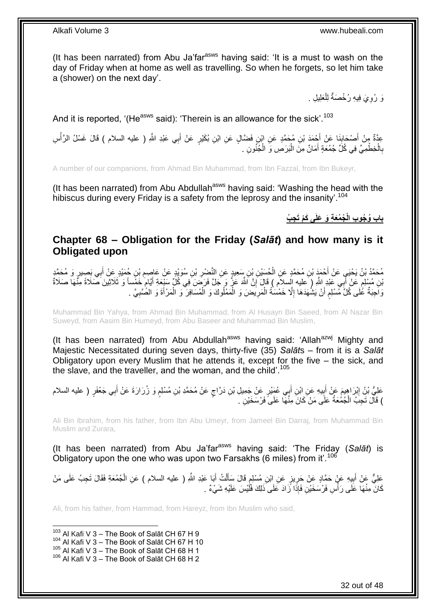(It has been narrated) from Abu Ja'far<sup>asws</sup> having said: 'It is a must to wash on the day of Friday when at home as well as travelling. So when he forgets, so let him take a (shower) on the next day'.

> رَ رُوِيَ فِيهِ رُخْصَةٌ لِلْعَلِيلِ . ِ ْ

And it is reported, '(He<sup>asws</sup> said): 'Therein is an allowance for the sick'.<sup>103</sup>

عِدَّةٌ مِنْ أَصْحَابِذَا عَنْ أَجْمَدَ بْنِ مُحَمَّدٍ عَنِ ابْنِ فَضَّالٍ عَنِ ابْنِ بُكَيْرٍ عَنْ أَبِي عَبْدِ اللَّهِ ( عليه السلام ) قَالَ غَسْلُ الرَّأْسِ َ َ ِ َ ة<br>أ بِالْخِطْمِيِّ فِي كُلِّ جُمُعِّةٍ أَمَانٌ مِنَّ الْبَرَصِ وَ الْجُنُونِ . ْ ْ َ ْ ِ

A number of our companions, from Ahmad Bin Muhammad, from Ibn Fazzal, from Ibn Bukeyr,

(It has been narrated) from Abu Abdullah<sup>asws</sup> having said: 'Washing the head with the hibiscus during every Friday is a safety from the leprosy and the insanity'.<sup>104</sup>

**ِج ُب ُج ُمَع ِة َو َعلَى َكْم َت باب ُو ُجو ِب الْ**

### <span id="page-31-0"></span>**Chapter 68 – Obligation for the Friday (***Salāt***) and how many is it Obligated upon**

ْ مُحَمَّدُ بْنُ يَحْيَيِ عَنْ أَحْمَدٍ بْنِ مُحَمَّدٍ عَنِ الْحُسَيْنِ بْنِ سَعِيدٍ عَنِ النَّصْرِ بْنِ سُوَيْدٍ عَنْ عَاصِمِ بْنِ حُمَيْدٍ عَنْ أَبِي بَصِيرٍ وَ مُحَمَّدٍ َ ِ ِ ֧֖֧֚֚֓֝֝֝ َنِنِ مُسْلِمٍ عَنْ أَبِي عَلِدٍ اللَّهِ ( عليه السلام ) قَالَ إِنَّ اللَّهَ عَنٌ وَ جَلَّ فَرَصَنَ فِي كُلِّ سَيْعَةِ أَيَّامٍ خَمْساً وَ ثَلَاثِينَ صَلَاةً مِنَّهَا صَلَاةً َ ِ َ ٍ وَاحِبَةٌ عُٰلَى كُلِّ مُسْلِمٍ أَنْ يَشُهَدَهَا إِلَّا خَمْسَةُ الْمَرِيضَ وَ الْمَمْلُوكَ وَ الْمُسَافِرَ ۖ وَ الْمَرْأَةَ وَ الصَّبِيَّ . َ ْ ْ ْ **ٍ** ْ ِ اً م **∶** 

Muhammad Bin Yahya, from Ahmad Bin Muhammad, from Al Husayn Bin Saeed, from Al Nazar Bin Suweyd, from Aasim Bin Humeyd, from Abu Baseer and Muhammad Bin Muslim,

(It has been narrated) from Abu Abdullah<sup>asws</sup> having said: 'Allah<sup>azwj</sup> Mighty and Majestic Necessitated during seven days, thirty-five (35) *Salāt*s – from it is a *Salāt* Obligatory upon every Muslim that he attends it, except for the five – the sick, and the slave, and the traveller, and the woman, and the child'.<sup>105</sup>

عَلِيُّ بْنُ إِبْرَاهِيمَ عَنْ أَبِيهِ عَنِ ابْنِ أَبِي عُمَيْرٍ عَنْ جَمِيلِ بْنِ دَرَّاجٍ عَنْ مُحَمَّدِ بْنِ مُسْلِمٍ وَ زُرَارَةَ عَنْ أَبِي جَعْفَرٍ ( عليه السلام ٍ ٍ َ **!** َ <u>֖֓</u> َ ) قَالَ تَجِبُ الْجُمُعَةُ عَلَى مَنْ كَانَ مِنْهَا عَلَىً فَرْسَخَيْنِ ۚ. ْ

Ali Bin Ibrahim, from his father, from Ibn Abu Umeyr, from Jameel Bin Darraj, from Muhammad Bin Muslim and Zurara,

(It has been narrated) from Abu Ja'farasws having said: 'The Friday (*Salāt*) is Obligatory upon the one who was upon two Farsakhs (6 miles) from it'.<sup>106</sup>

عَلِيٌّ عَنْ أَبِيهِ عَنْ حَمَّادٍ عَنْ حَرِيزٍ عَنِ إِبْنِ مُسْلِمٍ قَالَ سَأَلْتُ أَبَا عَبْدِ اللَّهِ ( عليه السلام ) عَنِ الْجُمُعَةِ فَقَالَ تَجِبُ عَلَى مَنْ َ ْ َ ֧֓׆֧ ِ ِ كَانَ مِنْهَا عَلَى رَأْسِ فَرْسَخَيْنِ فَإِذَا زَادَ عَلَى ذَلِكَ فَلَّيْسَ عَلَيْهِ شَيْءٌ . ا<br>ا

Ali, from his father, from Hammad, from Hareyz, from Ibn Muslim who said,

1  $103$  Al Kafi V 3 – The Book of Salāt CH 67 H 9  $104$  Al Kafi V 3 – The Book of Salāt CH 67 H 10 105 Al Kafi V 3 - The Book of Salāt CH 68 H 1 106 Al Kafi V 3 - The Book of Salāt CH 68 H 2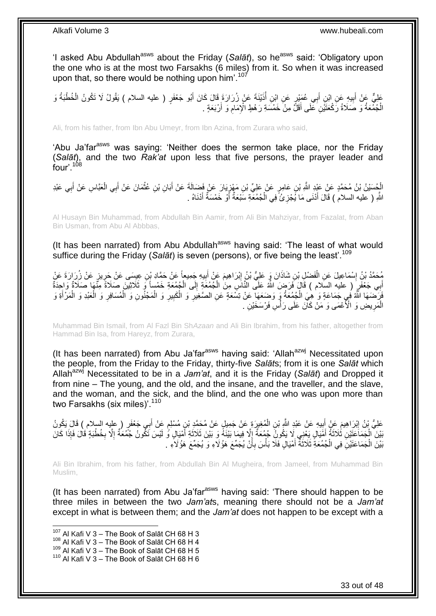'I asked Abu Abdullah<sup>asws</sup> about the Friday (Salat), so he<sup>asws</sup> said: 'Obligatory upon the one who is at the most two Farsakhs (6 miles) from it. So when it was increased upon that, so there would be nothing upon him'.<sup>107</sup>

عَلِيٌّ عَنْ أَبِيهِ عَنِ ابْنِ أَبِي عُمَئِرٍ عَنِ ابْنِ أُذَيْنَةَ عَنْ زُرَارَةَ قَالَ كَانَ أَبُو جَعْفَرٍ ( عليه السلام ) يَقُولُ لَا تَكُونُ الْخُطْبَةُ وَ ُ َ **ِ** َ الْجُمُعَةُ وَ صَلَاةُ رَكْعَتَيْنِ عَلَى أَقَلَّ مِنْ خَمْسَةِ رَهْطٍ الْإِمَامِ وَ أَرْبَعَةٍ . ِ َ ْ

Ali, from his father, from Ibn Abu Umeyr, from Ibn Azina, from Zurara who said,

'Abu Ja'far<sup>asws</sup> was saying: 'Neither does the sermon take place, nor the Friday (*Salāt*), and the two *Rak'at* upon less that five persons, the prayer leader and four'.<sup>108</sup>

الْجُسَيْنُ بْنُ مُحَمَّدٍ عَنْ عَبْدِ اللَّهِ بْنِ عَامِرٍ عَنْ عَلِيٍّ بْنِ مَهْزِيَارَ عَنْ فَضَالَةَ عَنْ أَبَانِ بْنِ عُثْمَانَ عَنْ أَبِي الْعَبَّاسِ عَنْ أَبِي عَبْدِ ِ **∶** َ ْ َ ْ َ اللَّهِ ( عليه السلام ) قَالَ أَدْنَى مَا يُجْزِئُ ۖ فِي الْجُمُعَةِ سَبْعَةٌ أَوْ خَمْسَةٌ أَدْنَاهُ . َ اً ْ ِ َ

Al Husayn Bin Muhammad, from Abdullah Bin Aamir, from Ali Bin Mahziyar, from Fazalat, from Aban Bin Usman, from Abu Al Abbbas,

(It has been narrated) from Abu Abdullah<sup>asws</sup> having said: 'The least of what would suffice during the Friday (Salat) is seven (persons), or five being the least'.<sup>109</sup>

مُحَمَّدُ بْنُ إِسْمَاعِيلَ عَنِ الْفَضْلِ بْنِ شَاذَانَ وَ عَلِيُّ بْنُ إِبْرَاهِيمَ عَنْ أَبِيهِ جَمِيعاً عَنْ حَمَّادِ بْنِ عِيسَى عَنْ حَرِينٍ عَنْ زُرَارَةَ عَنْ ْ ِ ِ َ ِ أَبِي جَعْفَرٍ ۖ ( عليه السلام ) قَالَ فَرَضٍ اللَّهُ عَلَى النَّاسِ مِنَ الْجُمُعَةِ إِلَى الْجُمُعَةِ خَمْساً وَ ثَلَاثِيْنَ صَلَاةً مِنَّهَا صَلَاةً وَإِحِدَةً ْ ∣∣<br>ِ ْ َ فَإِنَّكُمْهَا النَّهُ فِي جَمَاعَةٍ وَ ٰهِيَ الْجُمُعَةُ وَ وَضِعَهَا عَنْ تِسْعَةٍ عَنِ الصَّغِيَرِ وَ الْمَجْلُونِ وَ الْمُسَافِرِ وَ الْعَبْدِ وَ الْمَرْأَةِ وَ ْ ِ ِ ْ ِ ْ َ ْ ْ ِ ْ الْمَرِيضِ وَ الْأَعْمَى وَ مَنْ كَاّنَ عَلَى رَأْسٍ فَرْسَخَيْنِ . ا<br>ا ِ ْ

Muhammad Bin Ismail, from Al Fazl Bin Sh*Azaan* and Ali Bin Ibrahim, from his father, altogether from Hammad Bin Isa, from Hareyz, from Zurara,

(It has been narrated) from Abu Ja'far<sup>asws</sup> having said: 'Allah<sup>azwj</sup> Necessitated upon the people, from the Friday to the Friday, thirty-five *Salāt*s; from it is one *Salāt* which Allah<sup>azwj</sup> Necessitated to be in a *Jam'at*, and it is the Friday (Salat) and Dropped it from nine – The young, and the old, and the insane, and the traveller, and the slave, and the woman, and the sick, and the blind, and the one who was upon more than two Farsakhs (six miles)'.<sup>110</sup>

َ عَلِيُّ بْنُ اِبْرَاهِيمَ عَنْ أَبِيهِ عَنْ عَبْدِ اللَّهِ بْنِ الْمُغِيرَةِ عَنْ جَمِيلٍ عَنْ مُحَمَّدٍ بْنِ مُسْلِمٍ عَنْ أَبِي جَعْفَرٍ ( عليه السلام ) قَالَ يَكُونُ ֧֖֚֚֓֝֬֝֬֝ ْ **∣** َ ∣ٍ َبْيْنَ الْجَمَاعَتِّيْنِ ثُلاَثَةً أَمَّيَالٍ يَغْنِي لَا يَكُونُ جُمُعَةٌ إِلَّا فِيمَا بَيْنَهُ وَ بَيْنَ ثَلاَثَةِ أَمْيَالٍ وُ لَيْسَ تَكُّونُ جُمَعَةٌ إِلَّا فَانَ فَانَ اَلَى َ َ ِ َ َ ِ ِ بَيْنَ الْجَمَاعَتَيْنَ فِي الْجُمُعَةِّ ثَلَاثَةُ أَمْيَالٍ فَلَا بَأْسَ بِأَنْ يُجَمِّعَ هَؤُلاَءِ وَ يُجَمِّعَ هَؤُلَاءِ . َ ٔ, ْ ْ َ **∶** ْ

Ali Bin Ibrahim, from his father, from Abdullah Bin Al Mugheira, from Jameel, from Muhammad Bin Muslim,

(It has been narrated) from Abu Ja'far<sup>asws</sup> having said: 'There should happen to be three miles in between the two *Jam'at*s, meaning there should not be a *Jam'at* except in what is between them; and the *Jam'at* does not happen to be except with a

 $107$  Al Kafi V 3 – The Book of Salāt CH 68 H 3

 $108$  Al Kafi V 3 – The Book of Salāt CH 68 H 4

<sup>109</sup> Al Kafi V  $3 -$  The Book of Salāt CH 68 H 5

 $110$  Al Kafi V 3 – The Book of Salāt CH 68 H 6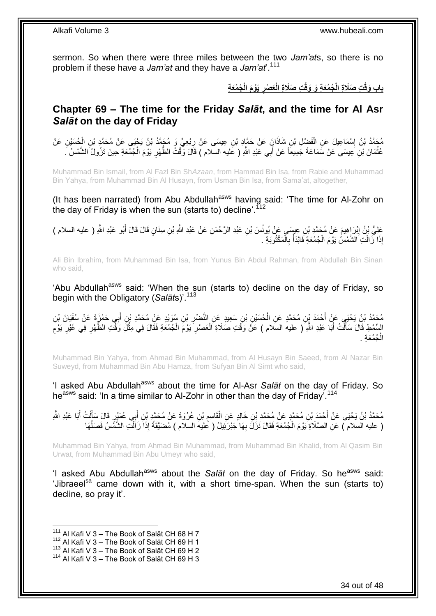sermon. So when there were three miles between the two *Jam'at*s, so there is no problem if these have a *Jam'at* and they have a *Jam'at*'.<sup>111</sup>

> باب وَقْتِ صَلَاةِ الْجُمُعَةِ وَ وَقْتِ صَلَاةِ الْعَصْرِ يَوْمَ الْجُمُعَةِ **ِ**

### <span id="page-33-0"></span>**Chapter 69 – The time for the Friday** *Salāt***, and the time for Al Asr**  *Salāt* **on the day of Friday**

مُحَمَّدُ بْنُ إِسْمَاعِيلَ عَنِ الْفَضْلِ بْنِ شَاذَانٍ عَنْ حَمَّادِ بْنِ عِيسَى عَنْ رِبْعِيٍّ وَ مُجَمَّدُ بْنُ يَجْيَى عَنْ مُحَمَّدٍ بْنِ الْجُسَيْنِ عَنْ ْ ْ ِ عُثْمَانَ بْنِ عِيسَى عَنْ سَمَاعَةَ جَمِيعاً عَنْ أَبِي عَبْدِ اللَّهِ ( عَليه السّلام ) قَالَ وَّقْتُ الظَّهْرِ يَوْمَ الْجُمْعَةِ حِينَ تَزُولُ الشَّمْسُ . ْ ِ َ ْ

Muhammad Bin Ismail, from Al Fazl Bin Sh*Azaan*, from Hammad Bin Isa, from Rabie and Muhammad Bin Yahya, from Muhammad Bin Al Husayn, from Usman Bin Isa, from Sama'at, altogether,

(It has been narrated) from Abu Abdullah<sup>asws</sup> having said: 'The time for Al-Zohr on the day of Friday is when the sun (starts to) decline'.  $112$ 

عَلِيُّ بِنُ إِبْرَاهِيمَ عَنْ مُحَمَّدِ بْنِ عِيسَىٍ عَنْ يُونُسَ بْنِ عَبْدِ الرَّحْمَنِ عَنْ عَبْدِ اللَّهِ بْنِ سِنَانٍ قَالَ قَالَ أَبُو عَبْدِ اللَّهِ ( عليه السلام ) ِ َ إِذَا زَالَتِ الشَّمْسُ يَوْمَ الْجُمُعَةِ فَابْدَأْ بِالْمَكْتُوبَةِ . ْ ِ ْ ْ

Ali Bin Ibrahim, from Muhammad Bin Isa, from Yunus Bin Abdul Rahman, from Abdullah Bin Sinan who said,

'Abu Abdullah<sup>asws</sup> said: 'When the sun (starts to) decline on the day of Friday, so begin with the Obligatory (Salats)<sup>'.113</sup>

ِن ُسَوْيٍد َع ْن ُم َح َمِد ْب ْضر ِن َس ِعيٍد َع ِن اانَ ِن ْب ُح َسْي ِن ُم َح َمٍد َع ِن اا ْح َمَد ْب ِن ُم َح َمُد ْب ُن َي ْحَيل َع ْن أ َيا َن ْب ِي َح ْم َزَة َع ْن ُسفْ ب ِن أ ْب ِ ْ َ السِّمْطِ قَالَ سَأَلْتُ أَبَا عَبْدِ اللَّهِ ( عليه السَلام ) عَنْ وَقْتِ صَلَاةِ الْعَصْرِ يَوْمَ الْجُمُعَةِ فَقَالَ فِي مِثْلِ وَقْتِ الظَّهْرِ فِي غَيْرِ يَوْمَ َ ْ َ **∶** ِ ِ ْ ْ ِ ْ جُمُعَةِ . ْ اا

Muhammad Bin Yahya, from Ahmad Bin Muhammad, from Al Husayn Bin Saeed, from Al Nazar Bin Suweyd, from Muhammad Bin Abu Hamza, from Sufyan Bin Al Simt who said,

'I asked Abu Abdullah<sup>asws</sup> about the time for Al-Asr Salat on the day of Friday. So he<sup>asws</sup> said: 'In a time similar to Al-Zohr in other than the day of Friday'.<sup>114</sup>

مُحَمَّدُ بْنُ يَحْيَى عَنْ أَحْمَدَ بْنِ مُحَمَّدٍ عَنْ مُحَمَّدِ بْنِ خَالِدٍ عَنِ الْقَاسِمِ بْنِ عُرْوَةَ عَنْ مُحَمَّدٍ بْنِ أَبِي عُمَيْرٍ قَالَ سَأَلْتُ أَبَا عَبْدِ اللَّهِ َ ْ ĺ َ ِ ْ ( عليه السلام ) عَنِ الصَّلَاةِ يَوْمَ الْجُمُعَةِ فَقَالَ نَزَلَ بِهَا جَبْرَئِيلُ ( عَليهَ السلام ) مُضَيَّقَةً إِذَا زَاَلَتِ الشَّمَّسُ فَصَلِّهَا ِ ْ ِّ

Muhammad Bin Yahya, from Ahmad Bin Muhammad, from Muhammad Bin Khalid, from Al Qasim Bin Urwat, from Muhammad Bin Abu Umeyr who said,

'I asked Abu Abdullah<sup>asws</sup> about the *Salāt* on the day of Friday. So he<sup>asws</sup> said: 'Jibraeel<sup>sa</sup> came down with it, with a short time-span. When the sun (starts to) decline, so pray it'.

 $111$  Al Kafi V 3 – The Book of Salāt CH 68 H 7

 $112$  Al Kafi V 3 – The Book of Salāt CH 69 H 1

 $113$  Al Kafi V 3 – The Book of Salāt CH 69 H 2

 $114$  Al Kafi V 3 – The Book of Salāt CH 69 H 3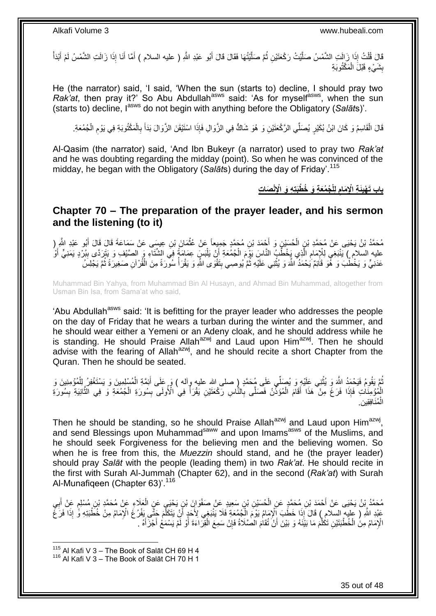فَالَ قُلْتُ إِذَا زَالَتِ الشَّمْسُ صَلَّيْتُ رَكْعَتَيْنِ ثُمَّ صَلَّيْتُهَا فَقَالَ قَالَ أَبُو عَبْدِ اللَّهِ ( عليه السلام ) أَمَّا أَنَا إِذَا زَالَتِ الشَّمْسُ لَمْ أَبْدَأْ ؚ<br>ٳ ٔ.<br>ـ ر<br>إ ْ ْ َ َ َ بِشَيْءٍ قَبْلَ الْمَكْتُوبَةِ **ِ** ْ

He (the narrator) said, 'I said, 'When the sun (starts to) decline, I should pray two *Rak'at*, then pray it?' So Abu Abdullah<sup>asws</sup> said: 'As for myself<sup>asws</sup>, when the sun (starts to) decline, l<sup>asws</sup> do not begin with anything before the Obligatory (Salats)'.

قَالَ الْقَاسِمُ وَ كَانَ ابْنُ بُكَيْرٍ يُصَلِّي الرَّكْعَنَيْنِ وَ هُوَ شَاكٌ فِي الزَّوَالِ فَإِذَا اسْنَيْقَنَ الزَّوَالَ بَدَأَ بِالْمَكْتُوبَةِ فِي يَوْمِ الْجُمُعَةِ ْ ْ ِ ْ ِ َ

Al-Qasim (the narrator) said, 'And Ibn Bukeyr (a narrator) used to pray two *Rak'at* and he was doubting regarding the midday (point). So when he was convinced of the midday, he began with the Obligatory (*Salāt*s) during the day of Friday'.<sup>115</sup>

> **ْن ُج ُمَع ِة َو ُخ ْطَبتِ ِه َو اْإلِ لِلْ َئ ِة اْإلِ َمام باب َت َصا ِت ْهي ِ ِ**

<span id="page-34-0"></span>**Chapter 70 – The preparation of the prayer leader, and his sermon and the listening (to it)**

مُحَمَّدُ بْنُ يَحْيَى عَنْ مُحَمَّدِ بْنٍ الْحُسَيْنِ وَ أَجْمَدَ بْنِ مُحَمَّدٍ جَمِيعاً عَنْ عُثْمَانَ بْنِ عِيسَى عَنْ سَمَاعَةَ قَالَ قَالَ أَبُو عَبْدِ الثَّهِ ( **ٔ** َ ْ َ عليه السلام ) يَنْبَغِي لِلْإِمَامِ الَّذِي يَخْطُبُ النَّاسَ يَوْمَ الْجُمُعَةِ أَنْ يَلْبَسَ عِمَامَةً فِي الشَّنَآءِ وَ الصَّيْفِ وَ يَتَرَدَّى بِبُرْدٍ يَمَنِيٍّ أَوْ :<br>ا َ ْ َ ِ َ ِ عَدَنِيٍّ وَ يَخْطُبُ وَ ۚ هُوَ قَاَئِمٌ يَحْمَدُ اللَّهَ وَ يُثْنِي عَلَيْهِ ثُمَّ يُوصِي بِتَقْوَى اللَّهِ وَ يَقْرَأُ سُورَةً مِنَ الْقُرْ اَنِ صَغِيرَةً ثُمَّ يَجْلِسُ ْ ْ ا<br>ا  $\frac{1}{2}$ ُ

Muhammad Bin Yahya, from Muhammad Bin Al Husayn, and Ahmad Bin Muhammad, altogether from Usman Bin Isa, from Sama'at who said,

'Abu Abdullah<sup>asws</sup> said: 'It is befitting for the prayer leader who addresses the people on the day of Friday that he wears a turban during the winter and the summer, and he should wear either a Yemeni or an Adeny cloak, and he should address while he is standing. He should Praise Allah<sup>azwj</sup> and Laud upon Him<sup>azwj</sup>. Then he should advise with the fearing of Allah<sup>azwj</sup>, and he should recite a short Chapter from the Quran. Then he should be seated.

ُمَّ يَقُومُ فَيَحْمَدُ اللَّهَ وَ يُثْنِي عَلَيْهِ وَ يُصَلِّي عَلَى مُحَمَّدٍ ( صلى الله عليه وآله ) وَ عَلَى أَئِمَّةِ الْمُسْلِمِينَ وَ يَسْتَغْفِرُ لِلْمُؤْمِنِينَ وَ ْ ْ ْ َ الْمُؤْمِنَاتِ ۚ فَإِذَا ۚ فَرَغٌ مِنْ ۖ هَذَا ۚ أَقَامَ الْمُؤَذِّنُ ۚ فَصَلًى بِالنَّاسِ رَكْعَتَيْنِ يَقْرَأُ ۚ فِي الْأُولَى بِسُورَةِ الْجُمْعَةِ وَ ۖ فِي الثَّانِيَةِ بِسُورَةِ ِ ا<br>ا **∶** ْ َ ِ َ ْ مُنَافِقِين ْ المُنَافِقِين

Then he should be standing, so he should Praise Allah<sup>azwj</sup> and Laud upon Him<sup>azwj</sup>, and send Blessings upon Muhammad<sup>saww</sup> and upon Imams<sup>asws</sup> of the Muslims, and he should seek Forgiveness for the believing men and the believing women. So when he is free from this, the *Muezzin* should stand, and he (the prayer leader) should pray *Salāt* with the people (leading them) in two *Rak'at*. He should recite in the first with Surah Al-Jummah (Chapter 62), and in the second (*Rak'at*) with Surah Al-Munafiqeen (Chapter 63)'.<sup>116</sup>

مُحَمَّدُ بِنُ يَحْيَى عَنْ أَحْمَدَ بْنِ مُحَمَّدٍ عَنِ الْحُسَيْنِ بْنِ سَعِيدٍ عَنْ صَفْوَانَ بْنِ يَحْيَيِ عَنٍ الْعَلَاءِ عَنْ مُحَمَّدِ بْنِ مُسْلِمٍ عَنْ أَبِي ْ ْ ِ َ ֧֩֘׆֧ عَبْدِ اللَّهِ لَا صَلِيهِ السلامِ ﴾ قَالَ إِذَا خَطَبَ إِلَٰإِمَامُ يَوْمَ الْجُمُعَةِ فَلَا يَنْبَغِي لِأَجَدٍ أَنْ يَتَكَلَّمَ جَتَّى يَفْلُ عَلا بِمَاهُ مِنْ خُطَبَتِهِ وًٰ إِذَا فَرَغَ ْ َ اُ الْإِمَامُ مِنَ الْخُطْبَتَيْنِ تَكُلِّمَ مَا بَيْنَهُ وَ بَيْنَ أَنْ تُقَامَ الْصُلَاةُ فَإِنْ سَمِعَ الْقِرَاءَةَ أَوْ لَمْ يَسْمَعْ أَجْزَأَهُ بِ ر<br>ا ْ ِ َ َ َ َ

 $115$  Al Kafi V 3 – The Book of Salāt CH 69 H 4

<sup>&</sup>lt;sup>116</sup> Al Kafi V 3 – The Book of Salāt CH 70 H 1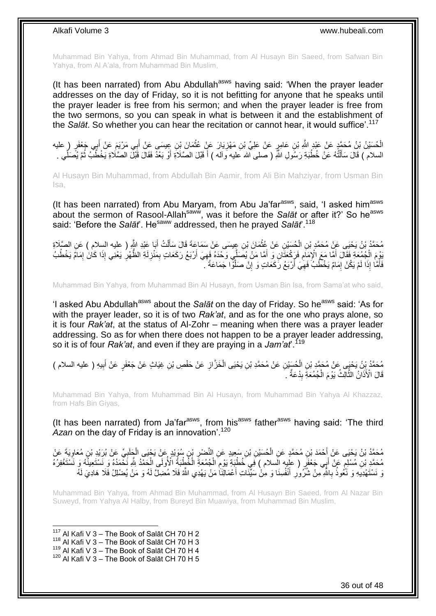Muhammad Bin Yahya, from Ahmad Bin Muhammad, from Al Husayn Bin Saeed, from Safwan Bin Yahya, from Al A'ala, from Muhammad Bin Muslim,

(It has been narrated) from Abu Abdullah<sup>asws</sup> having said: 'When the prayer leader addresses on the day of Friday, so it is not befitting for anyone that he speaks until the prayer leader is free from his sermon; and when the prayer leader is free from the two sermons, so you can speak in what is between it and the establishment of the *Salāt*. So whether you can hear the recitation or cannot hear, it would suffice'.<sup>117</sup>

**∶** الْحُسَيْنُ بْنُ مُحَمَّدٍ عَنْ عَبْدٍ اللَّهِ بْنِ عَامِرٍ عَنْ عَلِيِّ بْنِ مَهْزِيَارَ عَنٍْ عُقْمَانَ بْنِ عِيسَى عَنْ أَبِي مَرْيَمَ عَنْ أَبِي جَعْفَرٍ ( عليه َ ْ ِ َ السلام ) قَالَ سَأَلْتُهُ عَنْ خُطْبَةِ رَسُولِ اللَّهِ ( صلى الله عليه وَآله ) أَ قَبْلَ الصَّلَاةِ أَوْ بَعْدً فَقَالَ قَبْلَ الصَّلَاةِ يَخْطُبُ ثُمَّ يُصَلِّي . ֦֧֦֦֦֦֧֦֦֧֦֦֧֦֦֧֦֦֧֦֦֧֦֧֦֪֦֪֦֪֪֦֧֦֪֪֦֧֦֪֪֦֟֟֟֓֟֟֟֟֟֟֟֟֟֟֘֟֟֟֟֟֟֟֟֟֟֟֓֞֟֟֓֞֟֟֓֞֟֟֓֞֟֟֓֞֟֟֓֟֟֟֟֟ َ ِّ ر<br>ا َ َ

Al Husayn Bin Muhammad, from Abdullah Bin Aamir, from Ali Bin Mahziyar, from Usman Bin Isa,

(It has been narrated) from Abu Maryam, from Abu Ja'far<sup>asws</sup>, said, 'I asked him<sup>asws</sup> about the sermon of Rasool-Allah<sup>saww</sup>, was it before the *Salāt* or after it?' So he<sup>asws</sup> said: 'Before the *Salāt*'. He<sup>saww</sup> addressed, then he prayed *Salāt*'.<sup>118</sup>

مُحَمَّدُ بْنُ يَحْيَى عَنْ مُحَمَّدٍ بْنِ الْحُسَيْنِ عَنْ عُثْمَانَ بْنِ عِيسَى عَنْ سَمَاعَةَ قَالَ سَأَلْتُ أَبَا عَبْدِ اللَّهِ ( عليه السِلام ) عَنِ الصَّلَاةِ<br>مستقى اللَّهُ فَي اللَّهُ وَسَلْمَتَ الْمُسَيِّئِ عَنْ **ٔ** ْ َ ْ َ ِ وَمَ الْجُمُعَةِ فَقَالَ أَمَّا مَعَ الْإِمَامِ فَرَكْعَتَانِ وَ أَمَّا مَنْ يُصَلِّي وَحْدَهُ فَهِيَ أَرْبَعُ رَكَعَاتٍ بِمَنْزِلَةِ الظُّهْرِ يَعْنِي إِذَا كَانَ إِمَامً يَخْطُبُ<br>يَقِي بَيْدَ مَهُ هو روبو و من الإمام فَ اُ ِ َ ِ َ ْ ِ ِ اَ ِ فَأَمَّا إِذَا لَمْ يَكُنْ إِمَامٌ يَخْطُبُ فَهِيَ أَرْبَعُ رَكَعَاتٍ وَ إِنْ صَلَّوًّا جَمَاعَةً ۚ ـ م<br>ا ِ ِ ِ َ

Muhammad Bin Yahya, from Muhammad Bin Al Husayn, from Usman Bin Isa, from Sama'at who said,

'I asked Abu Abdullah<sup>asws</sup> about the *Salāt* on the day of Friday. So he<sup>asws</sup> said: 'As for with the prayer leader, so it is of two *Rak'at*, and as for the one who prays alone, so it is four *Rak'at*, at the status of Al-Zohr – meaning when there was a prayer leader addressing. So as for when there does not happen to be a prayer leader addressing, so it is of four *Rak'at*, and even if they are praying in a *Jam'at*'.<sup>119</sup>

مُحَمَّدُ بِنُ يَخْيَى عَنْ مُحَمَّدِ بْنِ الْحُسَيْنِ عَنْ مُحَمَّدِ بْنِ يَحْيَى الْخَزَّانِ عَنْ حَفْصِ بْنِ غِيَاثٍ عَنْ جَعْفَرٍ عَنْ أَبِيهِ ( عليه السلام )<br>ِ ِ ْ ْ ِ َ قَالَ الْأَذَانُ النَّالِّثُ يَوْمَ الْجُمُعَةِ بِدْعَةٌ ۚ ۚ ِ ْ َ

Muhammad Bin Yahya, from Muhammad Bin Al Husayn, from Muhammad Bin Yahya Al Khazzaz, from Hafs Bin Giyas,

(It has been narrated) from Ja'far<sup>asws</sup>, from his<sup>asws</sup> father<sup>asws</sup> having said: 'The third Azan on the day of Friday is an innovation<sup>' 120</sup>

مُحَمَّدُ بْنُ يَحْيَى عَنْ أَحْمَدَ بْنِ مُحَمَّدٍ عَنِ الْحُسَيْنِ بْنِ سَعِيدٍ عَنِ النَّصْرِ بْنِ سُوَيْدٍ عَنْ يَحْيَى الْجَلَبِيِّ عَنْ بُرَيْدِ بْنِ مُعَاوِيَةَ عَنْ<br>مُحَمَّدُ بْنُ يَحْيَى عَنْ أَحْمَدَ بْنِ مُحَمَّ ِ ْ ِ ِ ْ مُحَمَّدِ بْنِ مُسْلِمٍ عَنْ أَبِي جَعْفَرٍ ( عِلْيِهِ السلام ) فِي خُطْبَةٍ يَوْمِ الْجُمُعَةِ الْخُطْبَةُ الْأُولَى الْحَمْدُ لِلَّهِ نَحْمَدُهُ وَ نَسْتَعْفِرُهُ فَانَّتَغْفِرُهُ ֧֧֚֚֝֝֓֝֝ ْ ْ  $\ddot{\phantom{a}}$ َ وَ نَسْتَهْدِيَهِ وَ نَّعُوذُ بِاللَّهِ مِنْ شُرُّورِ أَنْفُسِنَا وَ مِنْ سَيِّئَاتِ أَعْمَالِنَا مَنْ يَهْدِي اللَّهُ فَلَا مُضِلَّ لَهُ وَ مَنْ يُضْلِلْ فَلَا هَادِيَ لَهُ َ َ **∶ ∶** 

Muhammad Bin Yahya, from Ahmad Bin Muhammad, from Al Husayn Bin Saeed, from Al Nazar Bin Suweyd, from Yahya Al Halby, from Bureyd Bin Muawiya, from Muhammad Bin Muslim,

 $117$  Al Kafi V 3 – The Book of Salāt CH 70 H 2

1

 $118$  Al Kafi V 3 – The Book of Salāt CH 70 H 3

119 Al Kafi V 3 – The Book of Salāt CH 70 H 4

 $120$  Al Kafi V 3 – The Book of Salāt CH 70 H 5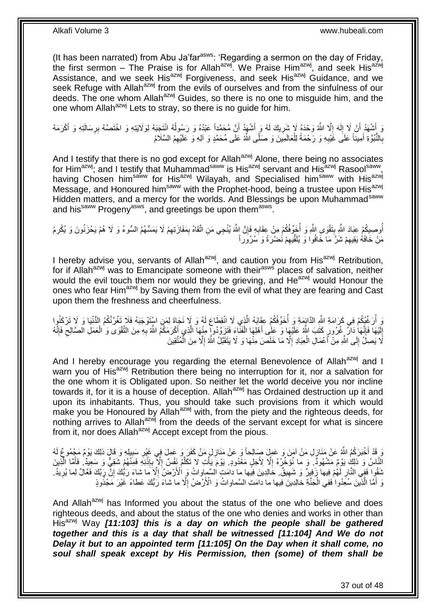(It has been narrated) from Abu Ja'far $a<sup>asws</sup>$ : 'Regarding a sermon on the day of Friday, the first sermon – The Praise is for Allah<sup>azwj</sup>. We Praise Him<sup>azwj</sup>, and seek His<sup>azwj</sup> Assistance, and we seek His<sup>azwj</sup> Forgiveness, and seek His<sup>azwj</sup> Guidance, and we seek Refuge with Allah<sup>azwj</sup> from the evils of ourselves and from the sinfulness of our deeds. The one whom Allah<sup>azwj</sup> Guides, so there is no one to misquide him, and the one whom Allah<sup>azwj</sup> Lets to stray, so there is no quide for him.

وَ أَشْهَدُ أَنْ لَا إِلَهَ إِلَّا اللَّهُ وَحْدَهُ لَا شَرِيكَ لَهُ وَ أَشْهَدُ أَنَّ مُحَمَّداً عَبْدُهُ وَ رَسُولُهُ انْتَجَبَهُ لِوَلَايَتِهِ وَ اخْتَصَنَهُ بِرِسَالَتِهِ وَ أَكْرَمَهُ  $\frac{1}{2}$ اَ  $\frac{1}{2}$ ِ ا<br>ا َ َ **∶** َ ِ بِالنُّبُوَّةِ أَمِيناً عَلَى غَيْبِهِ وَ رَحْمَةً لِلْعَالَمِينَ وَ صَلَّى اللَّهُ عَلَى مُحَمَّدٍ وَ آلِهِ وَ عَلَيْهِمُ السَّلَامُ ْ ِ َ ِ

And I testify that there is no god except for Allah<sup>azwj</sup> Alone, there being no associates for Him<sup>azwj</sup>; and I testify that Muhammad<sup>saww</sup> is His<sup>azwj</sup> servant and His<sup>azwj</sup> Rasool<sup>saww</sup>, having Chosen him<sup>saww</sup> for His<sup>azwj</sup> Wilayah, and Specialised him<sup>saww</sup> with His<sup>azwj</sup> Message, and Honoured him<sup>saww</sup> with the Prophet-hood, being a trustee upon His<sup>azwj</sup> Hidden matters, and a mercy for the worlds. And Blessings be upon Muhammad<sup>saww</sup> and his<sup>saww</sup> Progeny<sup>asws</sup>, and greetings be upon them<sup>asws</sup>.

اُوصِيكُمْ عِبَادَ اللَّهِ بِنَقْوَى اللَّهِ وَ أُخَرِّفُكُمْ مِنْ عِقَابِهِ فَإِنَّ اللَّهَ يُنْجِي مَنِ اتَّقَاهُ بِمَفَازَتِهِمْ لَا يَمَسُّهُمُ السُّوءُ وَ لَا هُمْ يَحْزَنُونَ وَ يُكْرِمُ ُ ِ ِ ِ **∶** ا<br>ا **!** ِ مَنْ خَافَهُ يَقِيهِمْ شَرَّ مَا خَافُوا وَ يُلَقِّيهِمْ نَضْرَةً وَ سُرُوراً ِ ِ

I hereby advise you, servants of Allah<sup>azwj</sup>, and caution you from His<sup>azwj</sup> Retribution, for if Allah<sup>azwj</sup> was to Emancipate someone with their<sup>asws</sup> places of salvation, neither would the evil touch them nor would they be grieving, and He<sup>azwj</sup> would Honour the ones who fear Him<sup>azwj</sup> by Saving them from the evil of what they are fearing and Cast upon them the freshness and cheerfulness.

َ وَ أُرَغِّيُكُمْ فِي كَرَامَةِ اللَّهِ الذَّائِمَةِ وَ أُخَوِّفُكُمْ عِقَابَهُ الَّذِي لَا انْقِطَاعَ لَهُ وَ لَا نَجَاةَ لِمَنِ اسْتَوْجَبَهُ فَلا تَغُرَّنَّكُمُ الدُّنْيَا وَ لَا تَرْكَنُوا َ ا<br>ا إِلَيْهَا فَإِنَّهَا دَارٌ غُرُورٍ كَتَبَ اللَّهُ عَلَيْهَا وَ عَلَى أَهْلِهَا الْفَنَّاءَ فَتَزَوَّدُوا مِنْهَا الَّذِي أَكْرَمَكُمُ اللَّهُ بِهِ مِنَ التَّقْوَى وَ الْعَمَلِ الصَّالِحِ فَإِنَّهُ َ اُ ْ َ ׀׀<br>∶ اَ ِ  $\frac{1}{2}$  $\zeta$ ْ ِ لًا يَصِلَٰ إِلَى اللَّهِ مِنْ أَعْمَالِ الْعِبَادِ إِلَّا مَا خَلَصَ مِنْهَا وَ لَا يَتَقَبَّلُ اللَّهُ إِلَّا مِنَ الْمُتَّقِينَ ْ ِ ِ ْ َ  $\frac{1}{2}$ 

And I hereby encourage you regarding the eternal Benevolence of Allah<sup>azwj</sup> and I warn you of His<sup>azwj</sup> Retribution there being no interruption for it, nor a salvation for the one whom it is Obligated upon. So neither let the world deceive you nor incline towards it, for it is a house of deception. Allah<sup>azwj</sup> has Ordained destruction up it and upon its inhabitants. Thus, you should take such provisions from it which would make you be Honoured by Allah<sup>azwj</sup> with, from the piety and the righteous deeds, for nothing arrives to Allah<sup>azwj</sup> from the deeds of the servant except for what is sincere from it, nor does Allah<sup>azwj</sup> Accept except from the pious.

ِ وَ قَدْ أَخْبَرَكُمُ اللَّهُ عَنْ مَنَازِلِ مَنْ آمَنَ وَ عَمِلَ صَالِحاً وَ عَنْ مَنَازِلِ مَنْ كَفَرَ وَ عَمِلَ فِي غَيْرِ سَبِيلِهِ وَ قَالَ ذلِكَ يَوْمٌ مَجْمُوعٌ لَهُ ِ ِ َ ِ الَّنَاسُ وَ ذَلِكَ يَوْمٌ مَشْهُودٌ ۖ وَ ما نُوَّخِّرُهُ إِلَّا لِأَجَلٍ مَعْدُودٍ ۖ يَوْمَ يَأْتِ لا تَكَلَّمُ نَفْسٌ إِلَّا بِإِنْذِهِ فَمِنْهُمْ شَقِيٌّ وَ سَعِيدٌ ۚ فَأَمَّا الَّذِينَ ِ َ َ **ٔ** ِ ِ َ **المناسب** ثَقُوا َفَفِي النَّارِ لَّهُمْ فِيها ۖ زَفِيرٌ وَ شَهِيقٌ ۖ خَالِدِينَ فِيها ما دَامَتِ السَّمِاواتُ وَ الْأَرْضَٰ إِلَّا مَا شاءَ رَبُّكَ إِنَّ رَبَّكَ فَعَالٌ لِما يُرِيدُ ۖ ِ ِ اَ **∶** ِ ِ وَ أَمَّا الَّذِينَ سُعِّدُوا ٰفَفِي الْجَنَّةِ خَالِدِينَ فِيها ما دَامَتِ السَّماواتُ وَ الْأَرْضُ إِلَّا ما شاءَ رَبُّكَ عَطاءً ۖ غَيْرَ مَجْذُوذٍ ِ ْ م<br>إ

And Allah<sup>azwj</sup> has Informed you about the status of the one who believe and does righteous deeds, and about the status of the one who denies and works in other than His<sup>azwj</sup> Way **[11:103] this is a day on which the people shall be gathered** *together and this is a day that shall be witnessed [11:104] And We do not Delay it but to an appointed term [11:105] On the Day when it shall come, no soul shall speak except by His Permission, then (some) of them shall be*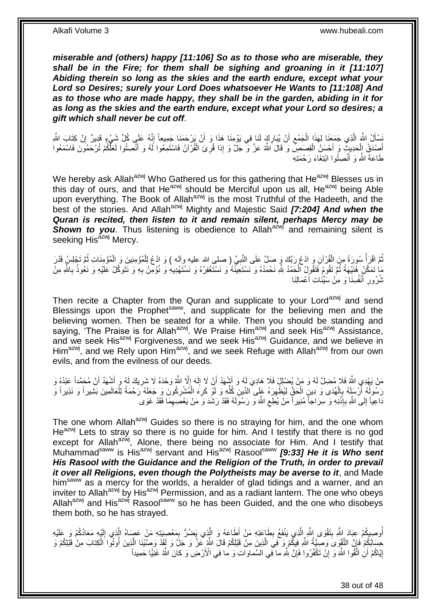*miserable and (others) happy [11:106] So as to those who are miserable, they*  shall be in the Fire; for them shall be sighing and groaning in it [11:107] *Abiding therein so long as the skies and the earth endure, except what your Lord so Desires; surely your Lord Does whatsoever He Wants to [11:108] And as to those who are made happy, they shall be in the garden, abiding in it for as long as the skies and the earth endure, except what your Lord so desires; a gift which shall never be cut off*.

ِ َسْأَلُ اللَّهَ الَّذِي جَمَعَنَا لِهَذَا الْجَمْعِ أَنْ يُبَارِكَ لَنَا فِي يَوْمِنَا هَذَا وَ أَنْ يَرْحَمَنَا جَمِيعاً إِنَّهُ عَلَي كُلِّ شَيْءٍ قَدِيرٌ إِنَّ كَثَابَ اللَّهِ َ **∶** اُ  $\zeta$ ْ اً ِ أَصِدْقُ إِلْحَدِيثٍ وَ أَحْسَنُ الْقِصَصِ وَ قَالَ اللَّهُ عَزَّ وَ جَلَّ وَ إِذا قُرِئَ الْقُرْآنُ فَاسْتَمِعُوا لَهُ وَ أَنْصِتُوا لَعَلَّكُمْ تُرْحَمُونَ فَاسْمَعُوا َ ْ **ٍ** ْ َ ْ َ طَاعَةَ اللَّهِ وَ أَنْصِتُوا ابْتِغَاءَ رَحْمَتِهِ َ

We hereby ask Allah<sup>azwj</sup> Who Gathered us for this gathering that He<sup>azwj</sup> Blesses us in this day of ours, and that He<sup>azwj</sup> should be Merciful upon us all, He<sup>azwj</sup> being Able upon everything. The Book of Allah<sup>azwj</sup> is the most Truthful of the Hadeeth, and the best of the stories. And Allah<sup>azwj</sup> Mighty and Majestic Said **[7:204] And when the** *Quran is recited, then listen to it and remain silent, perhaps Mercy may be*  **Shown to you**. Thus listening is obedience to Allah<sup>azwj</sup> and remaining silent is seeking His<sup>azwj</sup> Mercy.

ال<br>أحداث المسابقة المسابقة المسابقة المسابقة المسابقة المسابقة المسابقة المسابقة المسابقة المسابقة المسابقة المسا نُمَّ اقْرَأْ سُورَةً مِنَ الْقُرْآنِ وَ ادْعُ رَبَّكَ وَ صَلِّ عَلَى النَّبِيِّ ( صلي الله عليه وآله ) وَ ادْعُ لِلْمُؤْمِنِينَ وَ الْمُؤْمِنَاتِ ثُمَّ تَجْلِسُ قَدْرَ ْ ْ ِ ْ ا<br>ا مَا تَمَكَّنُ هَٰنَيْهَةً ثُمَّ تَقُومُ فَتَقُولُ الْحَمْدُ لِلَّهِ نَحْمَدُهُ وَ نَسْتَعِيَّنُهُ وَ نَسْتَغْفِرُهُ وَ نَسْتَهْدِيهِ وَ نُؤُمِنُ بِهِ وَ نَتَوَكَّلُ عَلَيْهِ وَ نَعُوذُ بِاللَّهِ مِنْ ِ ْ ِ<br>ا ِ ِ نْْدُورِ أَنْفُسِنَا وَ مِنْ سَيِّئَاتِ أَعْمَالِنَا َ َ ِ

Then recite a Chapter from the Quran and supplicate to your Lord<sup>azwj</sup> and send Blessings upon the Prophet<sup>saww</sup>, and supplicate for the believing men and the believing women. Then be seated for a while. Then you should be standing and saying, 'The Praise is for Allah<sup>azwj</sup>. We Praise Him<sup>azwj</sup> and seek His<sup>azwj</sup> Assistance, and we seek His<sup>azwj</sup> Forgiveness, and we seek His<sup>azwj</sup> Guidance, and we believe in Him<sup>azwj</sup>, and we Rely upon Him<sup>azwj</sup>, and we seek Refuge with Allah<sup>azwj</sup> from our own evils, and from the evilness of our deeds.

مَنْ يَهْدِي اللَّهُ فَلا مُضِلً لَهُ وَ مَنْ يُضْلِلْ فَلَا هَادِيَ لَهُ وَ أَشْهَدُ أَنْ لَا إِلَهَ إِلَّا اللَّهُ وَحْدَهُ لَا شَرِيكَ لَهُ وَ أَشْهَدُ أَنْ مُحَمَّداً عَبْدُهُ وَ َ َ َ ِ  $\frac{1}{2}$ اَ ∣∣<br>∶ رَسُولُهُ أَرْسَلَهُ بِالْهُدَى وَ دِينٍ الْحَقِّ لِيُظْهِرَهُ عَلَى الدّينِ كُلّهِ وَ لَوْ كَرِهَ الْمُشْرِكُونَ وَ جَعَلَهُ رَحْمَةً لِلْعَالَمِينَ بَثَيْبِراً وَ نَذِيراً وَ ِ ْ ِ ِّ ِ ْ ْ ِ َ ا<br>ا ْ َداعِياً إِلَى اللَّهِ بِإِذْنِهِ وَ سِرَاجاً مُنِيراً مَنْ يُطِعِ اللَّهَ وَ رَسُوَلَهُ فَقَدْ رَشَدَ وَ مَنْ يَعْصَبِهِمَا فَقَدْ غَوَى ِ ِ **ٔ** ِ  $\frac{1}{2}$ 

The one whom Allah<sup>azwj</sup> Guides so there is no straying for him, and the one whom He<sup>azwj</sup> Lets to stray so there is no guide for him. And I testify that there is no god except for Allah<sup>azwj</sup>, Alone, there being no associate for Him. And I testify that Muhammad<sup>saww</sup> is His<sup>azwj</sup> servant and His<sup>azwj</sup> Rasool<sup>saww</sup> *[9:33] He it is Who sent His Rasool with the Guidance and the Religion of the Truth, in order to prevail*  it over all Religions, even though the Polytheists may be averse to it, and Made him<sup>saww</sup> as a mercy for the worlds, a heralder of glad tidings and a warner, and an inviter to Allah<sup>azwj</sup> by His<sup>azwj</sup> Permission, and as a radiant lantern. The one who obeys Allah<sup>azwj</sup> and His<sup>azwj</sup> Rasool<sup>saww</sup> so he has been Guided, and the one who disobeys them both, so he has strayed.

أُوصِيكُمْ عِبَادَ اِللَّهِ بِتَقْوَى اللَّهِ الَّذِي يَنْفَعُ بِطَاعَتِهِ مَنْ أَطَاعَهُ وَ الَّذِي يَضُرُّ بِمَعْصِيَتِهِ مَنْ عَصِمَاهُ الَّذِي إِلَيْهِ مَعَادُكُمْ وَ عَلَيْهِ َ ِ اً **!** ُ اَ ِ َ ِ حِسَابُكُمْ فَإِنَّ التَّقْوَىَ وَصِيَّةُ اللَّهِ فِيكُمْ وَ فِيَ الَّذِينَ مِنْ قَبْلِكُمْ قَالَ اللَّهُ ۚ عَزَّ وَ جَلَّ وَ لَقِدْ وَصِنَّيْنَا الَّذِينَ أُوتُوا الْكِتابَ مِنْ قَبْلِكُمْ وَ َ ِ ْ ُ اً إِيَّاكُمْ أَنِٰ اتَّقُوا اللَّهَ وَ إِنّْ تَكْفُرُوا فَإِنَّ لِلَّهِ ما فِي الْمَنَّماواتِ وَ ما فِي الْأَرْضِ وَ كانَ اللَّهُ غَنِيًّا حَمِيداً ِ ِ اً <u>֖֖֚֚֚֚֚֓</u>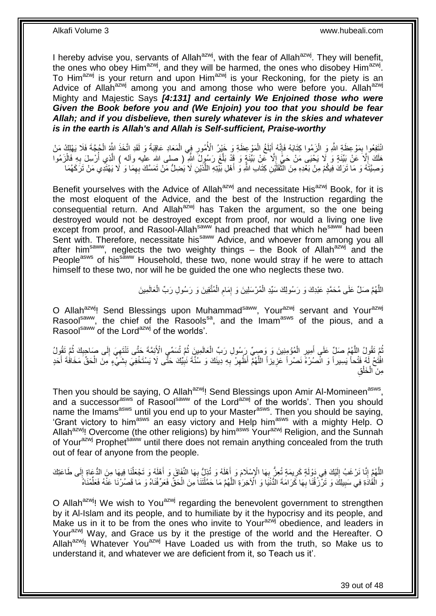I hereby advise you, servants of Allah<sup>azwj</sup>, with the fear of Allah<sup>azwj</sup>. They will benefit, the ones who obey Him<sup>azwj</sup>, and they will be harmed, the ones who disobey Him<sup>azwj</sup>. To Him<sup>azwj</sup> is your return and upon Him<sup>azwj</sup> is your Reckoning, for the piety is an Advice of Allah<sup>azwj</sup> among you and among those who were before you. Allah<sup>azwj</sup> Mighty and Majestic Says *[4:131] and certainly We Enjoined those who were Given the Book before you and (We Enjoin) you too that you should be fear Allah; and if you disbelieve, then surely whatever is in the skies and whatever is in the earth is Allah's and Allah is Self-sufficient, Praise-worthy*

انْتَفِعُوا بِمَوْعِظَةِ اللَّهِ وَ الْزَمُوا كِتَابَهُ فَإِنَّهُ إَبْلَغُ الْمَوْعِظَةِ وَ خَيْرُ الْأُمُورِ فِي الْمَعَادِ عَاقِبَةً وَ لَقَدِ اتَّخَذَ الثَّهُ الْجُجَّةَ فَلَا يَهْلِكُ مَنْ ْ **ٍ** ْ َ ∣ا<br>∶ ْ ِ ْ هَلَكَ إِلَّا عَنْ بَيِّنَةٍ وَ لَا يَحْيَى مَنْ حَيَّ إِلَّا عَنْ بَيِّنَةٍ وَ قَدْ بَلَّغَ رَسُوِلُ اللَّهِ ( صلى الله عليه وأله ) الَّذِي أُرْسِلَ بِهِ فَالْزَمُوا  $\frac{1}{2}$  $\overline{\phantom{a}}$ ْ ِ ا<br>ا اً َ وَصِيَّتَهُ وَ مَا تَرَكَ فِيكُمْ مِنْ بَعْدِهِ مِنَ الثَّقَلَّيْنِ كِتَابِ اللَّهِ وَ أَهْلِ بَيّْنِهِ اللَّذَيْنِ لَا يَضِلُّ مَنْ تَمَسَّكَ بِهِمَا وَ لَا يَهْتَدِي مَنْ تَرَكَهُمَا َ َ  $\ddot{\ddot{\phantom{}}\,}$ ِ

Benefit yourselves with the Advice of Allah<sup>azwj</sup> and necessitate His<sup>azwj</sup> Book, for it is the most eloquent of the Advice, and the best of the Instruction regarding the  $\overline{\text{cons}}$  consequential return. And Allah<sup>azwj</sup> has Taken the argument, so the one being destroyed would not be destroyed except from proof, nor would a living one live except from proof, and Rasool-Allah<sup>saww</sup> had preached that which he<sup>saww</sup> had been Sent with. Therefore, necessitate his<sup>saww</sup> Advice, and whoever from among you all after him<sup>saww</sup>, neglects the two weighty things – the Book of Allah<sup>azwj</sup> and the People<sup>asws</sup> of his<sup>saww</sup> Household, these two, none would stray if he were to attach himself to these two, nor will he be guided the one who neglects these two.

> اللَّهُمَّ صَلِّ عَلَى مُحَمَّدٍ عَبْدِكَ وَ رَسُولِكَ سَيِّدِ الْمُرْسَلِينَ وَ إِمَامِ الْمُثَّقِينَ وَ رَسُولِ رَبِّ الْعَالَمِينَ ْ ْ ِ ِ ْ

O Allah $a^{z}$ wi! Send Blessings upon Muhammad<sup>saww</sup>, Your<sup>azwj</sup> servant and Your<sup>azwj</sup> Rasool<sup>saww</sup>, the chief of the Rasools<sup>sa</sup>, and the Imam<sup>asws</sup> of the pious, and a Rasoolsaww of the Lord<sup>azwj</sup> of the worlds'.

ُّمَّ تَقُولُ اللَّهُمَّ صَلِّ عَلَى أَمِيرِ الْمُؤْمِنِينَ وَ وَصِيٍّ رِسُولِ رَبِّ الْعَالَمِينَ ثُمَّ تُسَمِّي الْأَئِمَّةَ حَتَّى تَنْتَهِيَ إِلَى صَاحِبِكَ ثُمَّ تَقُولُ ُ ْ ْ ِ َ َ ُ ِ ِ ِ افْتُحْ لِّهُ فَتْحاً يَسِيراً وَ انْصُرْهُ نَصْراً عَزِيزاً اللَّهُمُّ أَظْهِرْ بِهِ دِينَكَ وَ سُنَّةَ نَبِيِّكَ حَثَّى لَا يَسْتَخْفِيَ بِشَيْءٍ مِنَ الْحَقِّ مَخَافَة أَحَدٍ ِ ِ ِ ِ َ ِ َ ْ مِنَ الْخَلْقِ ْ ْ

Then you should be saying, O Allah<sup>azwj</sup>! Send Blessings upon Amir Al-Momineen<sup>asws</sup>, and a successor<sup>asws</sup> of Rasool<sup>saww</sup> of the Lord<sup>azwj</sup> of the worlds'. Then you should name the Imams<sup>asws</sup> until you end up to your Master<sup>asws</sup>. Then you should be saying, 'Grant victory to him<sup>asws</sup> an easy victory and Help him<sup>asws</sup> with a mighty Help. O Allah<sup>azwj</sup>! Overcome (the other religions) by him<sup>asws</sup> Your<sup>azwj</sup> Religion, and the Sunnah of Your<sup>azwj</sup> Prophet<sup>saww</sup> until there does not remain anything concealed from the truth out of fear of anyone from the people.

اللَّهُمَّ إِنَّا نَرْغَبُ إِلَيْكَ فِي دَوْلَةٍ كَرِيمَةٍ تُعِنُّ بِهَا الْإِسْلَامَ وَ أَهْلَهُ وَ تُذِلُّ بِهَا الْفَاقَ وَ أَهْلَهُ وَ تَجْعَلْنَا فِيهَا مِنَ الدُّعَاةِ إِلَى طَاعَتِكَ<br>يَمَنَّ مَنْ يَجِمَعُ الْمَالِمَ اَ  $\frac{1}{2}$ ِ ُ<br>ا َ ِ َ ِ ِ ِ وَ الْقُادَةِ فِي سَبِيلِكَ وَ تَرْزُقُنَا بِهَا كَرَامَةَ الدُّنْيَا وَ الْآخِرَةِ اللَّهُمَّ مَا حَمَّلْتَنَا مِنَ الْحَقِّ فَعَرِّفْنَاهُ وَ مَا قَصُرْنَا عَنْهُ فَعَلِّمْنَاهُ ْ َ **∶ !** ْ ِّ ْ

O Allah<sup>azwj</sup>! We wish to You<sup>azwj</sup> regarding the benevolent government to strengthen by it Al-Islam and its people, and to humiliate by it the hypocrisy and its people, and Make us in it to be from the ones who invite to Yourazwi obedience, and leaders in Your<sup>azwj</sup> Way, and Grace us by it the prestige of the world and the Hereafter. O Allah<sup>azwj</sup>! Whatever You<sup>azwj</sup> Have Loaded us with from the truth, so Make us to understand it, and whatever we are deficient from it, so Teach us it'.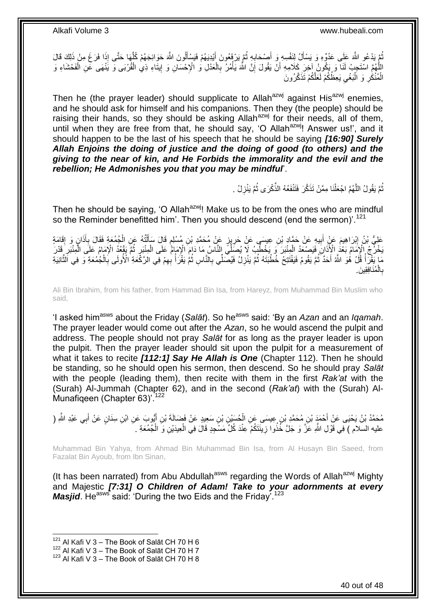ُمَّ يَدْعُو اللَّهَ عَلَى عَدُوِّهِ وَ يَسْأَلُ لِنَفْسِهِ وَ أَصْحَابِهِ ثُمَّ يَرْفَعُونَ أَيْدِيَهُمْ فَيَسْأَلُونَ اللَّهَ حَوَائِجَهُمْ كُلِّهَا حَتَّى إِذَا فَرَغَ مِنْ ذَلِكَ قَالَ ֡֓֓֓֓֓֓֓֓֓֓֓֓֓֓׆֬֬֓ َ ُ **∶** َ َ َ اللَّهُمَّ اسْتَجِبْ لَذَا وَ يَكُونُ آخِرَ كَلاَمِهِ أَنْ يَقُولَ إِنَّ اللَّهَ يَأْمُرُ بِالْعَدْلِ وَ الْإِحْسَانِ وَ إِيثَاءِ ذِي الْقُرْبَى وَ يَنْهَى عَنِ الْفَحْشَاءِ وَ<br>نَارُوْ بَعَدَ بِنَّ مَنْ أَوْ يُؤْمِنُوا يَ ْ ِ ْ **∶** ْ ِ اً ْ الْمُنْكَٰرِ وَ اَلْبَغْيِ يَعِظُكُمْ لَعَلَّكُمْ تَذَكَّرُونَ ِ :<br>ا ِ ْ

Then he (the prayer leader) should supplicate to Allah<sup>azwj</sup> against His<sup>azwj</sup> enemies, and he should ask for himself and his companions. Then they (the people) should be raising their hands, so they should be asking Allah<sup>azwj</sup> for their needs, all of them, until when they are free from that, he should say, 'O Allah<sup>azwj</sup>! Answer us!', and it should happen to be the last of his speech that he should be saying *[16:90] Surely Allah Enjoins the doing of justice and the doing of good (to others) and the giving to the near of kin, and He Forbids the immorality and the evil and the rebellion; He Admonishes you that you may be mindful*'.

> ُّمَّ يَقُولُ اللَّهُمَّ اجْعَلْنَا مِمَّنْ تَذَكَّرَ فَتَنْفَعُهُ الذِّكْرَى ثُمَّ يَنْزِلُ . ِ ُ ْ َ ُ

Then he should be saying, 'O Allah<sup>azwj</sup>! Make us to be from the ones who are mindful so the Reminder benefitted him'. Then you should descend (end the sermon)'.<sup>121</sup>

عَلِيُّ بْنُ إِبْرَاهِيمَ عَنٍْ أَبِيهِ عَنْ حَمَّادٍ بْنِ عِيسَى عَنْ حَرِيزٍ عَنْ مُحَمَّدِ بْنِ مُسْلِمٍ قَالَ سَأَأْتُهُ عَنِ الْجُمُعَةِ فَقَالَ بِأَذَانٍ وَ إِقَامَةٍ ْ ĺ ֧֧֚֓֝֝֓֝ ِ **!** َ ِ ِ َ **∶** ْ يَخْرُجُ الْإِمَامُ بَعْدُ الْأَذَانَ فَيَصْعَدُ الْمِنْبَرَ وَ يَخْطُبُ لَا يُصَلِّي النَّاسُ مَا دَامَ الْإِمَامُ عَلَى الْمِنْبَرِ ذُمَّ يَقْدُدُ الْإِمَامُ عَلَى الْمِنْبَرِ قَدْرَ<br>الْقَدْرُ مِنْ أَيْدَتُ الْأَذَانَ ف ُ ِ ْ ْ ِ ْ مَا يَقُِّلُ أُ قُلْ هُوَ اللَّهُ أَحَدٌ ثُمَّ يَقُومُ فَيَفْتَتِحُ خُطْبَتَهُ ثُمَّ يَنْزِلْ فَيُصَلِّي بِالنَّاسِ ثُمَّ يَقُرَأُ بِهِمْ فِي الزَّكْعَةِ الْأُولَى بِالْجُمُعَةِ وَ فِي الْتَانِيَةِ ُ ُ َ َ ْ ِ ِ ا<br>ا ُ ِ **∶** مُنَافِقِينَ ِ ْ اا **∶** ب

Ali Bin Ibrahim, from his father, from Hammad Bin Isa, from Hareyz, from Muhammad Bin Muslim who said,

'I asked him<sup>asws</sup> about the Friday (Salat). So he<sup>asws</sup> said: 'By an *Azan* and an *Iqamah*. The prayer leader would come out after the *Azan*, so he would ascend the pulpit and address. The people should not pray *Salāt* for as long as the prayer leader is upon the pulpit. Then the prayer leader should sit upon the pulpit for a measurement of what it takes to recite *[112:1] Say He Allah is One* (Chapter 112). Then he should be standing, so he should open his sermon, then descend. So he should pray *Salāt* with the people (leading them), then recite with them in the first *Rak'at* with the (Surah) Al-Jummah (Chapter 62), and in the second (*Rak'at*) with the (Surah) Al-Munafigeen (Chapter 63)<sup>' 122</sup>

مُحَمَّدُ بْنُ يَحْيَى عَنِّ أَحْمَدَ بْنِ مُحَمَّدِ بْنِ عِيسَى عَنِ الْحُسَيْنِ بْنِ سَعِيدٍ عَنْ فَصَالَةَ بْنِ أَيُّوبَ عَنِ ابْنِ سِنَانٍ عَنْ أَبِي عَبْدِ اللَّهِ ( ْ َ َ َ عليه السلام ) فِي قَوْلِ اللَّهِ عَزَّ وَ جَلَّ خُذُوا زِيِّنَتَكُمْ عِنْدَ كُلِّ مَسْجِدٍ قَالَ فِي الْعِيدَيْنِ وَ الْجُمُعَةِ . ْ ْ ِ

Muhammad Bin Yahya, from Ahmad Bin Muhammad Bin Isa, from Al Husayn Bin Saeed, from Fazalat Bin Ayoub, from Ibn Sinan,

(It has been narrated) from Abu Abdullah<sup>asws</sup> regarding the Words of Allah<sup>azwj</sup> Mighty and Majestic *[7:31] O Children of Adam! Take to your adornments at every Masjid*. He<sup>asws</sup> said: 'During the two Eids and the Friday.<sup>123</sup>

 $121$  Al Kafi V 3 – The Book of Salāt CH 70 H 6

 $122$  Al Kafi V 3 – The Book of Salāt CH 70 H 7

<sup>123</sup> Al Kafi V 3 – The Book of Salāt CH 70 H 8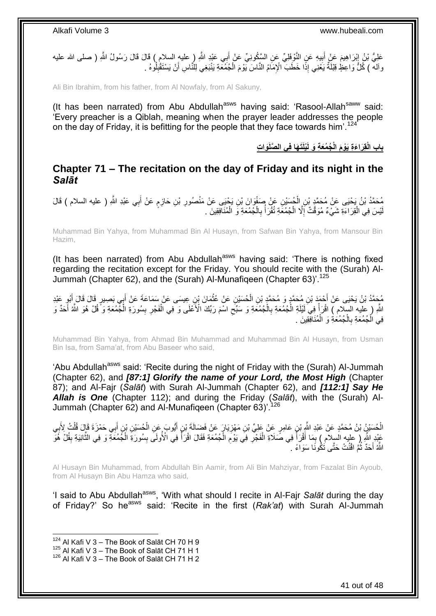عَلِيُّ بْنُ إِبْرَاهِيمَ عَنْ أَبِيهِ عَنِ النَّوْفِلِيِّ عَنِ السَّكُونِيِّ عَنْ أَبِي عَبْدِ اللَّهِ ( عليه السلام ) قَالَ قَالَ رَسُولُ اللَّهِ ( صلى الله عليه َ **!** ِ وآلةً ) كُلُّ وَاعِظٍ قِبْلَةٌ يَعْنِي إِذًا خَطَبَ ۗ الْإِمَامُ النَّاسَ يَوْمَ الْجُمُكَةِ يَنْبَغِي لِلنَّاسِ أَنْ يَسْتَقْلِلُوهُ . اُ ْ

Ali Bin Ibrahim, from his father, from Al Nowfaly, from Al Sakuny,

(It has been narrated) from Abu Abdullah<sup>asws</sup> having said: 'Rasool-Allah<sup>saww</sup> said: 'Every preacher is a Qiblah, meaning when the prayer leader addresses the people on the day of Friday, it is befitting for the people that they face towards him<sup>'124</sup>

**َوا ِت ْيلََت َها فِي ال َّصلَ ُج ُمَع ِة َو لَ باب الْقِ َرا َء ِة َيْو َم الْ**

### <span id="page-40-0"></span>**Chapter 71 – The recitation on the day of Friday and its night in the**  *Salāt*

مُحَمَّدُ بْنُ يَحْيَى عَنْ مُحَمَّدٍ بْنِ الْجُسَيْنِ عَنْ صَفْوَانَ بْنِ يَجْيَى عَنْ مَنْصُورِ بْنِ حَازِمٍ عَنْ أَبِي عَبْدِ اللَّهِ ( عليه السلام ) قَالَ<br>. َ ٍ **∶ ٍ** ْ لْيْسَ فِي الْقِرَاءَةِ شَيْءٌ مُوَقَّتٌ إِلَّا الْجُمُعَةِ تُقْرَأُ بِالْجُمُعَةِ وَ الْمُنَافِقِينَ . ْ ْ ِ ا<br>ا ْ ِ ْ

Muhammad Bin Yahya, from Muhammad Bin Al Husayn, from Safwan Bin Yahya, from Mansour Bin Hazim,

(It has been narrated) from Abu Abdullah<sup>asws</sup> having said: 'There is nothing fixed regarding the recitation except for the Friday. You should recite with the (Surah) Al-Jummah (Chapter 62), and the (Surah) Al-Munafiqeen (Chapter 63)<sup>'.125</sup>

مُحَمَّدُ بْنُ يَحْيَى عَنْ أَحْمَدَ بْنِ مُحَمَّدٍ وَ مُحَمَّدٍ بْنِ الْحُسَيْنِ عَنْ عُثْمَانَ بْنِ عِيسَى عَنْ سَمَاعَةَ عَنْ أَبِي بَصِيرٍ قَالَ قَالَ أَبُوٍ عَبْدِ<br>مُحَمَّدُ بْنُ يَحْيَى عَنْ أَحْمَدَ بْنِ مُحَمَّدٍ **ٔ** ْ َ َ ِ اللَّهِ ( عِلْيه السِّلام ) اقْرَأْ فِيَ لَمْلَةِ الْمُمْعَةِ بِالْمُمْعَةِ وَ سَبِّحِ اسْمَ رَبِّكَ الْأَعْلَى وَ ّفِي الْفَجْرِ بِسُورَةِ الْمُمْمَةِ وَ ّقُلْ هُوَ اللَّهُ أَحَدٌ وَ **∶** ْ ِ ْ **∶** ْ *<u><sup></sup>*</u> َ ْ فِي الْجُمُعَةِ بِالْجُمُعَةِ وَ الْمُنَافِقِينَ . ْ ْ **∶** ْ

Muhammad Bin Yahya, from Ahmad Bin Muhammad and Muhammad Bin Al Husayn, from Usman Bin Isa, from Sama'at, from Abu Baseer who said,

'Abu Abdullah<sup>asws</sup> said: 'Recite during the night of Friday with the (Surah) Al-Jummah (Chapter 62), and *[87:1] Glorify the name of your Lord, the Most High* (Chapter 87); and Al-Fajr (*Salāt*) with Surah Al-Jummah (Chapter 62), and *[112:1] Say He Allah is One* (Chapter 112); and during the Friday (*Salāt*), with the (Surah) Al-Jummah (Chapter 62) and Al-Munafiqeen (Chapter 63)<sup>'126</sup>

الْحُسَيْنُ بْنُ مُحَمَّدٍ عَنْ عَبْدِ النَّهِ بْنِ عَامِرٍ عَنْ عَلِيِّ بْنِ مَهْزِيَارٍ عَنْ فَضَالَةَ بْنٍ أَيُوبَ عَنِ الْحُسَيْنِ بْنٍ أَبِي حَمْزَةَ قَإِلَ قُلْتُ لِأَبِي ْ ِ َ ْ َ ِ ֦֧֦֧֦֧֦֧֦֧֦֧֦֧֦֧֦֧֦֧֦֧֦֧֦֧֦֧֦֧֦֧֘֝֝֝ ْ عَبْدِ اللَّهِ ( عليه السلام ) بِمَا أَقْرَأُ فِي صَّلَاةِ الْفَجْرِ فِي يَوْمَ الْجُمُعَةِ فَقَالَ اقْرَأُ فِي الْأُولَى بِسُورَةِ الْجُمُعَةِ وَ فِي الثَّانِيَةِ بِقُلْ هُوَّ ْ ِ **∶** ْ ہ<br>ا ِ ِ  $\ddot{\phantom{a}}$ ْ ِ المناسبة<br>المسلمات<br>المسلمات اللَّهُ أَحَدٌ ثُمَّ اقْنُتْ حَتَّى تَكُونَا سَوَاءً . :<br>ـ َ

Al Husayn Bin Muhammad, from Abdullah Bin Aamir, from Ali Bin Mahziyar, from Fazalat Bin Ayoub, from Al Husayn Bin Abu Hamza who said,

'I said to Abu Abdullah<sup>asws</sup>, 'With what should I recite in Al-Fajr Salat during the day of Friday?' So he<sup>asws</sup> said: 'Recite in the first (Rak'at) with Surah Al-Jummah

 $124$  Al Kafi V 3 – The Book of Salāt CH 70 H 9

 $125$  Al Kafi V 3 – The Book of Salāt CH 71 H 1

<sup>126</sup> Al Kafi V 3 – The Book of Salāt CH 71 H 2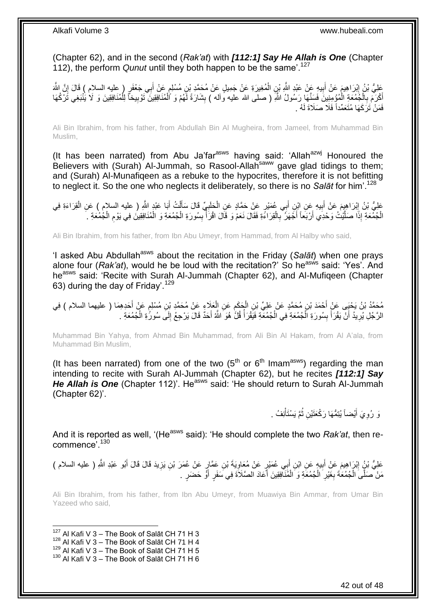(Chapter 62), and in the second (*Rak'at*) with *[112:1] Say He Allah is One* (Chapter 112), the perform *Qunut* until they both happen to be the same'.<sup>127</sup>

َ عَلِيُّ بْنُ إِبْرَاهِيمَ عَنْ أَبِيهِ عَنْ عَبْدِ اللَّهِ بْنِ الْمُغِيرَةِ عَنْ جَمِيلٍ عَنْ مُحَمَّدِ بْنِ مُسْلِمٍ عَنْ أَبِي جَعْفَرٍ ( عليه السلام ) قَالَ إِنَّ اللَّهَ ֧֖֚֚֓֝֝֬֝ ْ **!** َ ِ ِ **∶** أَكْرَمَ بِالْجُمُعَةِ الْمُؤْمِنِينَ فَسَنَّهَا رَسُولُ اللَّهِ ( صلى الله عليه وأله ) بِشَارَةَ لَهُمْ وَ ٱلْمُنَافِقِينَ تَوْبِيخاً لِلْمُنَافِقِينَ وَ لَأ يُنْبَغِي تَرْكُهَا َ ِ ْ **∣** ْ ْ ْ فَمَنْ تَرَكَهَا مُتَعَمِّداً فَلَا صَلَاةَ لَهُ .

Ali Bin Ibrahim, from his father, from Abdullah Bin Al Mugheira, from Jameel, from Muhammad Bin Muslim,

(It has been narrated) from Abu Ja'far $a<sup>asws</sup>$  having said: 'Allah $a<sup>axwj</sup>$  Honoured the Believers with (Surah) Al-Jummah, so Rasool-Allah<sup>saww</sup> gave glad tidings to them; and (Surah) Al-Munafiqeen as a rebuke to the hypocrites, therefore it is not befitting to neglect it. So the one who neglects it deliberately, so there is no *Salāt* for him'.<sup>128</sup>

َ عَلِيُّ بْنُ إِبْرَاهِيِمَ عَنْ أَبِيهِ عَنِ إِبْنِ أَبِي عُمَيْرٍ عَنْ حَمَّادٍ عَنِ الْحَلَبِيِّ قَالَ سَأَلْتُ أَبَا عَبْدٍ اللَّهِ ( عليه السلام ) عَنِ الْقِرَاءَةِ فِي ِ ْ َ **!** َ ِ ْ َ ْ الْجُمْعَةِ إِذَا صَلَّيْتُ وَحْدِي أَرْبَعاً أَجْهَرُ بِالْقِرَاءَةِ فَقَالَ نَعَمْ وَ قَالَ اقْرَأَ بِسُورَةِ الْجُمُعَةِ وَ الْمُنَافِقِينَ فِي يَوْمِ الْجُمْعَةِ ـ ْ ِ ا<br>أ ْ **∶** َ َ ز<br>إ ْ ْ ِ ْ

Ali Bin Ibrahim, from his father, from Ibn Abu Umeyr, from Hammad, from Al Halby who said,

'I asked Abu Abdullah<sup>asws</sup> about the recitation in the Friday (Salat) when one prays alone four (*Rak'at*), would he be loud with the recitation?' So he<sup>asws</sup> said: 'Yes'. And he<sup>asws</sup> said: 'Recite with Surah Al-Jummah (Chapter 62), and Al-Mufiqeen (Chapter 63) during the day of Friday'.<sup>129</sup>

֧֖֖֧֧֧֧֧֚֚֝֝֝֝֝֟֓֟֓֟֓֝֬֝֓֟֓֟֓֬֝֬֝֬֝֬֝֟֓֟֓֬֝֬֝֓֟֓֟֓֝֬֝֓֝֬֟֓֝֬ مُحَمَّدُ بْنُ يَحْيَى عَنْ أَحْمَدَ بْنِ مُحَمَّدٍ عَنْ عَلِيِّ بْنِ الْجَكَمِ عَنِ الْعَلَاءِ عَنْ مُحَمَّدِ بْنِ مُسْلِمٍ عَنْ أَحَدِهِمَا ( عليهما السلام ) فِي<br>دِعَيْدِ بِنَ يَحْيَى عَنْ أَحْمَدَ بْنِ مُحَمَّدٍ عَنْ ع ْ  $\ddot{\phantom{a}}$ ْ َ اَ ِ الرَّجُلِ يُرِيدُ أَنْ يَقْرَأَ بِسُورَةِ الْجُمُعَةِ فِي الْجُمُعَةِ فَيَقْرَأُ قُلَّ هُوَ اللَّهُ أَحَدٌ قَالَ يَرْجِعُ إِلَى سُورٍّةِ الْجُمُعَةِ . َ المناسبة المستشفى.<br>وفيات ْ ْ **ِ** َ َ ِ ْ

Muhammad Bin Yahya, from Ahmad Bin Muhammad, from Ali Bin Al Hakam, from Al A'ala, from Muhammad Bin Muslim,

(It has been narrated) from one of the two  $(5<sup>th</sup>$  or  $6<sup>th</sup>$  Imam<sup>asws</sup>) regarding the man intending to recite with Surah Al-Jummah (Chapter 62), but he recites *[112:1] Say He Allah is One* (Chapter 112)'. He<sup>asws</sup> said: 'He should return to Surah Al-Jummah (Chapter 62)'.

> وَ رُوِيَ أَيْضاً يُتِمُّهَا رَكْعَتَيْنِ ثُمَّ يَسْتَأْنِفُ . ْ ا ماہ<br>سال َ ِ

And it is reported as well, '(He<sup>asws</sup> said): 'He should complete the two *Rak'at*, then recommence'.<sup>130</sup>

عَلِيُّ بْنٍُ اِبْرَاهِيمَ عَنْ أَبِيهٍ عَنِ ابْنِ أَبِي عُمَيْرٍ عَنْ مُعَاوِيَةَ بْنِ عَمَّارٍ عَنْ عُمَرَ بْنِ يَزِيدَ قَالَ قَالَ أَبُو عَبْدِ اللَّهِ ( عليه السلام ) ِ ِ َ ِ َ **ٍ** مَنْ صَلَّىَ الْجُمُعَةَ بِغَيْرِ الْجُمُعَةِ وَ الْمُنَافِقِينَ أَعَادَ الصَّلَاةَ فِي سَفَرٍ أَوَّ حَضَرٍ . َ ا<br>أ ْ ْ ِ ِ ْ

Ali Bin Ibrahim, from his father, from Ibn Abu Umeyr, from Muawiya Bin Ammar, from Umar Bin Yazeed who said,

1  $127$  Al Kafi V 3 – The Book of Salāt CH 71 H 3

- $128$  Al Kafi V 3 The Book of Salāt CH 71 H 4
- $^{129}$  Al Kafi V 3 The Book of Salāt CH 71 H 5

 $130$  Al Kafi V 3 – The Book of Salāt CH 71 H 6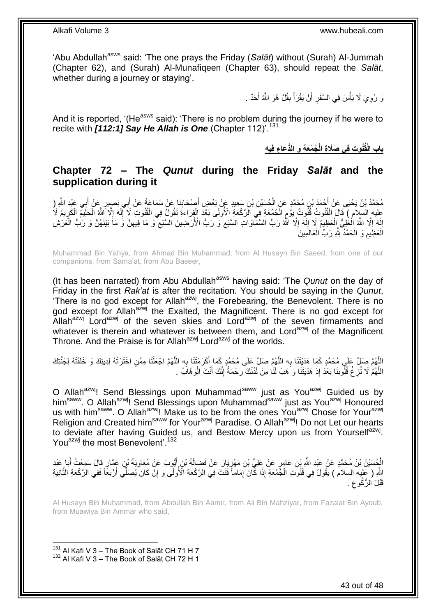'Abu Abdullah<sup>asws</sup> said: 'The one prays the Friday (Salat) without (Surah) Al-Jummah (Chapter 62), and (Surah) Al-Munafiqeen (Chapter 63), should repeat the *Salāt*, whether during a journey or staying'.

> وَ رُوِيَ لَا بَأْسَ فِي السَّفَرِ أَنْ يَقْرَأَ بِقُلْ هُوَ اللَّهُ أَحَدٌ . َ **∣** َ َ **∶ ٔ** ِ

And it is reported, '(He<sup>asws</sup> said): 'There is no problem during the journey if he were to recite with **[112:1] Say He Allah is One** (Chapter 112)<sup>'.131</sup>

**ُج ُم ُنو ِت فِي َصَال ِة الْ باب ال َع ِة َو الُّد َعا ِء فِي ِه ْقُ**

### <span id="page-42-0"></span>**Chapter 72 – The** *Qunut* **during the Friday** *Salāt* **and the supplication during it**

مُحَمَّدُ بْنُ يَحْيَى عَنْ أَحْمَدَ بْنِ مُحَمَّدٍ عَنِ الْحُسَيْنِ بْنِ سَعِيدٍ عَنْ بَعْضِ أَصِدَابِذَا عَنْ سَمَاعَةَ عَنْ أَبِي بَصِيبِرٍ عَنْ أَبِي عَيْدِ اللَّهِ (<br>''  $\frac{1}{2}$ َ ْ **∶** َ َ عِليه السِلَام ) قَالَ الْقُنُوتُ قُنُّوتُ يَوْمٍ الْجُمُعَةِ فِيِّ الْزَكْعَةِ الْأُولَى بَعْدَ الْقِرَاءَةِ تَقُولُ فِي الْقُنُوتِ لَا إِلَهَ إِلَّا اللَّهُ الْخَلِيمُ الْكَرِيمُ لَا ْ ْ ْ ِ ْ ْ ِ اَ ِ إِلَهَ إِلَّا اللَّهُ الْعَظِيمُ إِلاّا اللَّهُ إِلَّا ٱللَّهُ رَبُّ السَّمَّاوَاتِ السَّبْعِ وَ رَبُّ الْأَرَضِينَ السَّبْعِ وَ مَا َفِيهِنَّ وَ رَبُّ الْغَرْشِ ِ اَ ِ ْ ْ  $\frac{1}{2}$ اَ ِ ْ ِ ِ  $\zeta$ الْعَظِّيمِ وَ الْحَمْدُ لِلَّهِ رَبِّ الْعَالَمِينَ ْ ْ **ُ** ْ

Muhammad Bin Yahya, from Ahmad Bin Muhammad, from Al Husayn Bin Saeed, from one of our companions, from Sama'at, from Abu Baseer,

(It has been narrated) from Abu Abdullah<sup>asws</sup> having said: 'The *Qunut* on the day of Friday in the first *Rak'at* is after the recitation. You should be saying in the *Qunut*, 'There is no god except for Allah<sup>azwj</sup>, the Forebearing, the Benevolent. There is no god except for Allah<sup>azwj</sup> the Exalted, the Magnificent. There is no god except for Allah<sup>azwj</sup> Lord<sup>azwj</sup> of the seven skies and Lord<sup>azwj</sup> of the seven firmaments and whatever is therein and whatever is between them, and Lord<sup>azwj</sup> of the Magnificent Throne. And the Praise is for Allah<sup>azwj</sup> Lord<sup>azwj</sup> of the worlds.

اللَّهُمَّ صَلِّ عَلَي مُحَمَّدٍ كَمَا هَدَيْتَنَا بِهِ اللَّهُمَّ صَلِّ عَلَى مُحَمَّدٍ كَمَا أَكْرَمْتَنَا بِهِ اللَّهُمَّ اجْعَلْنَا مِمَّنِ اخْتَرْتَهُ لِدِينِكَ وَ خَلَقْتَهُ لِجَنَّتِكَ<br>وَأَمْرَتُ الْمُرَبِّئِ مَنْ َ ِ َ َ ِ َ اللَّهُمَّ لَا تُزِغُ قُلُوبَنَا بَعْدَ إِذْ هَدَيْتَنَا وَ هَبْ لَنَا مِنْ لَدُنْكَ رَحْمَةً إِنَّكَ أَنْتَ الْوَهَّابُ . ْ َ ِ **ٔ ∶** َ

O Allah<sup>azwj</sup>! Send Blessings upon Muhammad<sup>saww</sup> just as You<sup>azwj</sup> Guided us by him<sup>saww</sup>. O Allah<sup>azwj</sup>! Send Blessings upon Muhammad<sup>saww</sup> just as You<sup>azwj</sup> Honoured us with him<sup>saww</sup>. O Allah<sup>azwj</sup>! Make us to be from the ones You<sup>azwj</sup> Chose for Your<sup>azwj</sup> Religion and Created him<sup>saww</sup> for Your<sup>azwj</sup> Paradise. O Allah<sup>azwj</sup>! Do not Let our hearts to deviate after having Guided us, and Bestow Mercy upon us from Yourself<sup>azwj</sup>. You<sup>azwj</sup> the most Benevolent'.<sup>132</sup>

الْجُسَيْنُ بْنُ مُحَمَّدٍ عَنْ عَيْدِ النَّهِ بْنِ عَامِرٍ عَنْ عَلِيِّ بْنِ مَهْزِيَارَ عَنْ فَضَالَةَ بْنِ أَيُّوبَ عَنْ مُعَاوِيَةَ بْنِ عَمَّارٍ قَالَ سَمِعْتُ أَبَا عَيْدِ<br>الْجُسَيْنُ بْنُ مُحَمَّدٍ عَنْ عَيْدِ النَّ َ ِ ْ َ ِ َاللَّهِ ( عَليه السلام ) يَقُولُ فِي قُذُونَـ الْجُمُعَةِ إِذَا كَانَ ۖ إِمَاماً قَتَلَتَ فِي الرَّكْعَةِ الْأُولَى وَ إِنَّ كَانَ َيُصَلِّي أَرْبَعًا فَفِي الرَّكْعَةِ الثَّانِيَةِ ِ ِ ْ ة<br>منابعة َ <sup>َقَبْلَ الرُّكُوع</sup> . ِ

Al Husayn Bin Muhammad, from Abdullah Bin Aamir, from Ali Bin Mahziyar, from Fazalat Bin Ayoub, from Muawiya Bin Ammar who said,

<sup>131</sup> Al Kafi V 3 – The Book of Salāt CH 71 H 7 <sup>132</sup> Al Kafi V 3 – The Book of Salāt CH 72 H 1

1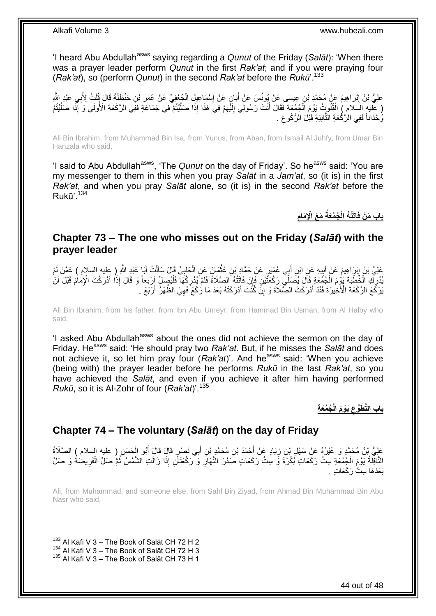'I heard Abu Abdullah<sup>asws</sup> saying regarding a *Qunut* of the Friday (Salat): 'When there was a prayer leader perform *Qunut* in the first *Rak'at*; and if you were praying four (*Rak'at*), so (perform *Qunut*) in the second *Rak'at* before the *Rukū*'.<sup>133</sup>

عَلِيُّ بْنُ إِبْرَاهِيمَ عَنْ مُحَمَّدِ بْنِ عِيسَى عَنْ يُونُسَ عَنْ أَبَانٍ عَنْ إِسْمَاعِيلَ الْجُعْفِيِّ عَنْ عُمَرَ بْنِ حَنْظَلَةَ قَالَ قُلْتُ لِأَبِي عَبْدِ النَّهِ<br>يَحْمَلُ بَنْ إِبْرَاهِيمَ عَنْ مُحَمَّدِ بْنِ ع ْ ِ َ ِ ْ ( عَليهِ السَّلامِ ) الْقُلُوبِ ۖ يَوْمَ الْجُمْعَةِ فَقَالَ أَنْتَ رَسُولِي الِئَّهِمْ فِيَ هَذَا إِذَا صَلَّيْتُمْ فِي جَمَاعَةٍ فَفِي الرَّحْعَةِ الْأُولَى وَ إِذَا صَلَّيْتُمْ ْ اُ ِ اَ ِ َ ْ َ وُحْدَاناً فَفِي الزَّكْعَةِ الثَّانِيَةِ قَبْلَ الزُّكُوعِ . ِ  $\ddot{\ddot{\phantom{}}\phantom{}}\phantom{00}$ 

Ali Bin Ibrahim, from Muhammad Bin Isa, from Yunus, from Aban, from Ismail Al Juhfy, from Umar Bin Hanzala who said,

'I said to Abu Abdullah<sup>asws</sup>, 'The *Qunut* on the day of Friday'. So he<sup>asws</sup> said: 'You are my messenger to them in this when you pray *Salāt* in a *Jam'at*, so (it is) in the first *Rak'at*, and when you pray *Salāt* alone, so (it is) in the second *Rak'at* before the  $Ruk\bar{u}'$ .<sup>134</sup>

> **ِ َم َع اْإلِ َمام ُج ُمَعةُ اَتْت ُه الْ باب َم ْن فَ**

### <span id="page-43-0"></span>**Chapter 73 – The one who misses out on the Friday (***Salāt***) with the prayer leader**

عَلِيُّ بْنُ إِبْرَاهِيمَ عَنْ أَبِيهِ عَنِ ابْنِ أَبِي عُمَيْرِ عَنْ حَمَّادٍ بْنِ عُثْمَانَ عَنِ الْحَلَبِيِّ قَالَ سَأَلْتُ أَبَا عَبْدِ اللَّهِ ( عِليه السلام ) عَمَّنْ لَمْ ِ َ ِ َ ْ ĺ ِ ْ ْ يُدْرِكِ اَلْخُطْبَةَ بَوْءَ اَلْجُمْعَةِ قَالَ يُصَلِّي رَكْعَتَّيْنِ فَإِنْ فَاتَتْهُ الصَّلَاةُ فَلَمْ يُدْرِكْهَا فَلْيَهِمَلِّ أَرْبَعاً وَ قَالَ إِذَا أَدْرَكْتَ الْإِمَامَ قَبْلَ أَنْ<br>الْجَمَعَة الْجَمَعِينَ مَعَ ا ْ **∶** ِ ْ ِ َ َ َ يَرْكَعَ الرَّكْعَةَ الْأَخِيرَةَ فَقَدْ أَدْرَكْتَ الصَّلَاَةَ وَ إِنَّ كُنْتَ أَدْرَكْتَهُ بَعْدَ مَا رَكَعَ فَهِيَ الظُّهْرُ أَرْبَعٌ . ِ َ ِ َ َ

Ali Bin Ibrahim, from his father, from Ibn Abu Umeyr, from Hammad Bin Usman, from Al Halby who said,

'I asked Abu Abdullah<sup>asws</sup> about the ones did not achieve the sermon on the day of Friday. He<sup>asws</sup> said: 'He should pray two *Rak'at*. But, if he misses the *Salāt* and does not achieve it, so let him pray four (*Rak'at*)'. And he<sup>asws</sup> said: 'When you achieve (being with) the prayer leader before he performs *Rukū* in the last *Rak'at*, so you have achieved the *Salāt*, and even if you achieve it after him having performed *Rukū*, so it is Al-Zohr of four (*Rak'at*)'.<sup>135</sup>

> **باب الَّت ُج ُمَع ِة َط َيْو َم الْ ُّوع ِ**

## <span id="page-43-1"></span>**Chapter 74 – The voluntary (***Salāt***) on the day of Friday**

عَلِيُّ بْنُ مُحَمَّدٍ وَ غَيْرُهُ عَنِْ سَهْلٍ بْنِ زِيَادٍ عَنْ أَحْمَدَ بْنِ مُحَمَّدٍ بْنِ أَبِي نَصْرٍ قَالَ قَالَ أَبُو الْحَسَنِ ( عليه السلام ) الصَّلَاةُ<br>-َ َ َ ِ ْ َالْنَافِلَةُ يَوْمَ الْجُمُعَةِ سِتُّ رَكَعَاتٍ بُكْرَةً وَ سِتُّ رَكَعَاتٍ صَدْرَ النَّهَارِ وَ رَكْعَتَانِ إِذَا زَالَتِ الشَّمْسُ ثُمَّ صَلِّ الْفَرِيضُةُ وَ صَلِّ ا پایا<br>ا **∶** ْ ِ ْ يَعْدَهَا ستٌّ رَ كَعَات

Ali, from Muhammad, and someone else, from Sahl Bin Ziyad, from Ahmad Bin Muhammad Bin Abu Nasr who said,

 $133$  Al Kafi V 3 – The Book of Salāt CH 72 H 2

 $^{134}$  Al Kafi V 3 – The Book of Salāt CH 72 H 3

<sup>135</sup> Al Kafi V 3 – The Book of Salāt CH 73 H 1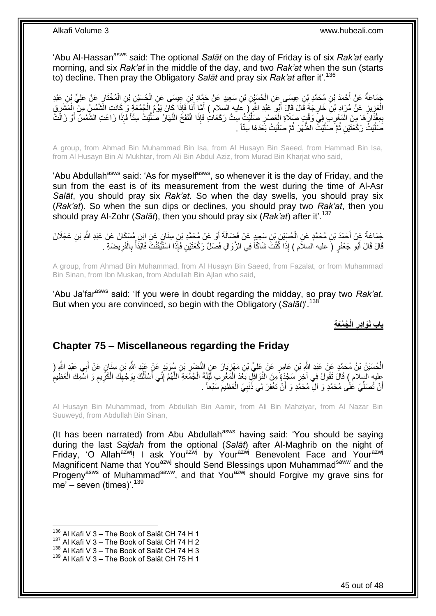'Abu Al-Hassan<sup>asws</sup> said: The optional Salat on the day of Friday is of six Rak'at early morning, and six *Rak'at* in the middle of the day, and two *Rak'at* when the sun (starts to) decline. Then pray the Obligatory *Salāt* and pray six *Rak'at* after it'.<sup>136</sup>

جَمَاعَةٌ عَنْ أَحْمَدَ بْنِ مُحَمَّدِ بْنِ عِيسَى عَنِ الْحُسَيْنِ بْنِ سَعِيدٍ عَنْ حَمَّادٍ بِّنِ عِيشَى عَنِ الْحُسَيْنِ بْنِ الْمُخْتَارِ عَنْ عَلِيٍّ بْنِ عَبْدِ ْ ْ ِ ْ الْعَزِيزِ عَنْ مُرَادِ بْنِ خَارِجَةَ قَالَ قَالَ أَبُو عَبْدِ اللَّهِ ( عَليه السلام ) أَمَّا أَنَا فَإِذَا كَانَ يَوْمُ الْجُمُعَةِ وَ كَانَتِ الشَّمْسِ مِنَ الْمَشْرِقِ<br>يَجْمَعُ الْجُمْعَةِ وَجَمَعَتْ مِن الْمَشْرِقِ َ ِ **∶** ِ ْ ْ ْ َ َ بِمِقْزَارَهَا مِنَ الْمَغْرِبَ فِيَ وَقْبٍ صَلَاةِ الْعَصْرِ صَلَّيْتُ سِتَّ رَكَعَاتٍ فَإِذَا انْتَفَخَ النَّهَارُ صَلَّيْتُ سِتّاً فَإِذَا زَاغَتِ الشَّمْسُ أَوْ زَالَتُ اُ اً ِ ْ ِ ْ ِ ِ َ صَلَّيْتُ رَكْعَتَيْنِ ثُمَّ صَلَّيْتُ الظَّهْرَ ثُمَّ صَلَّيْتُ بَعْدَهَا سِتِّاً . ن<br>ا ُ ن<br>ا ُ َ

A group, from Ahmad Bin Muhammad Bin Isa, from Al Husayn Bin Saeed, from Hammad Bin Isa, from Al Husayn Bin Al Mukhtar, from Ali Bin Abdul Aziz, from Murad Bin Kharjat who said,

'Abu Abdullah<sup>asws</sup> said: 'As for myself<sup>asws</sup>, so whenever it is the day of Friday, and the sun from the east is of its measurement from the west during the time of Al-Asr *Salāt*, you should pray six *Rak'at*. So when the day swells, you should pray six (*Rak'at*). So when the sun dips or declines, you should pray two *Rak'at*, then you should pray Al-Zohr (*Salāt*), then you should pray six (*Rak'at*) after it'.<sup>137</sup>

ِجَمَاعَةٌ عَنْ أَحْمَدَ بْنِ مُحَمَّدٍ عَنِ الْحُسَيْنِ بْنِ سَعِيدٍ عَنْ فَضَالَةَ أَوْ عَنْ مُحَمَّدِ بْنِ سِنَانٍ عَنِ ابْنِ مُسْكَانَ عَنْ عَبْدِ اللَّهِ بْنِ عَجْلَانَ ْ َ َ قَالَ قَالَ أَبُو جَعْفَرٍ (َ عليه السلاَم ) إِذَا كُنْتَ شَاكّاً فِي الزَّوَالِ فَصَلِّ رَكْعَتَيْنِ فَإِذَا اسْتَيْقَنْتَ فَابْذَأْ بِالْفَرِيضَةِ . َ ِ ْ ِ  $\frac{1}{2}$ 

A group, from Ahmad Bin Muhammad, from Al Husayn Bin Saeed, from Fazalat, or from Muhammad Bin Sinan, from Ibn Muskan, from Abdullah Bin Ajlan who said,

'Abu Ja'farasws said: 'If you were in doubt regarding the midday, so pray two *Rak'at*. But when you are convinced, so begin with the Obligatory (*Salāt*)'.<sup>138</sup>

> **ُج ُمَع ِة الْ باب َنَواِدر ِ**

### <span id="page-44-0"></span>**Chapter 75 – Miscellaneous regarding the Friday**

الْحُسَيْنُ بْنُ مُحَمَّدٍ عَنْ عَبْدِ اللَّهِ بْنِ عَامِرٍ عَنْ عَلِيٍّ بْنِ مَهْزِيَارَ عَنِ النَّضْرِ بْنِ سُوَيْدٍ عَنْ عَيْدِ اللَّهِ بْنِ سِنَانٍ عَنْ أَبِي عَبْدِ اللَّهِ ( ֦֧֦֧ ِ ْ َ َ عليه السلام ) قَالَ تَقُولُ فِي آخِرٍ سَجْدَةٍ مِنَ النَّوَافِلِ بَغْدَ الْمَغْرِبِ لَيْلَةَ الْجُمُعَةِ اللَّهُمَّ إِنِّي أَسْأَلُكَ بِوَجْهِكَ الْكَرِيمِ وَ اَسْمِكَ الْعَظِيمِ<br>أَوْ مُ يَزْمَلَ مَعَ الْمَرَّةِ عَلَيْهِ ِ َ ْ ِ ْ ِ ْ ِ ِ ْ ِ ِ ُ اً<br>أ أَنْ تُصَلِّّيَ عَلَى مُحَمَّدٍ وَ آلِّ مُحَمَّدٍ وَ أَنْ تَغْفِرَ لِي ذَنْبِيَ الْعَظِيمَ سَبْعاً . ِّ اً ْ **∶** َ

Al Husayn Bin Muhammad, from Abdullah Bin Aamir, from Ali Bin Mahziyar, from Al Nazar Bin Suuweyd, from Abdullah Bin Sinan,

(It has been narrated) from Abu Abdullah<sup>asws</sup> having said: 'You should be saying during the last *Sajdah* from the optional (*Salāt*) after Al-Maghrib on the night of Friday, 'O Allah<sup>azwj</sup>! I ask You<sup>azwj</sup> by Your<sup>azwj</sup> Benevolent Face and Your<sup>azwj</sup> Magnificent Name that You<sup>azwj</sup> should Send Blessings upon Muhammad<sup>saww</sup> and the Progenyasws of Muhammadsaww, and that Youazwj should Forgive my grave sins for me' – seven (times)'.  $139$ 

 $136$  Al Kafi V 3 – The Book of Salāt CH 74 H 1

 $137$  Al Kafi V 3 – The Book of Salāt CH 74 H 2

 $^{138}$  Al Kafi V 3 – The Book of Salāt CH 74 H 3

 $139$  Al Kafi V 3 – The Book of Salāt CH 75 H 1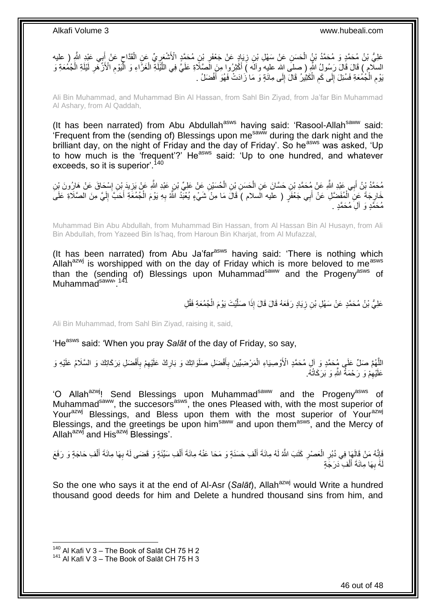عَلِيُّ بْنُ مُحَمَّدٍ وَ مُحَمَّدُ بْنُ الْحَسَنِ عَنْ سَهْلِ بْنِ زِيَادٍ عَنْ جَعْفَرٍ بْنِ مُحَمَّدٍ الْأَشْعَرِيِّ عَنِ الْقَدَّاحِ عَنْ أَبِي عَيْدِ الثَّهِ ( عليه ِ ِ ِ ْ َ ِ ْ السَّلَامِ ﴾ قَالَ قَالَ رَسُولُ اللَّهِ ( صلَّى الله عليه وآلَه ﴾ أَكْثِرُوا مِنَ الْصَّلَاةِ عَلَيَّ فِي اللَّيْلَةِ الْغَرَّاءِ وَ الْيَوْمِ الْأَزْهَرِ لَيْلَةِ الْجُمُعَةِ وَ ْ اُ َ ْ اَ ِ ِ ا<br>ا بَوْمِ الْجُمُعَةِ فَسُئِلَ إِلَى كَمِ الْكَثِيْرُ قَالَ إِلَى مِائَةٍ وَ مَا زَادَتْ فَهُوَ أَفْضَلُ .  $\frac{1}{2}$ ْ ِ יִי<br>י ْ ِ َ

Ali Bin Muhammad, and Muhammad Bin Al Hassan, from Sahl Bin Ziyad, from Ja'far Bin Muhammad Al Ashary, from Al Qaddah,

(It has been narrated) from Abu Abdullah<sup>asws</sup> having said: 'Rasool-Allah<sup>saww</sup> said: 'Frequent from the (sending of) Blessings upon mesaww during the dark night and the brilliant day, on the night of Friday and the day of Friday'. So he<sup>asws</sup> was asked, 'Up to how much is the 'frequent'?' He<sup>asws</sup> said: 'Up to one hundred, and whatever exceeds, so it is superior<sup>'.140</sup>

مُحَمَّدُ بِنُ أَبِي عَبْدِ اللَّهِ عَنْ مُحَمَّدِ بْنِ حَسَّانَ عَنِ الْحَسَنِ بْنِ الْحُسَبْنِ عَنْ عَلِيٍّ بْنِ عَبْدِ اللَّهِ عَنْ يَزِيدَ بْنِ إِسْجَاقَ عَنْ هَارُونَ بْنِ ْ ْ َ ِ ِ خَارِجَةَ عَنِّ الْمُفَضَّلِ عَنْ أَبِي جَعْفَرٍ ( عليه الَسلام ) قَالَ مَا مِنْ شَيْءٍ يُعْبَّدُ اللَّهُ بِهِ يَوْمَ الْجُمُعَةِ أَحَبَّ إِلَيَّ مِنَ الصَّلَاةِ عَلَى ْ ِ اَ ِ َ ْ ِ مُحَمَّدٍ وَ أَلِّ مُحَمَّدٍ .

Muhammad Bin Abu Abdullah, from Muhammad Bin Hassan, from Al Hassan Bin Al Husayn, from Ali Bin Abdullah, from Yazeed Bin Is'haq, from Haroun Bin Kharjat, from Al Mufazzal,

(It has been narrated) from Abu Ja'far $a<sup>asws</sup>$  having said: 'There is nothing which Allah<sup>azwj</sup> is worshipped with on the day of Friday which is more beloved to me<sup>asws</sup> than the (sending of) Blessings upon Muhammad<sup>saww</sup> and the Progeny<sup>asws</sup> of Muhammadsaww, 141

> عَلِيُّ بْنُ مُحَمَّدٍ عَنْ سَهْلِ بْنِ زِيَادٍ رَفَعَهُ قَالَ قَالَ إِذَا صَلَّيْتَ يَوْمَ الْجُمُعَةِ فَقُلِ ْ م<br>ا **ٍ**

Ali Bin Muhammad, from Sahl Bin Ziyad, raising it, said,

'He<sup>asws</sup> said: 'When you pray Salat of the day of Friday, so say,

اللَّهُمَّ صَلِّ عَلَمٍ مُحَمَّدٍ وَ إلِ مُحَمَّدٍ الْأَوْصِيَاءِ الْمَرْضِيِّينَ بِأَفْضَلِ صَلَوَاتِكَ وَ بَارِكْ عَلَيْهِمْ بِأَفْضَلِ بَرَكَاتِكَ وَ السَّلَامُ عَلَيْهِ وَ ِ ِ َ **∶** ْ َ **∶** عَلَيْهِمْ وَ رَحْمَةُ اللَّهِ وَ بَرَكَاتُهُ. ِ

'O Allah<sup>azwj</sup>! Send Blessings upon Muhammad<sup>saww</sup> and the Progeny<sup>asws</sup> of Muhammad<sup>saww</sup>, the succesors<sup>asws</sup>, the ones Pleased with, with the most superior of Your<sup>azwj</sup> Blessings, and Bless upon them with the most superior of Your<sup>azwj</sup> Blessings, and the greetings be upon him<sup>saww</sup> and upon them<sup>asws</sup>, and the Mercy of Allah $a^{zw}$  and His $a^{zw}$  Blessings'.

فَإِنَّهُ مَنْ قَالَهَا فِي دُبُرِ الْعَصْرِ كَتَبَ اللَّهُ لَهُ مِائَةَ أَلْفِ حَسَنَةٍ وَ مَحَا عَنْهُ مِائَةَ أَلْفِ سَيِّئَةٍ وَ قَضَى لَهُ بِهَا مِائَةَ أَلْفِ حَاجَةٍ وَ رَفَعَ ْ َ ْ َ **∶** ْ ِ ֺ֦֧֦֢ׅ֦֦֦֦֦֦֦֧֦֧֦֦֦֧֦֧֦֧֦֧֦֧֦֧֦֧֦֧֧֦֧֦֧֦֧֦֧֦֧֦֧֦֧֦֧֦֧֦֚֚֚֚֚֚֚֝֟֘֝֬֜֜֡֓֬֝֓֞֟֓֡֝֬֓֓֞֡֟֓֡֓֡֓֞֓ ْ َ ِ لَٰهُ بِهَا مِائَةَ أَلْفِ دَرَجَةٍ **∶** ْ َ

So the one who says it at the end of Al-Asr (Salat), Allah<sup>azwj</sup> would Write a hundred thousand good deeds for him and Delete a hundred thousand sins from him, and

<sup>&</sup>lt;sup>140</sup> Al Kafi V 3 – The Book of Salāt CH 75 H 2

<sup>&</sup>lt;sup>141</sup> Al Kafi V 3 – The Book of Salāt CH 75 H 3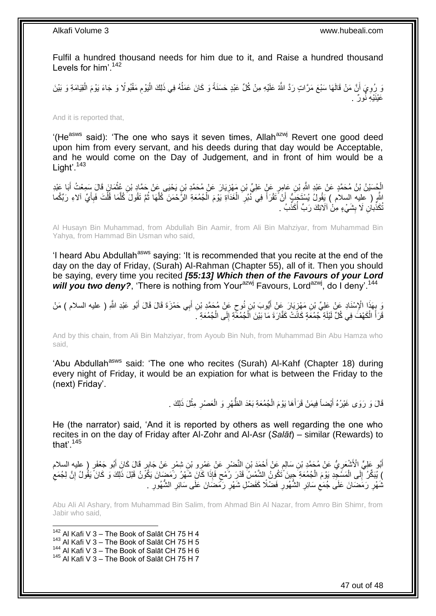Fulfil a hundred thousand needs for him due to it, and Raise a hundred thousand Levels for him'.<sup>142</sup>

وَ رُوِيَ أَنَّ مَنْ قَالَهَا سَبْعَ مَرَّاتٍ رَدَّ اللَّهُ عَلَيْهِ مِنْ كُلِّ عَبْدٍ حَسَنَةً وَ كَانَ عَمَلُهُ فِي ذَلِكَ الْيَوْمِ مَقْبُولًا وَ جَاءَ يَوْمَ الْقِيَامَةِ وَ بَيْنَ ُ ز<br>ا **∶** ْ ِ ْ عَيْنَيْهِ نُمورٌ .

And it is reported that,

'(He<sup>asws</sup> said): 'The one who says it seven times, Allah<sup>azwj</sup> Revert one good deed upon him from every servant, and his deeds during that day would be Acceptable, and he would come on the Day of Judgement, and in front of him would be a Light'.<sup>143</sup>

الْجُسَيْنُ بْنُ مُحَمَّدٍ عَنْ عَيْدِ اللَّهِ بْنِ عَامِرٍ عَنْ عَلِيٍّ بْنِ مَهْزِيَارَ عَنْ مُحَمَّدٍ بْنِ يَحْيَى عَنْ حَمَّادٍ بْنِ عُثْمَانَ قَالَ سَمِعْتُ أَبَا عَيْدِ ْ **∶** َ ْ اللَّهِ ( عليه السلام ) يَقُولُ يُسْتَجَبُّ أَنْ تَقْرَأَ فِي ذُبُرِ الْغَذَاةِ يَوْمَ الْجُمُعَةِ الرَّحْمَنَ كُلَّهَا ثُمَّ تَقُولَ كُلَّمَا قُلْتَ فَبِأَيِّ آلاءِ رَبِّكُما ْ ْ ِ َ اً َ ِ ْ َ ُ َ تُكَذِّباُنِ لَا بِشَيْءٍ مِنْ اَلَائِكَ رَبِّ أُكَذِّبُ ۖ ـ **∣** ا<br>ا

Al Husayn Bin Muhammad, from Abdullah Bin Aamir, from Ali Bin Mahziyar, from Muhammad Bin Yahya, from Hammad Bin Usman who said,

'I heard Abu Abdullah<sup>asws</sup> saying: 'It is recommended that you recite at the end of the day on the day of Friday, (Surah) Al-Rahman (Chapter 55), all of it. Then you should be saying, every time you recited *[55:13] Which then of the Favours of your Lord*  will you two deny?, 'There is nothing from Your<sup>azwj</sup> Favours, Lord<sup>azwj</sup>, do I deny<sup>' 144</sup>

رَ بِهَذَا الْإِسْنَادِ عَنْ عَلِيٍّ بْنِ مَهْزِيَارَ عَنْ أَيُّوبَ بْنِ نُوحٍ عَنْ مُحَمَّدِ بْنِ أَبِي حَمْزَةَ قَالَ قَالَ أَبُو عَبْدِ اللَّهِ ( عليه السلام ) مَنْ<br>يَسْتُمْهُمْ مُرْسَوْدَتِينَ وَيَسْتَمَرَّتُ وَجَرَّة َ ٍ َ ِ **∶** قَرَأَ الْكَهْفَ فِي كُلِّ لَيْلَةِ جُمُعَةٍ كَانَتْ كَفَّارَةَ مَا بَيْنَ اَلْجُمُعَّةِ إِلَى الْجُمُعَةِ ۚ ـ ْ ِ ْ ْ ا<br>ا

And by this chain, from Ali Bin Mahziyar, from Ayoub Bin Nuh, from Muhammad Bin Abu Hamza who said,

'Abu Abdullah<sup>asws</sup> said: 'The one who recites (Surah) Al-Kahf (Chapter 18) during every night of Friday, it would be an expiation for what is between the Friday to the (next) Friday'.

> قَالَ وَ رَوَى غَيْرُهُ أَيْضاً فِيمَنْ قَرَأَهَا يَوْمَ الْجُمُعَةِ بَعْدَ الظَّهْرِ وَ الْعَصْرِ مِثْلَ ذَلِكَ <sub>.</sub> ْ ِ ْ ِ ْ َ َ

He (the narrator) said, 'And it is reported by others as well regarding the one who recites in on the day of Friday after Al-Zohr and Al-Asr (*Salāt*) – similar (Rewards) to that' $145$ 

أَبُو عَلِيٍّ الْأَشْعَرِيُّ عَنْ مُحَمَّدٍ بْنِ سَالِمٍ عَنْ أَحْمَدَ بْنِ النَّضْرِ عَنْ عَمْرِو بْنِ شِمْرٍ عَنْ جَابِرٍ قَالَ كَانَ أَبُو جَعْفَرٍ ( عليه السلام<br>ِ يَعْلَى الْأَشْعَرِيُّ عَنْ مُحَمَّدٍ بْنِ سَالِمٍ عَن َ ٍ ِ َ **∶** ﴾ يُبَكِّرُ ۚ إِلَى الْمَسَْجِدِ بَوْمَ الْجُمُعَةِ ۖ جِبنَ ّتَكُونُ الشَّمْسُ قَدْرَ رُمْحٍ فَإِذَا كَانَ شَهْرُ رَمَضٍنَانَ يَكُونُ قَبْلَ ذَلِكَ وَ كَانَ يَقُولُ إِنَّ لِجُمَعِ ٍ ْ ْ ׀<br>֧֓ ِ نْمَهْرِ رَمَضَانَ عَلَى جُمَعِ سَائِرِ الشُّهُورِ فَضْلًا كَفَضْلِ شَهْرِ رَمَّضَانَ عَلَى سَائِرِ الشُّهُورِ . ِ ِ ِ ِ ِ ِ **∶** 

Abu Ali Al Ashary, from Muhammad Bin Salim, from Ahmad Bin Al Nazar, from Amro Bin Shimr, from Jabir who said,

1 Al Kafi V 3 – The Book of Salāt CH 75 H 4 Al Kafi V 3 – The Book of Salāt CH 75 H 5 Al Kafi V 3 – The Book of Salāt CH 75 H 6 Al Kafi V 3 – The Book of Salāt CH 75 H 7